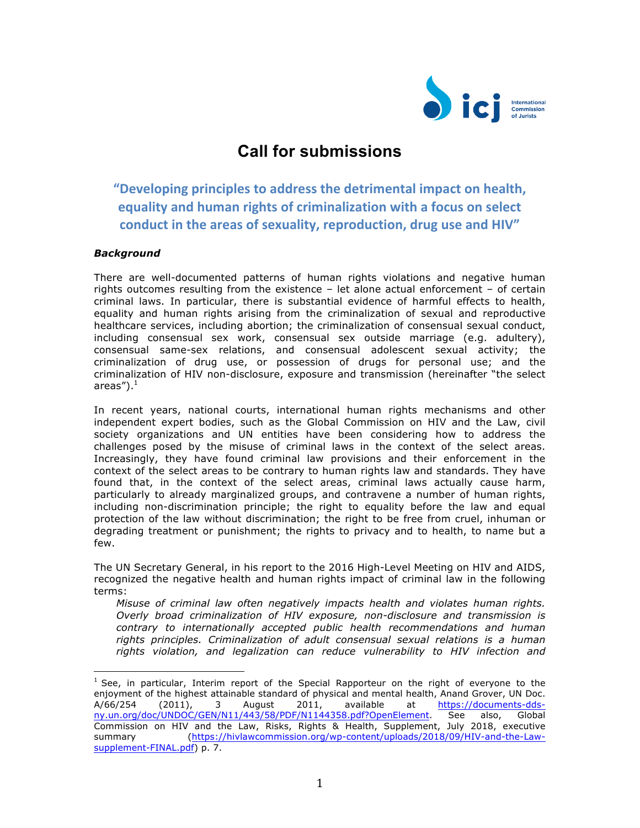

## **Call for submissions**

**"Developing principles to address the detrimental impact on health, equality and human rights of criminalization with a focus on select** conduct in the areas of sexuality, reproduction, drug use and HIV"

## *Background*

 

There are well-documented patterns of human rights violations and negative human rights outcomes resulting from the existence – let alone actual enforcement – of certain criminal laws. In particular, there is substantial evidence of harmful effects to health, equality and human rights arising from the criminalization of sexual and reproductive healthcare services, including abortion; the criminalization of consensual sexual conduct, including consensual sex work, consensual sex outside marriage (e.g. adultery), consensual same-sex relations, and consensual adolescent sexual activity; the criminalization of drug use, or possession of drugs for personal use; and the criminalization of HIV non-disclosure, exposure and transmission (hereinafter "the select areas"). $^{\rm 1}$ 

In recent years, national courts, international human rights mechanisms and other independent expert bodies, such as the Global Commission on HIV and the Law, civil society organizations and UN entities have been considering how to address the challenges posed by the misuse of criminal laws in the context of the select areas. Increasingly, they have found criminal law provisions and their enforcement in the context of the select areas to be contrary to human rights law and standards. They have found that, in the context of the select areas, criminal laws actually cause harm, particularly to already marginalized groups, and contravene a number of human rights, including non-discrimination principle; the right to equality before the law and equal protection of the law without discrimination; the right to be free from cruel, inhuman or degrading treatment or punishment; the rights to privacy and to health, to name but a few.

The UN Secretary General, in his report to the 2016 High-Level Meeting on HIV and AIDS, recognized the negative health and human rights impact of criminal law in the following terms:

*Misuse of criminal law often negatively impacts health and violates human rights. Overly broad criminalization of HIV exposure, non-disclosure and transmission is contrary to internationally accepted public health recommendations and human rights principles. Criminalization of adult consensual sexual relations is a human rights violation, and legalization can reduce vulnerability to HIV infection and* 

 $<sup>1</sup>$  See, in particular, Interim report of the Special Rapporteur on the right of everyone to the</sup> enjoyment of the highest attainable standard of physical and mental health, Anand Grover, UN Doc. A/66/254 (2011), 3 August 2011, available at https://documents-ddsny.un.org/doc/UNDOC/GEN/N11/443/58/PDF/N1144358.pdf?OpenElement. See also, Global Commission on HIV and the Law, Risks, Rights & Health, Supplement, July 2018, executive summary (https://hivlawcommission.org/wp-content/uploads/2018/09/HIV-and-the-Lawsupplement-FINAL.pdf) p. 7.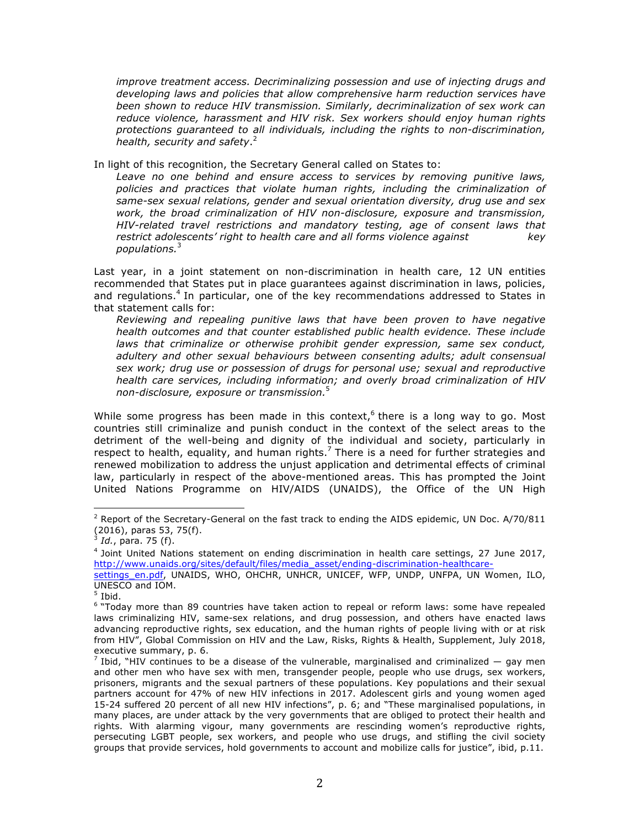*improve treatment access. Decriminalizing possession and use of injecting drugs and developing laws and policies that allow comprehensive harm reduction services have been shown to reduce HIV transmission. Similarly, decriminalization of sex work can reduce violence, harassment and HIV risk. Sex workers should enjoy human rights protections guaranteed to all individuals, including the rights to non-discrimination, health, security and safety*. 2

In light of this recognition, the Secretary General called on States to:

*Leave no one behind and ensure access to services by removing punitive laws, policies and practices that violate human rights, including the criminalization of same-sex sexual relations, gender and sexual orientation diversity, drug use and sex work, the broad criminalization of HIV non-disclosure, exposure and transmission, HIV-related travel restrictions and mandatory testing, age of consent laws that restrict adolescents' right to health care and all forms violence against key populations.*<sup>3</sup>

Last year, in a joint statement on non-discrimination in health care, 12 UN entities recommended that States put in place guarantees against discrimination in laws, policies, and regulations.<sup>4</sup> In particular, one of the key recommendations addressed to States in that statement calls for:

*Reviewing and repealing punitive laws that have been proven to have negative health outcomes and that counter established public health evidence. These include laws that criminalize or otherwise prohibit gender expression, same sex conduct, adultery and other sexual behaviours between consenting adults; adult consensual sex work; drug use or possession of drugs for personal use; sexual and reproductive health care services, including information; and overly broad criminalization of HIV non-disclosure, exposure or transmission.*<sup>5</sup>

While some progress has been made in this context, there is a long way to go. Most countries still criminalize and punish conduct in the context of the select areas to the detriment of the well-being and dignity of the individual and society, particularly in respect to health, equality, and human rights.<sup>7</sup> There is a need for further strategies and renewed mobilization to address the unjust application and detrimental effects of criminal law, particularly in respect of the above-mentioned areas. This has prompted the Joint United Nations Programme on HIV/AIDS (UNAIDS), the Office of the UN High

<sup>&</sup>lt;sup>2</sup> Report of the Secretary-General on the fast track to ending the AIDS epidemic, UN Doc. A/70/811 (2016), paras 53, 75(f).

<sup>3</sup> *Id.*, para. 75 (f).

<sup>&</sup>lt;sup>4</sup> Joint United Nations statement on ending discrimination in health care settings, 27 June 2017, http://www.unaids.org/sites/default/files/media\_asset/ending-discrimination-healthcare-

settings\_en.pdf, UNAIDS, WHO, OHCHR, UNHCR, UNICEF, WFP, UNDP, UNFPA, UN Women, ILO, UNESCO and IOM.

Ibid.

<sup>&</sup>lt;sup>6</sup> "Today more than 89 countries have taken action to repeal or reform laws: some have repealed laws criminalizing HIV, same-sex relations, and drug possession, and others have enacted laws advancing reproductive rights, sex education, and the human rights of people living with or at risk from HIV", Global Commission on HIV and the Law, Risks, Rights & Health, Supplement, July 2018, executive summary, p. 6.<br><sup>7</sup> Ibid, "HIV continues to be a disease of the vulnerable, marginalised and criminalized — gay men

and other men who have sex with men, transgender people, people who use drugs, sex workers, prisoners, migrants and the sexual partners of these populations. Key populations and their sexual partners account for 47% of new HIV infections in 2017. Adolescent girls and young women aged 15-24 suffered 20 percent of all new HIV infections", p. 6; and "These marginalised populations, in many places, are under attack by the very governments that are obliged to protect their health and rights. With alarming vigour, many governments are rescinding women's reproductive rights, persecuting LGBT people, sex workers, and people who use drugs, and stifling the civil society groups that provide services, hold governments to account and mobilize calls for justice", ibid, p.11.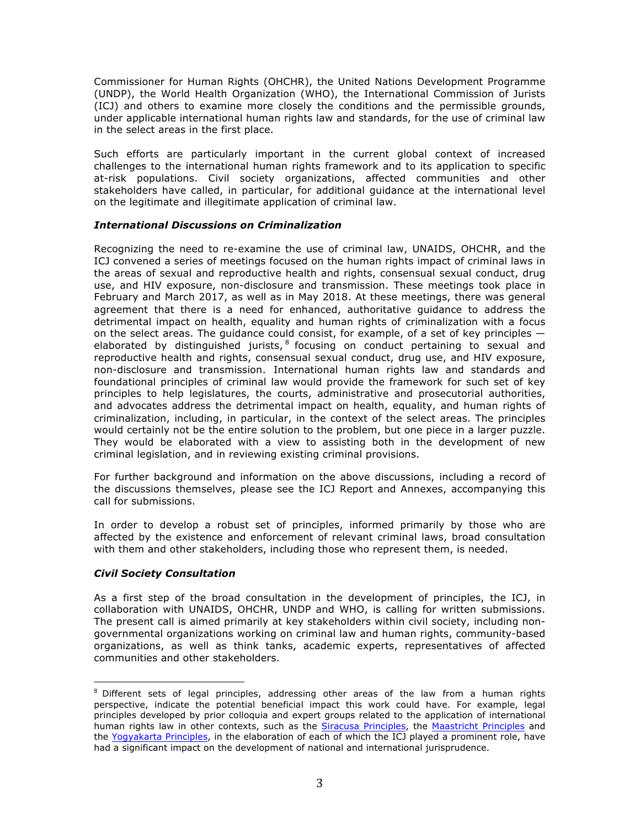Commissioner for Human Rights (OHCHR), the United Nations Development Programme (UNDP), the World Health Organization (WHO), the International Commission of Jurists (ICJ) and others to examine more closely the conditions and the permissible grounds, under applicable international human rights law and standards, for the use of criminal law in the select areas in the first place.

Such efforts are particularly important in the current global context of increased challenges to the international human rights framework and to its application to specific at-risk populations. Civil society organizations, affected communities and other stakeholders have called, in particular, for additional guidance at the international level on the legitimate and illegitimate application of criminal law.

## *International Discussions on Criminalization*

Recognizing the need to re-examine the use of criminal law, UNAIDS, OHCHR, and the ICJ convened a series of meetings focused on the human rights impact of criminal laws in the areas of sexual and reproductive health and rights, consensual sexual conduct, drug use, and HIV exposure, non-disclosure and transmission. These meetings took place in February and March 2017, as well as in May 2018. At these meetings, there was general agreement that there is a need for enhanced, authoritative guidance to address the detrimental impact on health, equality and human rights of criminalization with a focus on the select areas. The quidance could consist, for example, of a set of key principles  $$ elaborated by distinguished jurists,  $8$  focusing on conduct pertaining to sexual and reproductive health and rights, consensual sexual conduct, drug use, and HIV exposure, non-disclosure and transmission. International human rights law and standards and foundational principles of criminal law would provide the framework for such set of key principles to help legislatures, the courts, administrative and prosecutorial authorities, and advocates address the detrimental impact on health, equality, and human rights of criminalization, including, in particular, in the context of the select areas. The principles would certainly not be the entire solution to the problem, but one piece in a larger puzzle. They would be elaborated with a view to assisting both in the development of new criminal legislation, and in reviewing existing criminal provisions.

For further background and information on the above discussions, including a record of the discussions themselves, please see the ICJ Report and Annexes, accompanying this call for submissions.

In order to develop a robust set of principles, informed primarily by those who are affected by the existence and enforcement of relevant criminal laws, broad consultation with them and other stakeholders, including those who represent them, is needed.

## *Civil Society Consultation*

 

As a first step of the broad consultation in the development of principles, the ICJ, in collaboration with UNAIDS, OHCHR, UNDP and WHO, is calling for written submissions. The present call is aimed primarily at key stakeholders within civil society, including nongovernmental organizations working on criminal law and human rights, community-based organizations, as well as think tanks, academic experts, representatives of affected communities and other stakeholders.

 $8$  Different sets of legal principles, addressing other areas of the law from a human rights perspective, indicate the potential beneficial impact this work could have. For example, legal principles developed by prior colloquia and expert groups related to the application of international human rights law in other contexts, such as the Siracusa Principles, the Maastricht Principles and the Yogyakarta Principles, in the elaboration of each of which the ICJ played a prominent role, have had a significant impact on the development of national and international jurisprudence.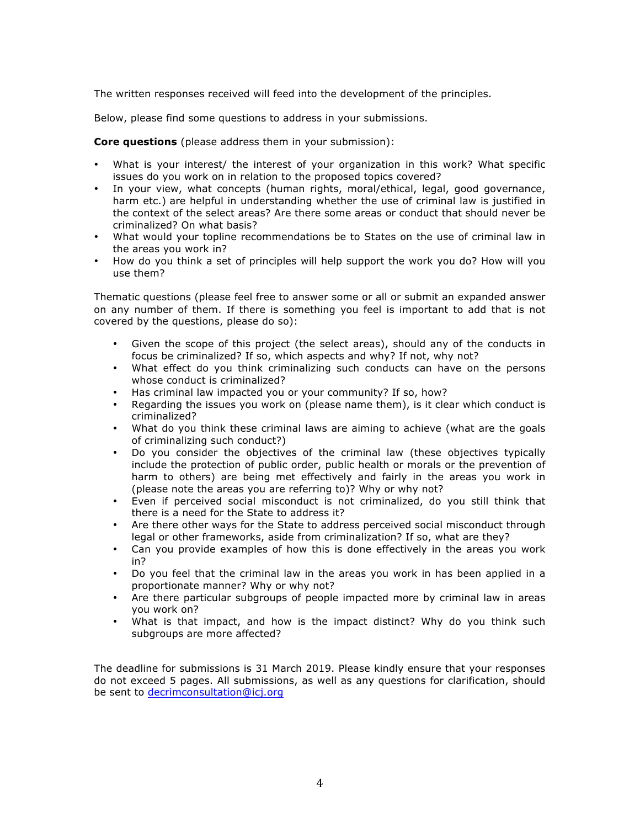The written responses received will feed into the development of the principles.

Below, please find some questions to address in your submissions.

**Core questions** (please address them in your submission):

- What is your interest/ the interest of your organization in this work? What specific issues do you work on in relation to the proposed topics covered?
- In your view, what concepts (human rights, moral/ethical, legal, good governance, harm etc.) are helpful in understanding whether the use of criminal law is justified in the context of the select areas? Are there some areas or conduct that should never be criminalized? On what basis?
- What would your topline recommendations be to States on the use of criminal law in the areas you work in?
- How do you think a set of principles will help support the work you do? How will you use them?

Thematic questions (please feel free to answer some or all or submit an expanded answer on any number of them. If there is something you feel is important to add that is not covered by the questions, please do so):

- Given the scope of this project (the select areas), should any of the conducts in focus be criminalized? If so, which aspects and why? If not, why not?
- What effect do you think criminalizing such conducts can have on the persons whose conduct is criminalized?
- Has criminal law impacted you or your community? If so, how?
- Regarding the issues you work on (please name them), is it clear which conduct is criminalized?
- What do you think these criminal laws are aiming to achieve (what are the goals of criminalizing such conduct?)
- Do you consider the objectives of the criminal law (these objectives typically include the protection of public order, public health or morals or the prevention of harm to others) are being met effectively and fairly in the areas you work in (please note the areas you are referring to)? Why or why not?
- Even if perceived social misconduct is not criminalized, do you still think that there is a need for the State to address it?
- Are there other ways for the State to address perceived social misconduct through legal or other frameworks, aside from criminalization? If so, what are they?
- Can you provide examples of how this is done effectively in the areas you work in?
- Do you feel that the criminal law in the areas you work in has been applied in a proportionate manner? Why or why not?
- Are there particular subgroups of people impacted more by criminal law in areas you work on?
- What is that impact, and how is the impact distinct? Why do you think such subgroups are more affected?

The deadline for submissions is 31 March 2019. Please kindly ensure that your responses do not exceed 5 pages. All submissions, as well as any questions for clarification, should be sent to decrimconsultation@icj.org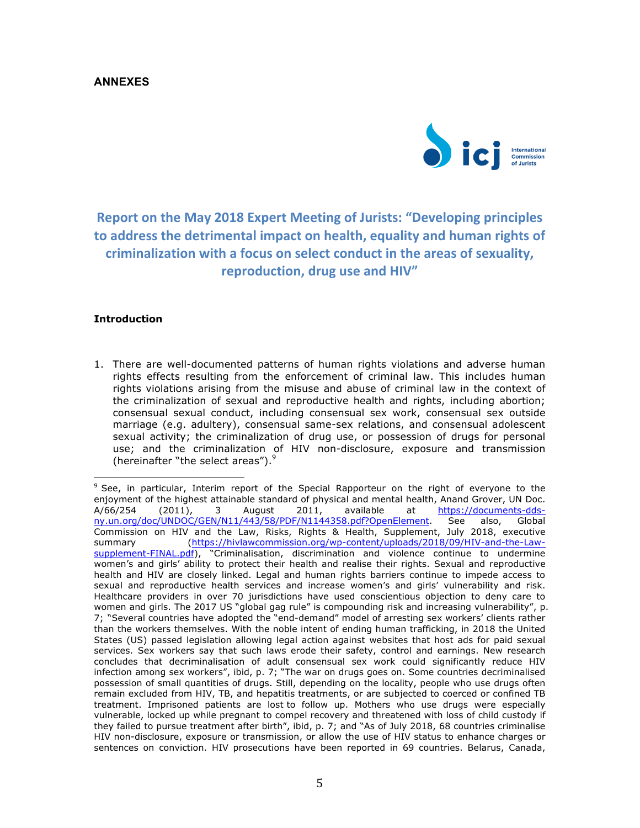## **ANNEXES**



**Report on the May 2018 Expert Meeting of Jurists: "Developing principles** to address the detrimental impact on health, equality and human rights of criminalization with a focus on select conduct in the areas of sexuality, **reproduction, drug use and HIV"** 

## **Introduction**

 

1. There are well-documented patterns of human rights violations and adverse human rights effects resulting from the enforcement of criminal law. This includes human rights violations arising from the misuse and abuse of criminal law in the context of the criminalization of sexual and reproductive health and rights, including abortion; consensual sexual conduct, including consensual sex work, consensual sex outside marriage (e.g. adultery), consensual same-sex relations, and consensual adolescent sexual activity; the criminalization of drug use, or possession of drugs for personal use; and the criminalization of HIV non-disclosure, exposure and transmission (hereinafter "the select areas").<sup>9</sup>

<sup>&</sup>lt;sup>9</sup> See, in particular, Interim report of the Special Rapporteur on the right of everyone to the enjoyment of the highest attainable standard of physical and mental health, Anand Grover, UN Doc. A/66/254 (2011), 3 August 2011, available at https://documents-ddsny.un.org/doc/UNDOC/GEN/N11/443/58/PDF/N1144358.pdf?OpenElement. See also, Global Commission on HIV and the Law, Risks, Rights & Health, Supplement, July 2018, executive summary (https://hivlawcommission.org/wp-content/uploads/2018/09/HIV-and-the-Lawsupplement-FINAL.pdf), "Criminalisation, discrimination and violence continue to undermine women's and girls' ability to protect their health and realise their rights. Sexual and reproductive health and HIV are closely linked. Legal and human rights barriers continue to impede access to sexual and reproductive health services and increase women's and girls' vulnerability and risk. Healthcare providers in over 70 jurisdictions have used conscientious objection to deny care to women and girls. The 2017 US "global gag rule" is compounding risk and increasing vulnerability", p. 7; "Several countries have adopted the "end-demand" model of arresting sex workers' clients rather than the workers themselves. With the noble intent of ending human trafficking, in 2018 the United States (US) passed legislation allowing legal action against websites that host ads for paid sexual services. Sex workers say that such laws erode their safety, control and earnings. New research concludes that decriminalisation of adult consensual sex work could significantly reduce HIV infection among sex workers", ibid, p. 7; "The war on drugs goes on. Some countries decriminalised possession of small quantities of drugs. Still, depending on the locality, people who use drugs often remain excluded from HIV, TB, and hepatitis treatments, or are subjected to coerced or confined TB treatment. Imprisoned patients are lost to follow up. Mothers who use drugs were especially vulnerable, locked up while pregnant to compel recovery and threatened with loss of child custody if they failed to pursue treatment after birth", ibid, p. 7; and "As of July 2018, 68 countries criminalise HIV non-disclosure, exposure or transmission, or allow the use of HIV status to enhance charges or sentences on conviction. HIV prosecutions have been reported in 69 countries. Belarus, Canada,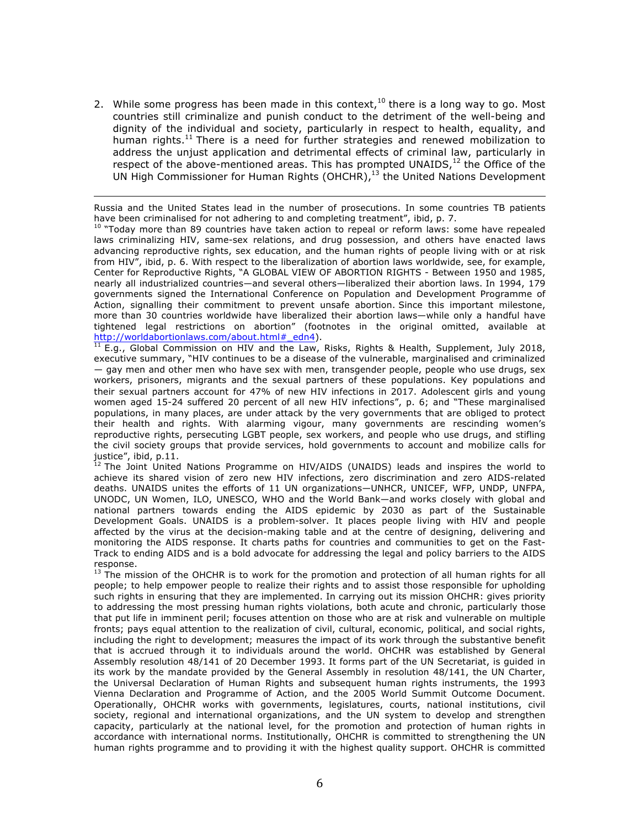2. While some progress has been made in this context,<sup>10</sup> there is a long way to go. Most countries still criminalize and punish conduct to the detriment of the well-being and dignity of the individual and society, particularly in respect to health, equality, and human rights.<sup>11</sup> There is a need for further strategies and renewed mobilization to address the unjust application and detrimental effects of criminal law, particularly in respect of the above-mentioned areas. This has prompted UNAIDS, $12$  the Office of the UN High Commissioner for Human Rights (OHCHR), $13$  the United Nations Development

<u> 1989 - Andrea San Andrew Maria (h. 1989).</u><br>1900 - Andrew Maria (h. 1980). Russia and the United States lead in the number of prosecutions. In some countries TB patients have been criminalised for not adhering to and completing treatment", ibid, p. 7.

 $10$  "Today more than 89 countries have taken action to repeal or reform laws: some have repealed laws criminalizing HIV, same-sex relations, and drug possession, and others have enacted laws advancing reproductive rights, sex education, and the human rights of people living with or at risk from HIV", ibid, p. 6. With respect to the liberalization of abortion laws worldwide, see, for example, Center for Reproductive Rights, "A GLOBAL VIEW OF ABORTION RIGHTS - Between 1950 and 1985, nearly all industrialized countries—and several others—liberalized their abortion laws. In 1994, 179 governments signed the International Conference on Population and Development Programme of Action, signalling their commitment to prevent unsafe abortion. Since this important milestone, more than 30 countries worldwide have liberalized their abortion laws—while only a handful have tightened legal restrictions on abortion" (footnotes in the original omitted, available at http://worldabortionlaws.com/about.html#\_edn4).

 $11$  E.g., Global Commission on HIV and the Law, Risks, Rights & Health, Supplement, July 2018, executive summary, "HIV continues to be a disease of the vulnerable, marginalised and criminalized — gay men and other men who have sex with men, transgender people, people who use drugs, sex workers, prisoners, migrants and the sexual partners of these populations. Key populations and their sexual partners account for 47% of new HIV infections in 2017. Adolescent girls and young women aged 15-24 suffered 20 percent of all new HIV infections", p. 6; and "These marginalised populations, in many places, are under attack by the very governments that are obliged to protect their health and rights. With alarming vigour, many governments are rescinding women's reproductive rights, persecuting LGBT people, sex workers, and people who use drugs, and stifling the civil society groups that provide services, hold governments to account and mobilize calls for justice", ibid,  $p.11$ .

 $12$  The Joint United Nations Programme on HIV/AIDS (UNAIDS) leads and inspires the world to achieve its shared vision of zero new HIV infections, zero discrimination and zero AIDS-related deaths. UNAIDS unites the efforts of 11 UN organizations—UNHCR, UNICEF, WFP, UNDP, UNFPA, UNODC, UN Women, ILO, UNESCO, WHO and the World Bank—and works closely with global and national partners towards ending the AIDS epidemic by 2030 as part of the Sustainable Development Goals. UNAIDS is a problem-solver. It places people living with HIV and people affected by the virus at the decision-making table and at the centre of designing, delivering and monitoring the AIDS response. It charts paths for countries and communities to get on the Fast-Track to ending AIDS and is a bold advocate for addressing the legal and policy barriers to the AIDS response.

 $<sup>13</sup>$  The mission of the OHCHR is to work for the promotion and protection of all human rights for all</sup> people; to help empower people to realize their rights and to assist those responsible for upholding such rights in ensuring that they are implemented. In carrying out its mission OHCHR: gives priority to addressing the most pressing human rights violations, both acute and chronic, particularly those that put life in imminent peril; focuses attention on those who are at risk and vulnerable on multiple fronts; pays equal attention to the realization of civil, cultural, economic, political, and social rights, including the right to development; measures the impact of its work through the substantive benefit that is accrued through it to individuals around the world. OHCHR was established by General Assembly resolution 48/141 of 20 December 1993. It forms part of the UN Secretariat, is guided in its work by the mandate provided by the General Assembly in resolution 48/141, the UN Charter, the Universal Declaration of Human Rights and subsequent human rights instruments, the 1993 Vienna Declaration and Programme of Action, and the 2005 World Summit Outcome Document. Operationally, OHCHR works with governments, legislatures, courts, national institutions, civil society, regional and international organizations, and the UN system to develop and strengthen capacity, particularly at the national level, for the promotion and protection of human rights in accordance with international norms. Institutionally, OHCHR is committed to strengthening the UN human rights programme and to providing it with the highest quality support. OHCHR is committed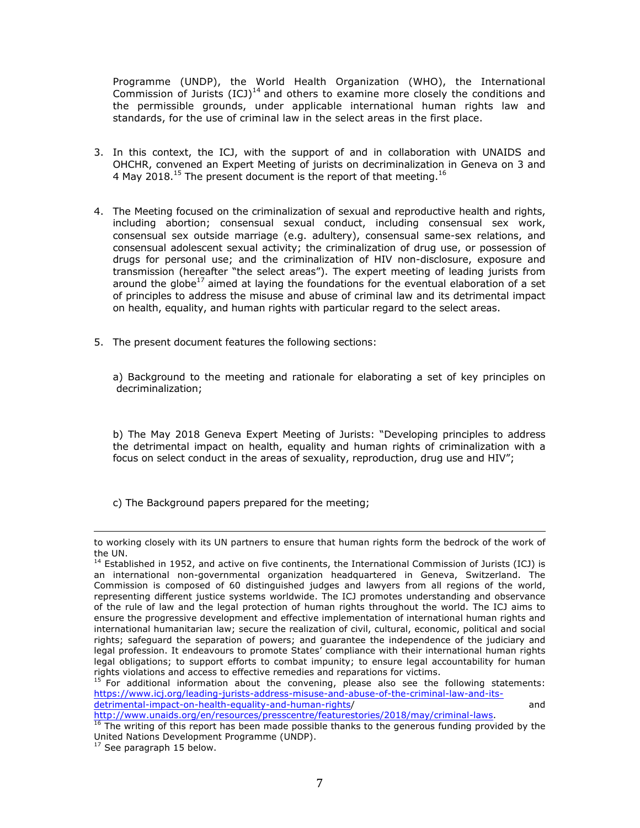Programme (UNDP), the World Health Organization (WHO), the International Commission of Jurists  $(ICJ)^{14}$  and others to examine more closely the conditions and the permissible grounds, under applicable international human rights law and standards, for the use of criminal law in the select areas in the first place.

- 3. In this context, the ICJ, with the support of and in collaboration with UNAIDS and OHCHR, convened an Expert Meeting of jurists on decriminalization in Geneva on 3 and 4 May 2018.<sup>15</sup> The present document is the report of that meeting.<sup>16</sup>
- 4. The Meeting focused on the criminalization of sexual and reproductive health and rights, including abortion; consensual sexual conduct, including consensual sex work, consensual sex outside marriage (e.g. adultery), consensual same-sex relations, and consensual adolescent sexual activity; the criminalization of drug use, or possession of drugs for personal use; and the criminalization of HIV non-disclosure, exposure and transmission (hereafter "the select areas"). The expert meeting of leading jurists from around the globe<sup>17</sup> aimed at laying the foundations for the eventual elaboration of a set of principles to address the misuse and abuse of criminal law and its detrimental impact on health, equality, and human rights with particular regard to the select areas.
- 5. The present document features the following sections:

a) Background to the meeting and rationale for elaborating a set of key principles on decriminalization;

b) The May 2018 Geneva Expert Meeting of Jurists: "Developing principles to address the detrimental impact on health, equality and human rights of criminalization with a focus on select conduct in the areas of sexuality, reproduction, drug use and HIV";

c) The Background papers prepared for the meeting;

http://www.unaids.org/en/resources/presscentre/featurestories/2018/may/criminal-laws.

<sup>&</sup>lt;u> 1989 - Andrea Santa Andrea Andrea Andrea Andrea Andrea Andrea Andrea Andrea Andrea Andrea Andrea Andrea Andr</u> to working closely with its UN partners to ensure that human rights form the bedrock of the work of the UN.

 $<sup>14</sup>$  Established in 1952, and active on five continents, the International Commission of Jurists (ICJ) is</sup> an international non-governmental organization headquartered in Geneva, Switzerland. The Commission is composed of 60 distinguished judges and lawyers from all regions of the world, representing different justice systems worldwide. The ICJ promotes understanding and observance of the rule of law and the legal protection of human rights throughout the world. The ICJ aims to ensure the progressive development and effective implementation of international human rights and international humanitarian law; secure the realization of civil, cultural, economic, political and social rights; safeguard the separation of powers; and guarantee the independence of the judiciary and legal profession. It endeavours to promote States' compliance with their international human rights legal obligations; to support efforts to combat impunity; to ensure legal accountability for human<br>rights violations and access to effective remedies and reparations for victims.

 $15$  For additional information about the convening, please also see the following statements: https://www.icj.org/leading-jurists-address-misuse-and-abuse-of-the-criminal-law-and-itsdetrimental-impact-on-health-equality-and-human-rights/ and

 $16$  The writing of this report has been made possible thanks to the generous funding provided by the United Nations Development Programme (UNDP).

 $17$  See paragraph 15 below.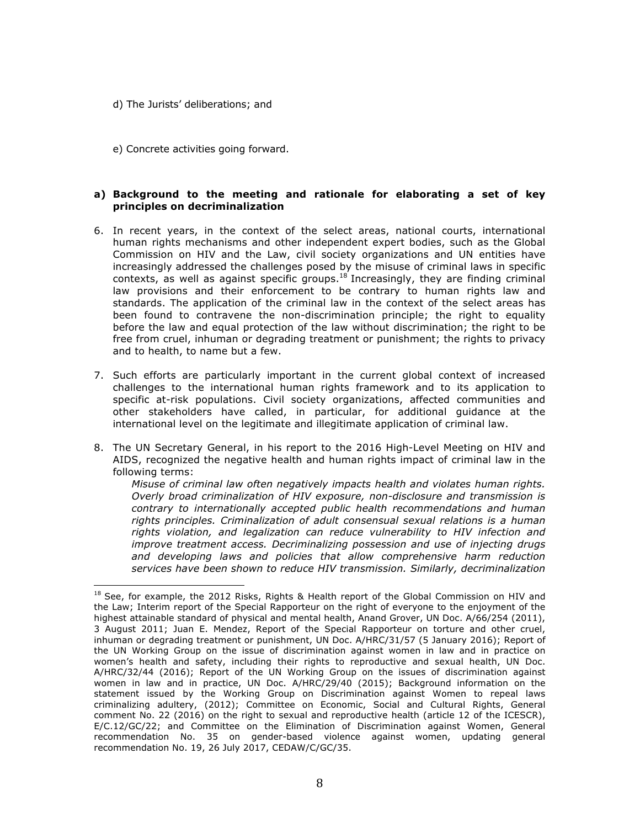d) The Jurists' deliberations; and

 

e) Concrete activities going forward.

## **a) Background to the meeting and rationale for elaborating a set of key principles on decriminalization**

- 6. In recent years, in the context of the select areas, national courts, international human rights mechanisms and other independent expert bodies, such as the Global Commission on HIV and the Law, civil society organizations and UN entities have increasingly addressed the challenges posed by the misuse of criminal laws in specific contexts, as well as against specific groups.<sup>18</sup> Increasingly, they are finding criminal law provisions and their enforcement to be contrary to human rights law and standards. The application of the criminal law in the context of the select areas has been found to contravene the non-discrimination principle; the right to equality before the law and equal protection of the law without discrimination; the right to be free from cruel, inhuman or degrading treatment or punishment; the rights to privacy and to health, to name but a few.
- 7. Such efforts are particularly important in the current global context of increased challenges to the international human rights framework and to its application to specific at-risk populations. Civil society organizations, affected communities and other stakeholders have called, in particular, for additional guidance at the international level on the legitimate and illegitimate application of criminal law.
- 8. The UN Secretary General, in his report to the 2016 High-Level Meeting on HIV and AIDS, recognized the negative health and human rights impact of criminal law in the following terms:

*Misuse of criminal law often negatively impacts health and violates human rights. Overly broad criminalization of HIV exposure, non-disclosure and transmission is contrary to internationally accepted public health recommendations and human rights principles. Criminalization of adult consensual sexual relations is a human rights violation, and legalization can reduce vulnerability to HIV infection and improve treatment access. Decriminalizing possession and use of injecting drugs and developing laws and policies that allow comprehensive harm reduction services have been shown to reduce HIV transmission. Similarly, decriminalization* 

<sup>&</sup>lt;sup>18</sup> See, for example, the 2012 Risks, Rights & Health report of the Global Commission on HIV and the Law; Interim report of the Special Rapporteur on the right of everyone to the enjoyment of the highest attainable standard of physical and mental health, Anand Grover, UN Doc. A/66/254 (2011), 3 August 2011; Juan E. Mendez, Report of the Special Rapporteur on torture and other cruel, inhuman or degrading treatment or punishment, UN Doc. A/HRC/31/57 (5 January 2016); Report of the UN Working Group on the issue of discrimination against women in law and in practice on women's health and safety, including their rights to reproductive and sexual health, UN Doc. A/HRC/32/44 (2016); Report of the UN Working Group on the issues of discrimination against women in law and in practice, UN Doc. A/HRC/29/40 (2015); Background information on the statement issued by the Working Group on Discrimination against Women to repeal laws criminalizing adultery, (2012); Committee on Economic, Social and Cultural Rights, General comment No. 22 (2016) on the right to sexual and reproductive health (article 12 of the ICESCR), E/C.12/GC/22; and Committee on the Elimination of Discrimination against Women, General recommendation No. 35 on gender-based violence against women, updating general recommendation No. 19, 26 July 2017, CEDAW/C/GC/35.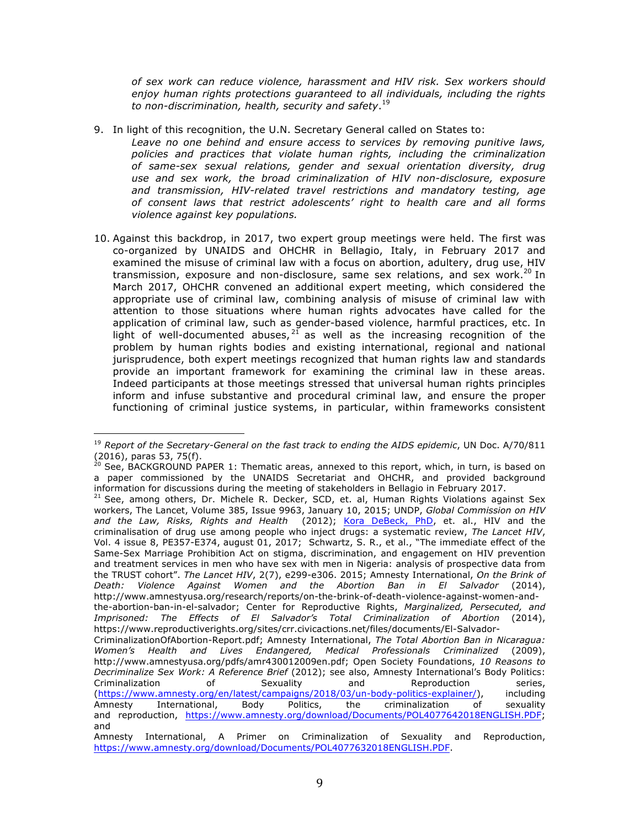*of sex work can reduce violence, harassment and HIV risk. Sex workers should enjoy human rights protections guaranteed to all individuals, including the rights to non-discrimination, health, security and safety*. 19

- 9. In light of this recognition, the U.N. Secretary General called on States to:
	- *Leave no one behind and ensure access to services by removing punitive laws, policies and practices that violate human rights, including the criminalization of same-sex sexual relations, gender and sexual orientation diversity, drug use and sex work, the broad criminalization of HIV non-disclosure, exposure and transmission, HIV-related travel restrictions and mandatory testing, age of consent laws that restrict adolescents' right to health care and all forms violence against key populations.*
- 10. Against this backdrop, in 2017, two expert group meetings were held. The first was co-organized by UNAIDS and OHCHR in Bellagio, Italy, in February 2017 and examined the misuse of criminal law with a focus on abortion, adultery, drug use, HIV transmission, exposure and non-disclosure, same sex relations, and sex work.<sup>20</sup> In March 2017, OHCHR convened an additional expert meeting, which considered the appropriate use of criminal law, combining analysis of misuse of criminal law with attention to those situations where human rights advocates have called for the application of criminal law, such as gender-based violence, harmful practices, etc. In light of well-documented abuses,  $21$  as well as the increasing recognition of the problem by human rights bodies and existing international, regional and national jurisprudence, both expert meetings recognized that human rights law and standards provide an important framework for examining the criminal law in these areas. Indeed participants at those meetings stressed that universal human rights principles inform and infuse substantive and procedural criminal law, and ensure the proper functioning of criminal justice systems, in particular, within frameworks consistent

 

 $21$  See, among others, Dr. Michele R. Decker, SCD, et. al, Human Rights Violations against Sex workers, The Lancet, Volume 385, Issue 9963, January 10, 2015; UNDP, *Global Commission on HIV and the Law, Risks, Rights and Health* (2012); Kora DeBeck, PhD, et. al., HIV and the criminalisation of drug use among people who inject drugs: a systematic review, *The Lancet HIV*, Vol. 4 issue 8, PE357-E374, august 01, 2017; Schwartz, S. R., et al., "The immediate effect of the Same-Sex Marriage Prohibition Act on stigma, discrimination, and engagement on HIV prevention and treatment services in men who have sex with men in Nigeria: analysis of prospective data from the TRUST cohort". *The Lancet HIV*, 2(7), e299-e306. 2015; Amnesty International, *On the Brink of Death: Violence Against Women and the Abortion Ban in El Salvador* (2014), http://www.amnestyusa.org/research/reports/on-the-brink-of-death-violence-against-women-andthe-abortion-ban-in-el-salvador; Center for Reproductive Rights, *Marginalized, Persecuted, and Imprisoned: The Effects of El Salvador's Total Criminalization of Abortion* (2014), https://www.reproductiverights.org/sites/crr.civicactions.net/files/documents/El-Salvador-CriminalizationOfAbortion-Report.pdf; Amnesty International, *The Total Abortion Ban in Nicaragua:* 

*Women's Health and Lives Endangered, Medical Professionals Criminalized* (2009), http://www.amnestyusa.org/pdfs/amr430012009en.pdf; Open Society Foundations, *10 Reasons to Decriminalize Sex Work: A Reference Brief* (2012); see also, Amnesty International's Body Politics: Criminalization of Sexuality and Reproduction series, (https://www.amnesty.org/en/latest/campaigns/2018/03/un-body-politics-explainer/), including Amnesty International, Body Politics, the criminalization of sexuality and reproduction, https://www.amnesty.org/download/Documents/POL4077642018ENGLISH.PDF; and

<sup>&</sup>lt;sup>19</sup> Report of the Secretary-General on the fast track to ending the AIDS epidemic, UN Doc. A/70/811  $(2016)$ , paras 53, 75(f).

 $^{10}$  See, BACKGROUND PAPER 1: Thematic areas, annexed to this report, which, in turn, is based on a paper commissioned by the UNAIDS Secretariat and OHCHR, and provided background information for discussions during the meeting of stakeholders in Bellagio in February 2017.

Amnesty International, A Primer on Criminalization of Sexuality and Reproduction, https://www.amnesty.org/download/Documents/POL4077632018ENGLISH.PDF.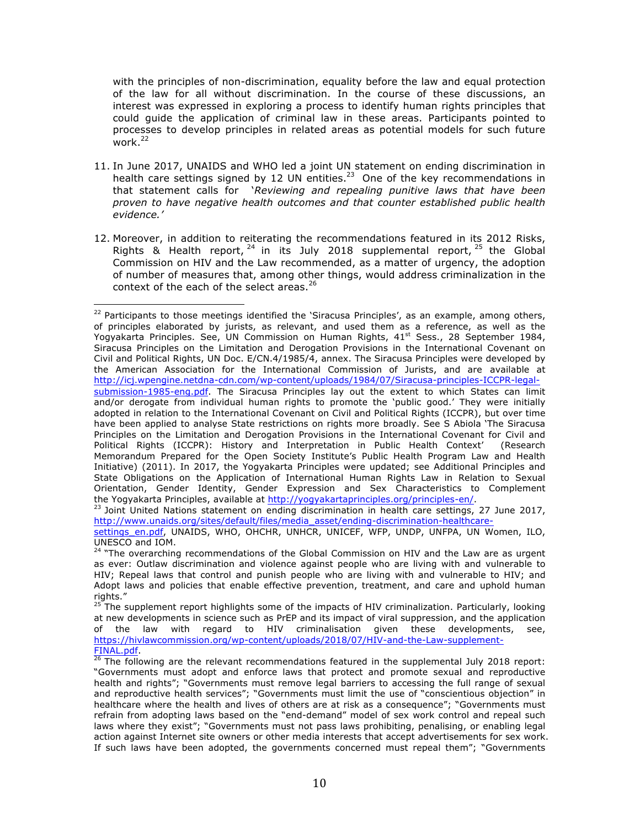with the principles of non-discrimination, equality before the law and equal protection of the law for all without discrimination. In the course of these discussions, an interest was expressed in exploring a process to identify human rights principles that could guide the application of criminal law in these areas. Participants pointed to processes to develop principles in related areas as potential models for such future work. $^{22}$ 

- 11. In June 2017, UNAIDS and WHO led a joint UN statement on ending discrimination in health care settings signed by 12 UN entities.<sup>23</sup> One of the key recommendations in that statement calls for '*Reviewing and repealing punitive laws that have been proven to have negative health outcomes and that counter established public health evidence.'*
- 12. Moreover, in addition to reiterating the recommendations featured in its 2012 Risks, Rights  $\&$  Health report,  $^{24}$  in its July 2018 supplemental report,  $^{25}$  the Global Commission on HIV and the Law recommended, as a matter of urgency, the adoption of number of measures that, among other things, would address criminalization in the context of the each of the select areas.<sup>26</sup>

 

<sup>23</sup> Joint United Nations statement on ending discrimination in health care settings, 27 June 2017, http://www.unaids.org/sites/default/files/media\_asset/ending-discrimination-healthcare-

 $^{22}$  Participants to those meetings identified the 'Siracusa Principles', as an example, among others, of principles elaborated by jurists, as relevant, and used them as a reference, as well as the Yogyakarta Principles. See, UN Commission on Human Rights, 41<sup>st</sup> Sess., 28 September 1984, Siracusa Principles on the Limitation and Derogation Provisions in the International Covenant on Civil and Political Rights, UN Doc. E/CN.4/1985/4, annex. The Siracusa Principles were developed by the American Association for the International Commission of Jurists, and are available at http://icj.wpengine.netdna-cdn.com/wp-content/uploads/1984/07/Siracusa-principles-ICCPR-legalsubmission-1985-eng.pdf. The Siracusa Principles lay out the extent to which States can limit and/or derogate from individual human rights to promote the 'public good.' They were initially adopted in relation to the International Covenant on Civil and Political Rights (ICCPR), but over time have been applied to analyse State restrictions on rights more broadly. See S Abiola 'The Siracusa Principles on the Limitation and Derogation Provisions in the International Covenant for Civil and Political Rights (ICCPR): History and Interpretation in Public Health Context' (Research Memorandum Prepared for the Open Society Institute's Public Health Program Law and Health Initiative) (2011). In 2017, the Yogyakarta Principles were updated; see Additional Principles and State Obligations on the Application of International Human Rights Law in Relation to Sexual Orientation, Gender Identity, Gender Expression and Sex Characteristics to Complement the Yogyakarta Principles, available at http://yogyakartaprinciples.org/principles-en/.

settings\_en.pdf, UNAIDS, WHO, OHCHR, UNHCR, UNICEF, WFP, UNDP, UNFPA, UN Women, ILO, UNESCO and IOM.

<sup>&</sup>lt;sup>24</sup> "The overarching recommendations of the Global Commission on HIV and the Law are as urgent as ever: Outlaw discrimination and violence against people who are living with and vulnerable to HIV; Repeal laws that control and punish people who are living with and vulnerable to HIV; and Adopt laws and policies that enable effective prevention, treatment, and care and uphold human rights."

<sup>25</sup> The supplement report highlights some of the impacts of HIV criminalization. Particularly, looking at new developments in science such as PrEP and its impact of viral suppression, and the application of the law with regard to HIV criminalisation given these developments, see, https://hivlawcommission.org/wp-content/uploads/2018/07/HIV-and-the-Law-supplement-FINAL.pdf.

 $^{26}$  The following are the relevant recommendations featured in the supplemental July 2018 report: "Governments must adopt and enforce laws that protect and promote sexual and reproductive health and rights"; "Governments must remove legal barriers to accessing the full range of sexual and reproductive health services"; "Governments must limit the use of "conscientious objection" in healthcare where the health and lives of others are at risk as a consequence"; "Governments must refrain from adopting laws based on the "end-demand" model of sex work control and repeal such laws where they exist"; "Governments must not pass laws prohibiting, penalising, or enabling legal action against Internet site owners or other media interests that accept advertisements for sex work. If such laws have been adopted, the governments concerned must repeal them"; "Governments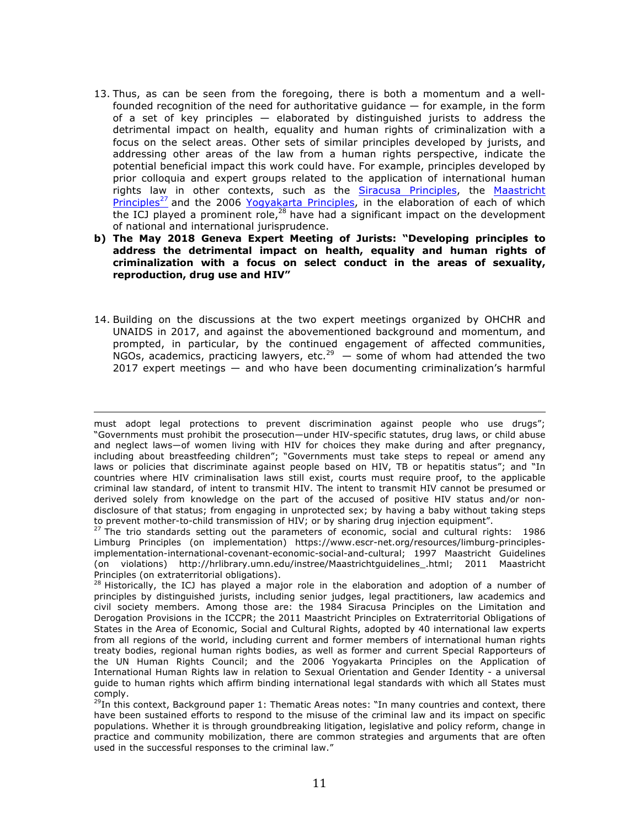- 13. Thus, as can be seen from the foregoing, there is both a momentum and a wellfounded recognition of the need for authoritative guidance — for example, in the form of a set of key principles — elaborated by distinguished jurists to address the detrimental impact on health, equality and human rights of criminalization with a focus on the select areas. Other sets of similar principles developed by jurists, and addressing other areas of the law from a human rights perspective, indicate the potential beneficial impact this work could have. For example, principles developed by prior colloquia and expert groups related to the application of international human rights law in other contexts, such as the Siracusa Principles, the Maastricht Principles<sup>27</sup> and the 2006 Yogyakarta Principles, in the elaboration of each of which the ICJ played a prominent role,<sup>28</sup> have had a significant impact on the development of national and international jurisprudence.
- **b) The May 2018 Geneva Expert Meeting of Jurists: "Developing principles to address the detrimental impact on health, equality and human rights of criminalization with a focus on select conduct in the areas of sexuality, reproduction, drug use and HIV"**
- 14. Building on the discussions at the two expert meetings organized by OHCHR and UNAIDS in 2017, and against the abovementioned background and momentum, and prompted, in particular, by the continued engagement of affected communities, NGOs, academics, practicing lawyers, etc.<sup>29</sup>  $-$  some of whom had attended the two 2017 expert meetings — and who have been documenting criminalization's harmful

<u> 1989 - Andrea Santa Andrea Andrea Andrea Andrea Andrea Andrea Andrea Andrea Andrea Andrea Andrea Andrea Andr</u>

must adopt legal protections to prevent discrimination against people who use drugs"; "Governments must prohibit the prosecution—under HIV-specific statutes, drug laws, or child abuse and neglect laws—of women living with HIV for choices they make during and after pregnancy, including about breastfeeding children"; "Governments must take steps to repeal or amend any laws or policies that discriminate against people based on HIV, TB or hepatitis status"; and "In countries where HIV criminalisation laws still exist, courts must require proof, to the applicable criminal law standard, of intent to transmit HIV. The intent to transmit HIV cannot be presumed or derived solely from knowledge on the part of the accused of positive HIV status and/or nondisclosure of that status; from engaging in unprotected sex; by having a baby without taking steps to prevent mother-to-child transmission of HIV; or by sharing drug injection equipment".

 $27$  The trio standards setting out the parameters of economic, social and cultural rights: 1986 Limburg Principles (on implementation) https://www.escr-net.org/resources/limburg-principlesimplementation-international-covenant-economic-social-and-cultural; 1997 Maastricht Guidelines (on violations) http://hrlibrary.umn.edu/instree/Maastrichtguidelines\_.html; 2011 Maastricht Principles (on extraterritorial obligations).

 $28$  Historically, the ICJ has played a major role in the elaboration and adoption of a number of principles by distinguished jurists, including senior judges, legal practitioners, law academics and civil society members. Among those are: the 1984 Siracusa Principles on the Limitation and Derogation Provisions in the ICCPR; the 2011 Maastricht Principles on Extraterritorial Obligations of States in the Area of Economic, Social and Cultural Rights, adopted by 40 international law experts from all regions of the world, including current and former members of international human rights treaty bodies, regional human rights bodies, as well as former and current Special Rapporteurs of the UN Human Rights Council; and the 2006 Yogyakarta Principles on the Application of International Human Rights law in relation to Sexual Orientation and Gender Identity - a universal guide to human rights which affirm binding international legal standards with which all States must comply.

 $^{29}$ In this context, Background paper 1: Thematic Areas notes: "In many countries and context, there have been sustained efforts to respond to the misuse of the criminal law and its impact on specific populations. Whether it is through groundbreaking litigation, legislative and policy reform, change in practice and community mobilization, there are common strategies and arguments that are often used in the successful responses to the criminal law."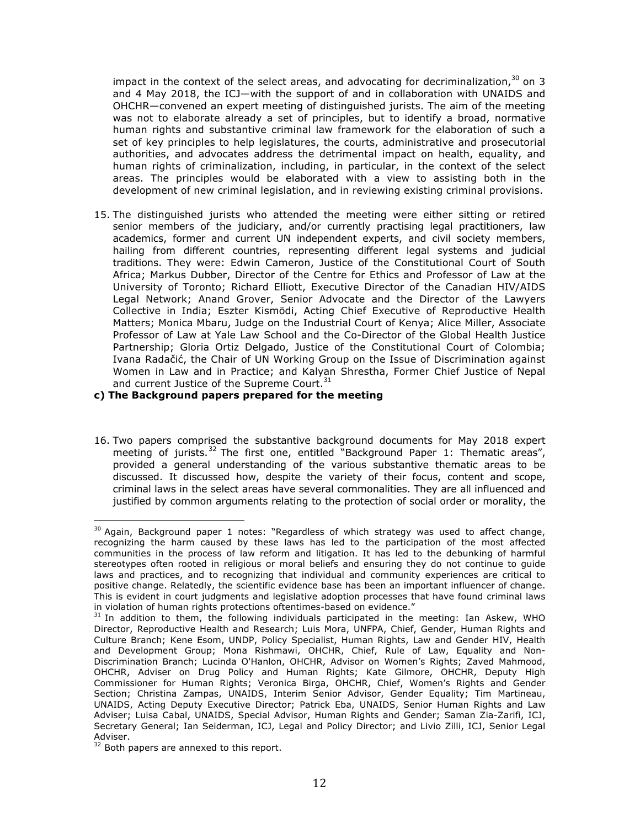impact in the context of the select areas, and advocating for decriminalization, $30$  on 3 and 4 May 2018, the ICJ—with the support of and in collaboration with UNAIDS and OHCHR—convened an expert meeting of distinguished jurists. The aim of the meeting was not to elaborate already a set of principles, but to identify a broad, normative human rights and substantive criminal law framework for the elaboration of such a set of key principles to help legislatures, the courts, administrative and prosecutorial authorities, and advocates address the detrimental impact on health, equality, and human rights of criminalization, including, in particular, in the context of the select areas. The principles would be elaborated with a view to assisting both in the development of new criminal legislation, and in reviewing existing criminal provisions.

15. The distinguished jurists who attended the meeting were either sitting or retired senior members of the judiciary, and/or currently practising legal practitioners, law academics, former and current UN independent experts, and civil society members, hailing from different countries, representing different legal systems and judicial traditions. They were: Edwin Cameron, Justice of the Constitutional Court of South Africa; Markus Dubber, Director of the Centre for Ethics and Professor of Law at the University of Toronto; Richard Elliott, Executive Director of the Canadian HIV/AIDS Legal Network; Anand Grover, Senior Advocate and the Director of the Lawyers Collective in India; Eszter Kismödi, Acting Chief Executive of Reproductive Health Matters; Monica Mbaru, Judge on the Industrial Court of Kenya; Alice Miller, Associate Professor of Law at Yale Law School and the Co-Director of the Global Health Justice Partnership; Gloria Ortiz Delgado, Justice of the Constitutional Court of Colombia; Ivana Radačić, the Chair of UN Working Group on the Issue of Discrimination against Women in Law and in Practice; and Kalyan Shrestha, Former Chief Justice of Nepal and current Justice of the Supreme Court. $31$ 

## **c) The Background papers prepared for the meeting**

16. Two papers comprised the substantive background documents for May 2018 expert meeting of jurists.<sup>32</sup> The first one, entitled "Background Paper 1: Thematic areas", provided a general understanding of the various substantive thematic areas to be discussed. It discussed how, despite the variety of their focus, content and scope, criminal laws in the select areas have several commonalities. They are all influenced and justified by common arguments relating to the protection of social order or morality, the

 $30$  Again, Background paper 1 notes: "Regardless of which strategy was used to affect change, recognizing the harm caused by these laws has led to the participation of the most affected communities in the process of law reform and litigation. It has led to the debunking of harmful stereotypes often rooted in religious or moral beliefs and ensuring they do not continue to guide laws and practices, and to recognizing that individual and community experiences are critical to positive change. Relatedly, the scientific evidence base has been an important influencer of change. This is evident in court judgments and legislative adoption processes that have found criminal laws in violation of human rights protections oftentimes-based on evidence."<br><sup>31</sup> In addition to them, the following individuals participated in the meeting: Ian Askew, WHO

Director, Reproductive Health and Research; Luis Mora, UNFPA, Chief, Gender, Human Rights and Culture Branch; Kene Esom, UNDP, Policy Specialist, Human Rights, Law and Gender HIV, Health and Development Group; Mona Rishmawi, OHCHR, Chief, Rule of Law, Equality and Non-Discrimination Branch; Lucinda O'Hanlon, OHCHR, Advisor on Women's Rights; Zaved Mahmood, OHCHR, Adviser on Drug Policy and Human Rights; Kate Gilmore, OHCHR, Deputy High Commissioner for Human Rights; Veronica Birga, OHCHR, Chief, Women's Rights and Gender Section; Christina Zampas, UNAIDS, Interim Senior Advisor, Gender Equality; Tim Martineau, UNAIDS, Acting Deputy Executive Director; Patrick Eba, UNAIDS, Senior Human Rights and Law Adviser; Luisa Cabal, UNAIDS, Special Advisor, Human Rights and Gender; Saman Zia-Zarifi, ICJ, Secretary General; Ian Seiderman, ICJ, Legal and Policy Director; and Livio Zilli, ICJ, Senior Legal Adviser.

 $32$  Both papers are annexed to this report.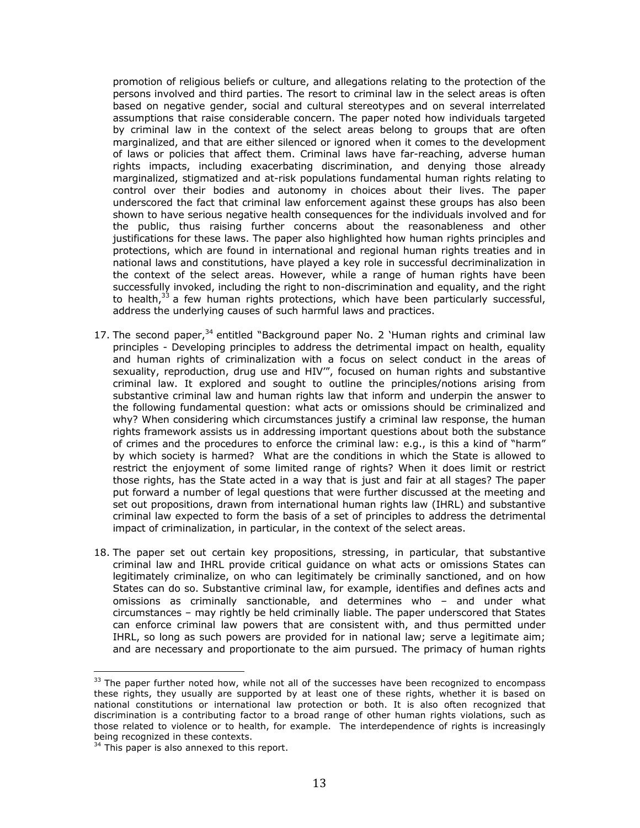promotion of religious beliefs or culture, and allegations relating to the protection of the persons involved and third parties. The resort to criminal law in the select areas is often based on negative gender, social and cultural stereotypes and on several interrelated assumptions that raise considerable concern. The paper noted how individuals targeted by criminal law in the context of the select areas belong to groups that are often marginalized, and that are either silenced or ignored when it comes to the development of laws or policies that affect them. Criminal laws have far-reaching, adverse human rights impacts, including exacerbating discrimination, and denying those already marginalized, stigmatized and at-risk populations fundamental human rights relating to control over their bodies and autonomy in choices about their lives. The paper underscored the fact that criminal law enforcement against these groups has also been shown to have serious negative health consequences for the individuals involved and for the public, thus raising further concerns about the reasonableness and other justifications for these laws. The paper also highlighted how human rights principles and protections, which are found in international and regional human rights treaties and in national laws and constitutions, have played a key role in successful decriminalization in the context of the select areas. However, while a range of human rights have been successfully invoked, including the right to non-discrimination and equality, and the right to health, $33$  a few human rights protections, which have been particularly successful, address the underlying causes of such harmful laws and practices.

- 17. The second paper, $34$  entitled "Background paper No. 2 'Human rights and criminal law principles - Developing principles to address the detrimental impact on health, equality and human rights of criminalization with a focus on select conduct in the areas of sexuality, reproduction, drug use and HIV'", focused on human rights and substantive criminal law. It explored and sought to outline the principles/notions arising from substantive criminal law and human rights law that inform and underpin the answer to the following fundamental question: what acts or omissions should be criminalized and why? When considering which circumstances justify a criminal law response, the human rights framework assists us in addressing important questions about both the substance of crimes and the procedures to enforce the criminal law: e.g., is this a kind of "harm" by which society is harmed? What are the conditions in which the State is allowed to restrict the enjoyment of some limited range of rights? When it does limit or restrict those rights, has the State acted in a way that is just and fair at all stages? The paper put forward a number of legal questions that were further discussed at the meeting and set out propositions, drawn from international human rights law (IHRL) and substantive criminal law expected to form the basis of a set of principles to address the detrimental impact of criminalization, in particular, in the context of the select areas.
- 18. The paper set out certain key propositions, stressing, in particular, that substantive criminal law and IHRL provide critical guidance on what acts or omissions States can legitimately criminalize, on who can legitimately be criminally sanctioned, and on how States can do so. Substantive criminal law, for example, identifies and defines acts and omissions as criminally sanctionable, and determines who – and under what circumstances – may rightly be held criminally liable. The paper underscored that States can enforce criminal law powers that are consistent with, and thus permitted under IHRL, so long as such powers are provided for in national law; serve a legitimate aim; and are necessary and proportionate to the aim pursued. The primacy of human rights

<sup>&</sup>lt;sup>33</sup> The paper further noted how, while not all of the successes have been recognized to encompass these rights, they usually are supported by at least one of these rights, whether it is based on national constitutions or international law protection or both. It is also often recognized that discrimination is a contributing factor to a broad range of other human rights violations, such as those related to violence or to health, for example. The interdependence of rights is increasingly being recognized in these contexts.

<sup>&</sup>lt;sup>34</sup> This paper is also annexed to this report.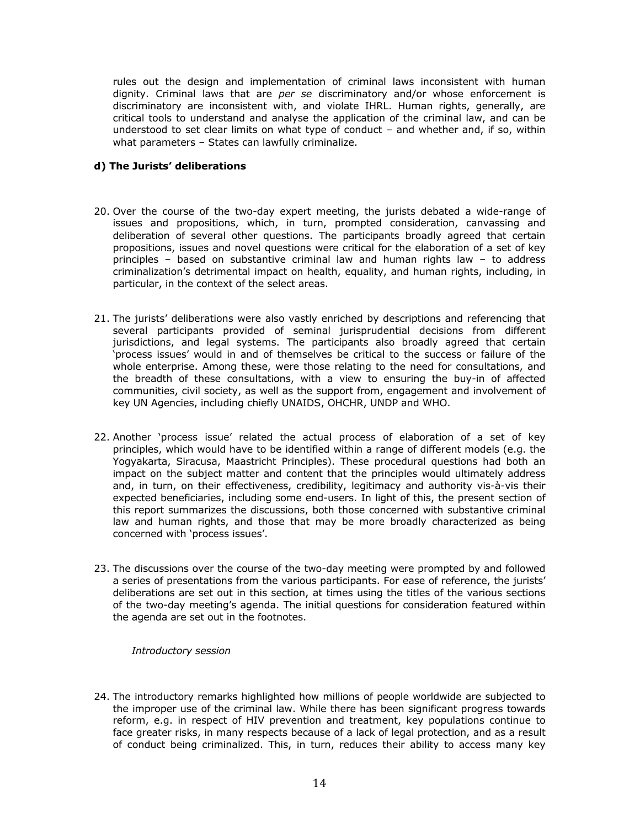rules out the design and implementation of criminal laws inconsistent with human dignity. Criminal laws that are *per se* discriminatory and/or whose enforcement is discriminatory are inconsistent with, and violate IHRL. Human rights, generally, are critical tools to understand and analyse the application of the criminal law, and can be understood to set clear limits on what type of conduct *–* and whether and, if so, within what parameters *–* States can lawfully criminalize.

## **d) The Jurists' deliberations**

- 20. Over the course of the two-day expert meeting, the jurists debated a wide-range of issues and propositions, which, in turn, prompted consideration, canvassing and deliberation of several other questions. The participants broadly agreed that certain propositions, issues and novel questions were critical for the elaboration of a set of key principles – based on substantive criminal law and human rights law – to address criminalization's detrimental impact on health, equality, and human rights, including, in particular, in the context of the select areas.
- 21. The jurists' deliberations were also vastly enriched by descriptions and referencing that several participants provided of seminal jurisprudential decisions from different jurisdictions, and legal systems. The participants also broadly agreed that certain 'process issues' would in and of themselves be critical to the success or failure of the whole enterprise. Among these, were those relating to the need for consultations, and the breadth of these consultations, with a view to ensuring the buy-in of affected communities, civil society, as well as the support from, engagement and involvement of key UN Agencies, including chiefly UNAIDS, OHCHR, UNDP and WHO.
- 22. Another 'process issue' related the actual process of elaboration of a set of key principles, which would have to be identified within a range of different models (e.g. the Yogyakarta, Siracusa, Maastricht Principles). These procedural questions had both an impact on the subject matter and content that the principles would ultimately address and, in turn, on their effectiveness, credibility, legitimacy and authority vis-à-vis their expected beneficiaries, including some end-users. In light of this, the present section of this report summarizes the discussions, both those concerned with substantive criminal law and human rights, and those that may be more broadly characterized as being concerned with 'process issues'.
- 23. The discussions over the course of the two-day meeting were prompted by and followed a series of presentations from the various participants. For ease of reference, the jurists' deliberations are set out in this section, at times using the titles of the various sections of the two-day meeting's agenda. The initial questions for consideration featured within the agenda are set out in the footnotes.

## *Introductory session*

24. The introductory remarks highlighted how millions of people worldwide are subjected to the improper use of the criminal law. While there has been significant progress towards reform, e.g. in respect of HIV prevention and treatment, key populations continue to face greater risks, in many respects because of a lack of legal protection, and as a result of conduct being criminalized. This, in turn, reduces their ability to access many key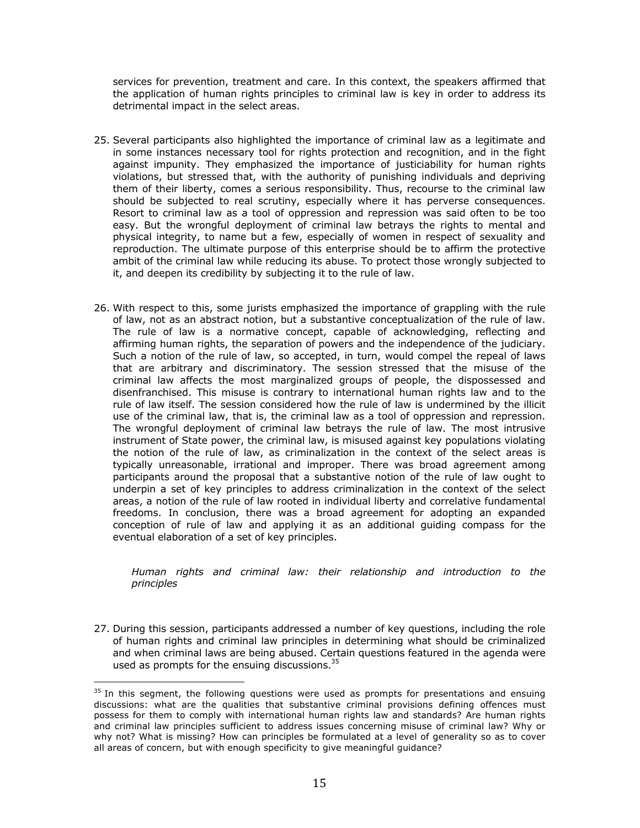services for prevention, treatment and care. In this context, the speakers affirmed that the application of human rights principles to criminal law is key in order to address its detrimental impact in the select areas.

- 25. Several participants also highlighted the importance of criminal law as a legitimate and in some instances necessary tool for rights protection and recognition, and in the fight against impunity. They emphasized the importance of justiciability for human rights violations, but stressed that, with the authority of punishing individuals and depriving them of their liberty, comes a serious responsibility. Thus, recourse to the criminal law should be subjected to real scrutiny, especially where it has perverse consequences. Resort to criminal law as a tool of oppression and repression was said often to be too easy. But the wrongful deployment of criminal law betrays the rights to mental and physical integrity, to name but a few, especially of women in respect of sexuality and reproduction. The ultimate purpose of this enterprise should be to affirm the protective ambit of the criminal law while reducing its abuse. To protect those wrongly subjected to it, and deepen its credibility by subjecting it to the rule of law.
- 26. With respect to this, some jurists emphasized the importance of grappling with the rule of law, not as an abstract notion, but a substantive conceptualization of the rule of law. The rule of law is a normative concept, capable of acknowledging, reflecting and affirming human rights, the separation of powers and the independence of the judiciary. Such a notion of the rule of law, so accepted, in turn, would compel the repeal of laws that are arbitrary and discriminatory. The session stressed that the misuse of the criminal law affects the most marginalized groups of people, the dispossessed and disenfranchised. This misuse is contrary to international human rights law and to the rule of law itself. The session considered how the rule of law is undermined by the illicit use of the criminal law, that is, the criminal law as a tool of oppression and repression. The wrongful deployment of criminal law betrays the rule of law. The most intrusive instrument of State power, the criminal law, is misused against key populations violating the notion of the rule of law, as criminalization in the context of the select areas is typically unreasonable, irrational and improper. There was broad agreement among participants around the proposal that a substantive notion of the rule of law ought to underpin a set of key principles to address criminalization in the context of the select areas, a notion of the rule of law rooted in individual liberty and correlative fundamental freedoms. In conclusion, there was a broad agreement for adopting an expanded conception of rule of law and applying it as an additional guiding compass for the eventual elaboration of a set of key principles.

*Human rights and criminal law: their relationship and introduction to the principles*

27. During this session, participants addressed a number of key questions, including the role of human rights and criminal law principles in determining what should be criminalized and when criminal laws are being abused. Certain questions featured in the agenda were used as prompts for the ensuing discussions. $35$ 

 $35$  In this segment, the following questions were used as prompts for presentations and ensuing discussions: what are the qualities that substantive criminal provisions defining offences must possess for them to comply with international human rights law and standards? Are human rights and criminal law principles sufficient to address issues concerning misuse of criminal law? Why or why not? What is missing? How can principles be formulated at a level of generality so as to cover all areas of concern, but with enough specificity to give meaningful guidance?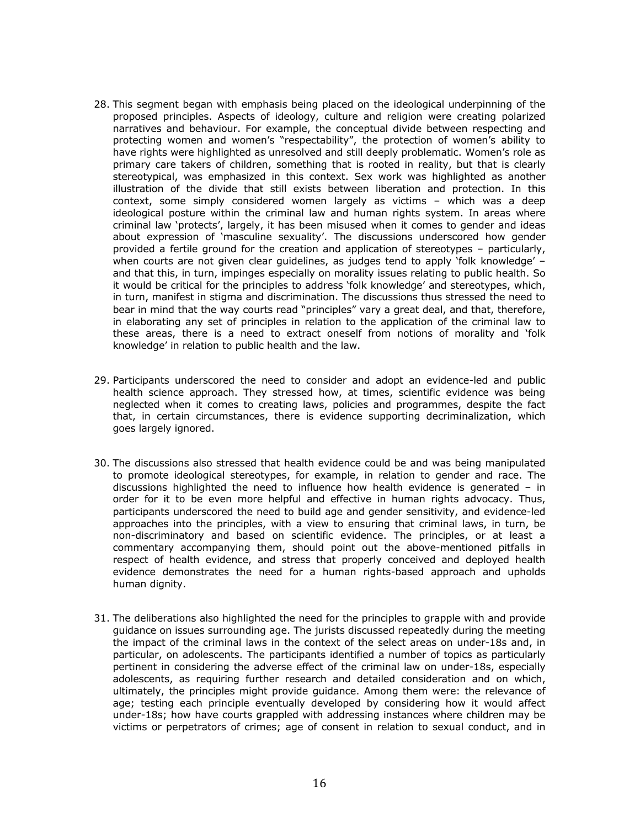- 28. This segment began with emphasis being placed on the ideological underpinning of the proposed principles. Aspects of ideology, culture and religion were creating polarized narratives and behaviour. For example, the conceptual divide between respecting and protecting women and women's "respectability", the protection of women's ability to have rights were highlighted as unresolved and still deeply problematic. Women's role as primary care takers of children, something that is rooted in reality, but that is clearly stereotypical, was emphasized in this context. Sex work was highlighted as another illustration of the divide that still exists between liberation and protection. In this context, some simply considered women largely as victims – which was a deep ideological posture within the criminal law and human rights system. In areas where criminal law 'protects', largely, it has been misused when it comes to gender and ideas about expression of 'masculine sexuality'. The discussions underscored how gender provided a fertile ground for the creation and application of stereotypes – particularly, when courts are not given clear guidelines, as judges tend to apply 'folk knowledge' and that this, in turn, impinges especially on morality issues relating to public health. So it would be critical for the principles to address 'folk knowledge' and stereotypes, which, in turn, manifest in stigma and discrimination. The discussions thus stressed the need to bear in mind that the way courts read "principles" vary a great deal, and that, therefore, in elaborating any set of principles in relation to the application of the criminal law to these areas, there is a need to extract oneself from notions of morality and 'folk knowledge' in relation to public health and the law.
- 29. Participants underscored the need to consider and adopt an evidence-led and public health science approach. They stressed how, at times, scientific evidence was being neglected when it comes to creating laws, policies and programmes, despite the fact that, in certain circumstances, there is evidence supporting decriminalization, which goes largely ignored.
- 30. The discussions also stressed that health evidence could be and was being manipulated to promote ideological stereotypes, for example, in relation to gender and race. The discussions highlighted the need to influence how health evidence is generated – in order for it to be even more helpful and effective in human rights advocacy. Thus, participants underscored the need to build age and gender sensitivity, and evidence-led approaches into the principles, with a view to ensuring that criminal laws, in turn, be non-discriminatory and based on scientific evidence. The principles, or at least a commentary accompanying them, should point out the above-mentioned pitfalls in respect of health evidence, and stress that properly conceived and deployed health evidence demonstrates the need for a human rights-based approach and upholds human dignity.
- 31. The deliberations also highlighted the need for the principles to grapple with and provide guidance on issues surrounding age. The jurists discussed repeatedly during the meeting the impact of the criminal laws in the context of the select areas on under-18s and, in particular, on adolescents. The participants identified a number of topics as particularly pertinent in considering the adverse effect of the criminal law on under-18s, especially adolescents, as requiring further research and detailed consideration and on which, ultimately, the principles might provide guidance. Among them were: the relevance of age; testing each principle eventually developed by considering how it would affect under-18s; how have courts grappled with addressing instances where children may be victims or perpetrators of crimes; age of consent in relation to sexual conduct, and in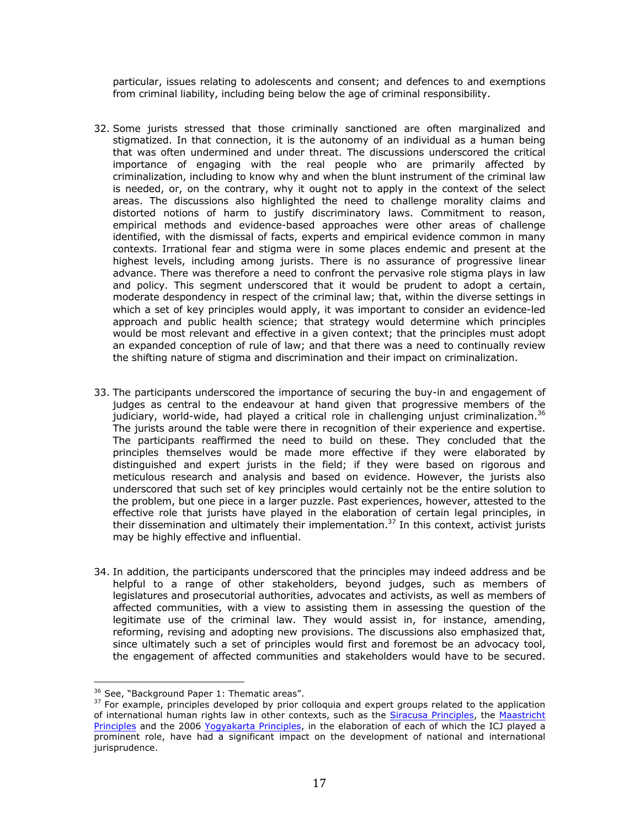particular, issues relating to adolescents and consent; and defences to and exemptions from criminal liability, including being below the age of criminal responsibility.

- 32. Some jurists stressed that those criminally sanctioned are often marginalized and stigmatized. In that connection, it is the autonomy of an individual as a human being that was often undermined and under threat. The discussions underscored the critical importance of engaging with the real people who are primarily affected by criminalization, including to know why and when the blunt instrument of the criminal law is needed, or, on the contrary, why it ought not to apply in the context of the select areas. The discussions also highlighted the need to challenge morality claims and distorted notions of harm to justify discriminatory laws. Commitment to reason, empirical methods and evidence-based approaches were other areas of challenge identified, with the dismissal of facts, experts and empirical evidence common in many contexts. Irrational fear and stigma were in some places endemic and present at the highest levels, including among jurists. There is no assurance of progressive linear advance. There was therefore a need to confront the pervasive role stigma plays in law and policy. This segment underscored that it would be prudent to adopt a certain, moderate despondency in respect of the criminal law; that, within the diverse settings in which a set of key principles would apply, it was important to consider an evidence-led approach and public health science; that strategy would determine which principles would be most relevant and effective in a given context; that the principles must adopt an expanded conception of rule of law; and that there was a need to continually review the shifting nature of stigma and discrimination and their impact on criminalization.
- 33. The participants underscored the importance of securing the buy-in and engagement of judges as central to the endeavour at hand given that progressive members of the judiciary, world-wide, had played a critical role in challenging unjust criminalization.<sup>36</sup> The jurists around the table were there in recognition of their experience and expertise. The participants reaffirmed the need to build on these. They concluded that the principles themselves would be made more effective if they were elaborated by distinguished and expert jurists in the field; if they were based on rigorous and meticulous research and analysis and based on evidence. However, the jurists also underscored that such set of key principles would certainly not be the entire solution to the problem, but one piece in a larger puzzle. Past experiences, however, attested to the effective role that jurists have played in the elaboration of certain legal principles, in their dissemination and ultimately their implementation.<sup>37</sup> In this context, activist jurists may be highly effective and influential.
- 34. In addition, the participants underscored that the principles may indeed address and be helpful to a range of other stakeholders, beyond judges, such as members of legislatures and prosecutorial authorities, advocates and activists, as well as members of affected communities, with a view to assisting them in assessing the question of the legitimate use of the criminal law. They would assist in, for instance, amending, reforming, revising and adopting new provisions. The discussions also emphasized that, since ultimately such a set of principles would first and foremost be an advocacy tool, the engagement of affected communities and stakeholders would have to be secured.

<sup>&</sup>lt;sup>36</sup> See, "Background Paper 1: Thematic areas".

<sup>&</sup>lt;sup>37</sup> For example, principles developed by prior colloquia and expert groups related to the application of international human rights law in other contexts, such as the Siracusa Principles, the Maastricht Principles and the 2006 Yogyakarta Principles, in the elaboration of each of which the ICJ played a prominent role, have had a significant impact on the development of national and international jurisprudence.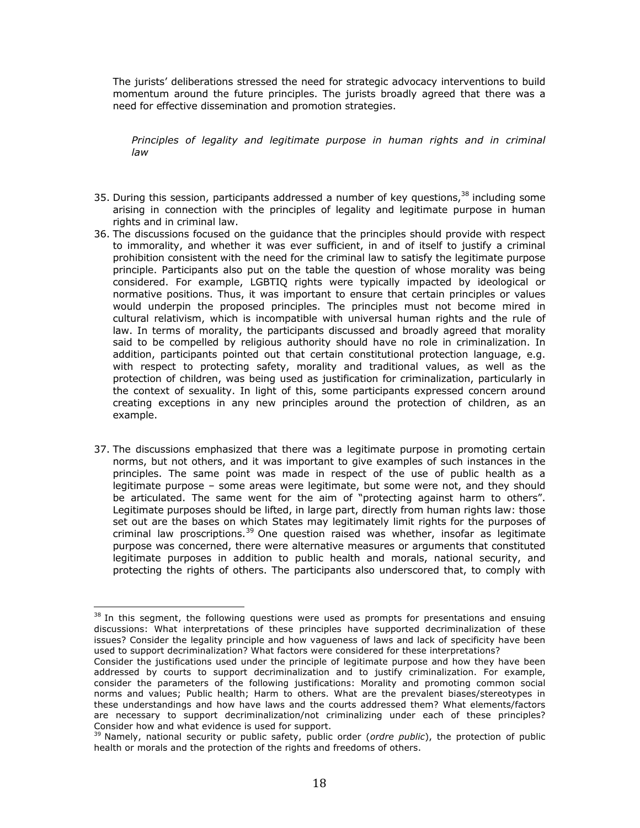The jurists' deliberations stressed the need for strategic advocacy interventions to build momentum around the future principles. The jurists broadly agreed that there was a need for effective dissemination and promotion strategies.

*Principles of legality and legitimate purpose in human rights and in criminal law*

- 35. During this session, participants addressed a number of key questions,  $38$  including some arising in connection with the principles of legality and legitimate purpose in human rights and in criminal law.
- 36. The discussions focused on the guidance that the principles should provide with respect to immorality, and whether it was ever sufficient, in and of itself to justify a criminal prohibition consistent with the need for the criminal law to satisfy the legitimate purpose principle. Participants also put on the table the question of whose morality was being considered. For example, LGBTIQ rights were typically impacted by ideological or normative positions. Thus, it was important to ensure that certain principles or values would underpin the proposed principles. The principles must not become mired in cultural relativism, which is incompatible with universal human rights and the rule of law. In terms of morality, the participants discussed and broadly agreed that morality said to be compelled by religious authority should have no role in criminalization. In addition, participants pointed out that certain constitutional protection language, e.g. with respect to protecting safety, morality and traditional values, as well as the protection of children, was being used as justification for criminalization, particularly in the context of sexuality. In light of this, some participants expressed concern around creating exceptions in any new principles around the protection of children, as an example.
- 37. The discussions emphasized that there was a legitimate purpose in promoting certain norms, but not others, and it was important to give examples of such instances in the principles. The same point was made in respect of the use of public health as a legitimate purpose – some areas were legitimate, but some were not, and they should be articulated. The same went for the aim of "protecting against harm to others". Legitimate purposes should be lifted, in large part, directly from human rights law: those set out are the bases on which States may legitimately limit rights for the purposes of criminal law proscriptions. $39$  One question raised was whether, insofar as legitimate purpose was concerned, there were alternative measures or arguments that constituted legitimate purposes in addition to public health and morals, national security, and protecting the rights of others. The participants also underscored that, to comply with

 $38$  In this segment, the following questions were used as prompts for presentations and ensuing discussions: What interpretations of these principles have supported decriminalization of these issues? Consider the legality principle and how vagueness of laws and lack of specificity have been used to support decriminalization? What factors were considered for these interpretations?

Consider the justifications used under the principle of legitimate purpose and how they have been addressed by courts to support decriminalization and to justify criminalization. For example, consider the parameters of the following justifications: Morality and promoting common social norms and values; Public health; Harm to others. What are the prevalent biases/stereotypes in these understandings and how have laws and the courts addressed them? What elements/factors are necessary to support decriminalization/not criminalizing under each of these principles? Consider how and what evidence is used for support.

<sup>&</sup>lt;sup>39</sup> Namely, national security or public safety, public order (*ordre public*), the protection of public health or morals and the protection of the rights and freedoms of others.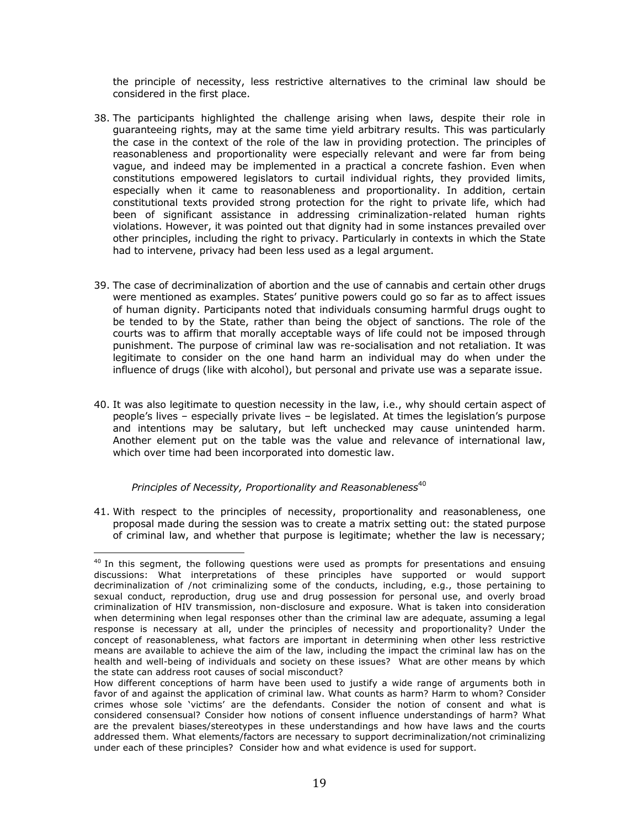the principle of necessity, less restrictive alternatives to the criminal law should be considered in the first place.

- 38. The participants highlighted the challenge arising when laws, despite their role in guaranteeing rights, may at the same time yield arbitrary results. This was particularly the case in the context of the role of the law in providing protection. The principles of reasonableness and proportionality were especially relevant and were far from being vague, and indeed may be implemented in a practical a concrete fashion. Even when constitutions empowered legislators to curtail individual rights, they provided limits, especially when it came to reasonableness and proportionality. In addition, certain constitutional texts provided strong protection for the right to private life, which had been of significant assistance in addressing criminalization-related human rights violations. However, it was pointed out that dignity had in some instances prevailed over other principles, including the right to privacy. Particularly in contexts in which the State had to intervene, privacy had been less used as a legal argument.
- 39. The case of decriminalization of abortion and the use of cannabis and certain other drugs were mentioned as examples. States' punitive powers could go so far as to affect issues of human dignity. Participants noted that individuals consuming harmful drugs ought to be tended to by the State, rather than being the object of sanctions. The role of the courts was to affirm that morally acceptable ways of life could not be imposed through punishment. The purpose of criminal law was re-socialisation and not retaliation. It was legitimate to consider on the one hand harm an individual may do when under the influence of drugs (like with alcohol), but personal and private use was a separate issue.
- 40. It was also legitimate to question necessity in the law, i.e., why should certain aspect of people's lives – especially private lives – be legislated. At times the legislation's purpose and intentions may be salutary, but left unchecked may cause unintended harm. Another element put on the table was the value and relevance of international law, which over time had been incorporated into domestic law.

## *Principles of Necessity, Proportionality and Reasonableness*<sup>40</sup>

 

41. With respect to the principles of necessity, proportionality and reasonableness, one proposal made during the session was to create a matrix setting out: the stated purpose of criminal law, and whether that purpose is legitimate; whether the law is necessary;

 $40$  In this segment, the following questions were used as prompts for presentations and ensuing discussions: What interpretations of these principles have supported or would support decriminalization of /not criminalizing some of the conducts, including, e.g., those pertaining to sexual conduct, reproduction, drug use and drug possession for personal use, and overly broad criminalization of HIV transmission, non-disclosure and exposure. What is taken into consideration when determining when legal responses other than the criminal law are adequate, assuming a legal response is necessary at all, under the principles of necessity and proportionality? Under the concept of reasonableness, what factors are important in determining when other less restrictive means are available to achieve the aim of the law, including the impact the criminal law has on the health and well-being of individuals and society on these issues? What are other means by which the state can address root causes of social misconduct?

How different conceptions of harm have been used to justify a wide range of arguments both in favor of and against the application of criminal law. What counts as harm? Harm to whom? Consider crimes whose sole 'victims' are the defendants. Consider the notion of consent and what is considered consensual? Consider how notions of consent influence understandings of harm? What are the prevalent biases/stereotypes in these understandings and how have laws and the courts addressed them. What elements/factors are necessary to support decriminalization/not criminalizing under each of these principles? Consider how and what evidence is used for support.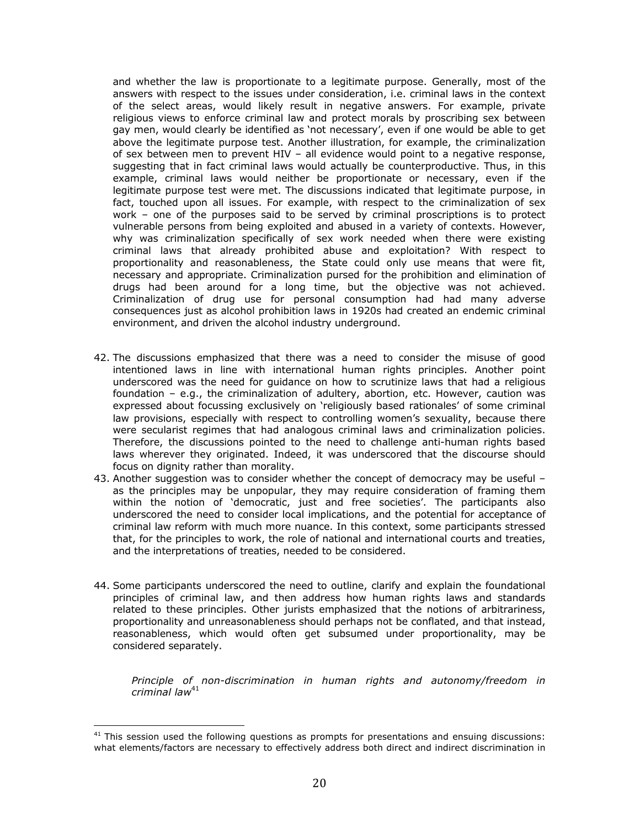and whether the law is proportionate to a legitimate purpose. Generally, most of the answers with respect to the issues under consideration, i.e. criminal laws in the context of the select areas, would likely result in negative answers. For example, private religious views to enforce criminal law and protect morals by proscribing sex between gay men, would clearly be identified as 'not necessary', even if one would be able to get above the legitimate purpose test. Another illustration, for example, the criminalization of sex between men to prevent HIV – all evidence would point to a negative response, suggesting that in fact criminal laws would actually be counterproductive. Thus, in this example, criminal laws would neither be proportionate or necessary, even if the legitimate purpose test were met. The discussions indicated that legitimate purpose, in fact, touched upon all issues. For example, with respect to the criminalization of sex work – one of the purposes said to be served by criminal proscriptions is to protect vulnerable persons from being exploited and abused in a variety of contexts. However, why was criminalization specifically of sex work needed when there were existing criminal laws that already prohibited abuse and exploitation? With respect to proportionality and reasonableness, the State could only use means that were fit, necessary and appropriate. Criminalization pursed for the prohibition and elimination of drugs had been around for a long time, but the objective was not achieved. Criminalization of drug use for personal consumption had had many adverse consequences just as alcohol prohibition laws in 1920s had created an endemic criminal environment, and driven the alcohol industry underground.

- 42. The discussions emphasized that there was a need to consider the misuse of good intentioned laws in line with international human rights principles. Another point underscored was the need for guidance on how to scrutinize laws that had a religious foundation – e.g., the criminalization of adultery, abortion, etc. However, caution was expressed about focussing exclusively on 'religiously based rationales' of some criminal law provisions, especially with respect to controlling women's sexuality, because there were secularist regimes that had analogous criminal laws and criminalization policies. Therefore, the discussions pointed to the need to challenge anti-human rights based laws wherever they originated. Indeed, it was underscored that the discourse should focus on dignity rather than morality.
- 43. Another suggestion was to consider whether the concept of democracy may be useful as the principles may be unpopular, they may require consideration of framing them within the notion of 'democratic, just and free societies'. The participants also underscored the need to consider local implications, and the potential for acceptance of criminal law reform with much more nuance. In this context, some participants stressed that, for the principles to work, the role of national and international courts and treaties, and the interpretations of treaties, needed to be considered.
- 44. Some participants underscored the need to outline, clarify and explain the foundational principles of criminal law, and then address how human rights laws and standards related to these principles. Other jurists emphasized that the notions of arbitrariness, proportionality and unreasonableness should perhaps not be conflated, and that instead, reasonableness, which would often get subsumed under proportionality, may be considered separately.

*Principle of non-discrimination in human rights and autonomy/freedom in criminal law*<sup>41</sup>

 $41$  This session used the following questions as prompts for presentations and ensuing discussions: what elements/factors are necessary to effectively address both direct and indirect discrimination in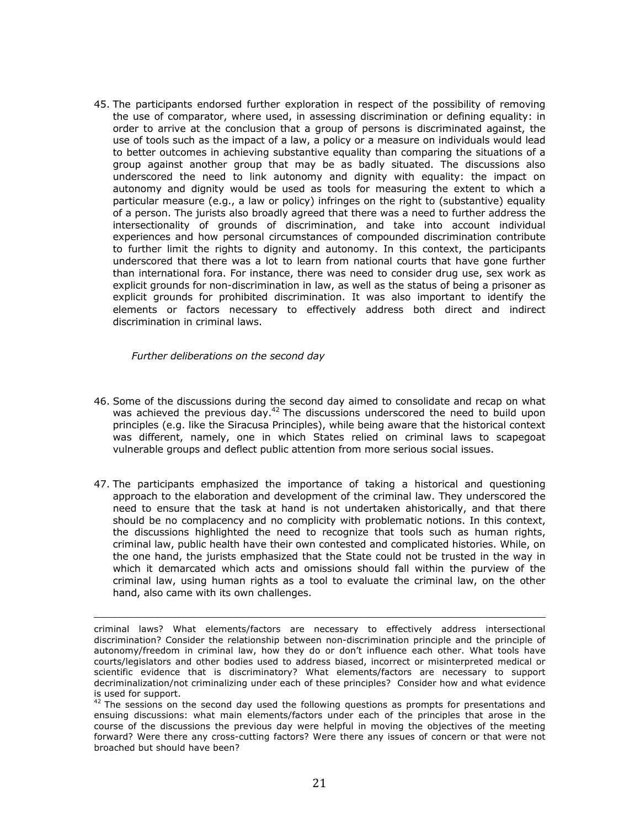45. The participants endorsed further exploration in respect of the possibility of removing the use of comparator, where used, in assessing discrimination or defining equality: in order to arrive at the conclusion that a group of persons is discriminated against, the use of tools such as the impact of a law, a policy or a measure on individuals would lead to better outcomes in achieving substantive equality than comparing the situations of a group against another group that may be as badly situated. The discussions also underscored the need to link autonomy and dignity with equality: the impact on autonomy and dignity would be used as tools for measuring the extent to which a particular measure (e.g., a law or policy) infringes on the right to (substantive) equality of a person. The jurists also broadly agreed that there was a need to further address the intersectionality of grounds of discrimination, and take into account individual experiences and how personal circumstances of compounded discrimination contribute to further limit the rights to dignity and autonomy. In this context, the participants underscored that there was a lot to learn from national courts that have gone further than international fora. For instance, there was need to consider drug use, sex work as explicit grounds for non-discrimination in law, as well as the status of being a prisoner as explicit grounds for prohibited discrimination. It was also important to identify the elements or factors necessary to effectively address both direct and indirect discrimination in criminal laws.

*Further deliberations on the second day*

- 46. Some of the discussions during the second day aimed to consolidate and recap on what was achieved the previous day.<sup>42</sup> The discussions underscored the need to build upon principles (e.g. like the Siracusa Principles), while being aware that the historical context was different, namely, one in which States relied on criminal laws to scapegoat vulnerable groups and deflect public attention from more serious social issues.
- 47. The participants emphasized the importance of taking a historical and questioning approach to the elaboration and development of the criminal law. They underscored the need to ensure that the task at hand is not undertaken ahistorically, and that there should be no complacency and no complicity with problematic notions. In this context, the discussions highlighted the need to recognize that tools such as human rights, criminal law, public health have their own contested and complicated histories. While, on the one hand, the jurists emphasized that the State could not be trusted in the way in which it demarcated which acts and omissions should fall within the purview of the criminal law, using human rights as a tool to evaluate the criminal law, on the other hand, also came with its own challenges.

<u> 1989 - Andrea San Andrew Maria (h. 1989).</u><br>1900 - Andrew Maria (h. 1980).

criminal laws? What elements/factors are necessary to effectively address intersectional discrimination? Consider the relationship between non-discrimination principle and the principle of autonomy/freedom in criminal law, how they do or don't influence each other. What tools have courts/legislators and other bodies used to address biased, incorrect or misinterpreted medical or scientific evidence that is discriminatory? What elements/factors are necessary to support decriminalization/not criminalizing under each of these principles? Consider how and what evidence is used for support.

 $42$  The sessions on the second day used the following questions as prompts for presentations and ensuing discussions: what main elements/factors under each of the principles that arose in the course of the discussions the previous day were helpful in moving the objectives of the meeting forward? Were there any cross-cutting factors? Were there any issues of concern or that were not broached but should have been?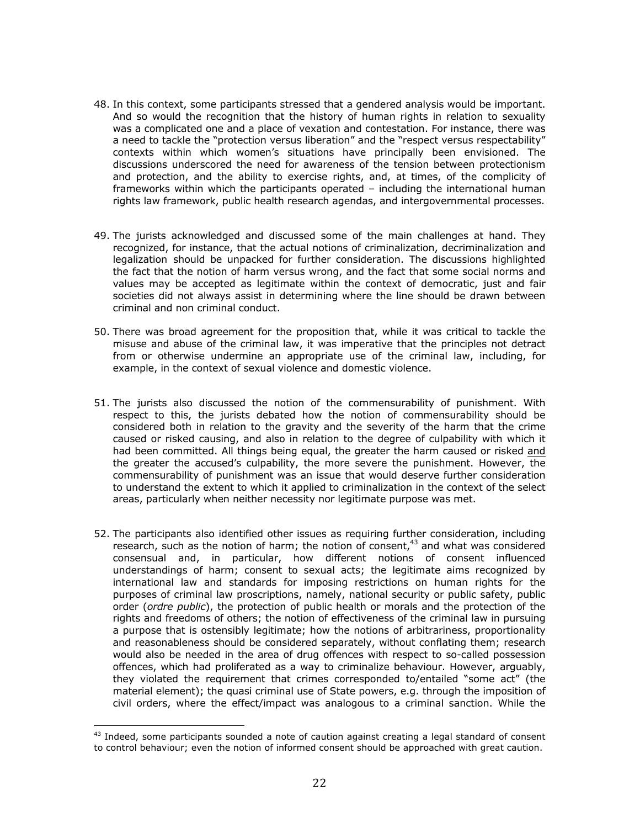- 48. In this context, some participants stressed that a gendered analysis would be important. And so would the recognition that the history of human rights in relation to sexuality was a complicated one and a place of vexation and contestation. For instance, there was a need to tackle the "protection versus liberation" and the "respect versus respectability" contexts within which women's situations have principally been envisioned. The discussions underscored the need for awareness of the tension between protectionism and protection, and the ability to exercise rights, and, at times, of the complicity of frameworks within which the participants operated – including the international human rights law framework, public health research agendas, and intergovernmental processes.
- 49. The jurists acknowledged and discussed some of the main challenges at hand. They recognized, for instance, that the actual notions of criminalization, decriminalization and legalization should be unpacked for further consideration. The discussions highlighted the fact that the notion of harm versus wrong, and the fact that some social norms and values may be accepted as legitimate within the context of democratic, just and fair societies did not always assist in determining where the line should be drawn between criminal and non criminal conduct.
- 50. There was broad agreement for the proposition that, while it was critical to tackle the misuse and abuse of the criminal law, it was imperative that the principles not detract from or otherwise undermine an appropriate use of the criminal law, including, for example, in the context of sexual violence and domestic violence.
- 51. The jurists also discussed the notion of the commensurability of punishment. With respect to this, the jurists debated how the notion of commensurability should be considered both in relation to the gravity and the severity of the harm that the crime caused or risked causing, and also in relation to the degree of culpability with which it had been committed. All things being equal, the greater the harm caused or risked and the greater the accused's culpability, the more severe the punishment. However, the commensurability of punishment was an issue that would deserve further consideration to understand the extent to which it applied to criminalization in the context of the select areas, particularly when neither necessity nor legitimate purpose was met.
- 52. The participants also identified other issues as requiring further consideration, including research, such as the notion of harm; the notion of consent,<sup>43</sup> and what was considered consensual and, in particular, how different notions of consent influenced understandings of harm; consent to sexual acts; the legitimate aims recognized by international law and standards for imposing restrictions on human rights for the purposes of criminal law proscriptions, namely, national security or public safety, public order (*ordre public*), the protection of public health or morals and the protection of the rights and freedoms of others; the notion of effectiveness of the criminal law in pursuing a purpose that is ostensibly legitimate; how the notions of arbitrariness, proportionality and reasonableness should be considered separately, without conflating them; research would also be needed in the area of drug offences with respect to so-called possession offences, which had proliferated as a way to criminalize behaviour. However, arguably, they violated the requirement that crimes corresponded to/entailed "some act" (the material element); the quasi criminal use of State powers, e.g. through the imposition of civil orders, where the effect/impact was analogous to a criminal sanction. While the

<sup>&</sup>lt;sup>43</sup> Indeed, some participants sounded a note of caution against creating a legal standard of consent to control behaviour; even the notion of informed consent should be approached with great caution.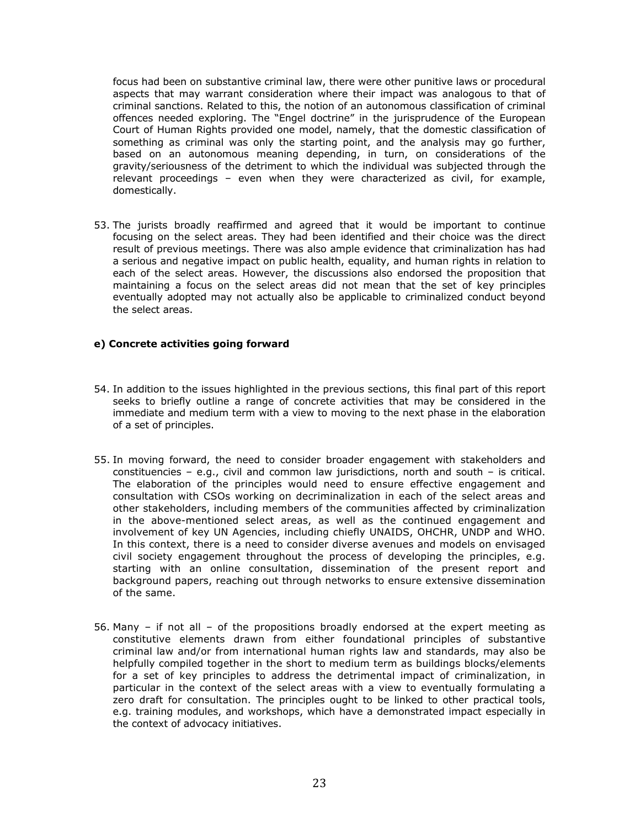focus had been on substantive criminal law, there were other punitive laws or procedural aspects that may warrant consideration where their impact was analogous to that of criminal sanctions. Related to this, the notion of an autonomous classification of criminal offences needed exploring. The "Engel doctrine" in the jurisprudence of the European Court of Human Rights provided one model, namely, that the domestic classification of something as criminal was only the starting point, and the analysis may go further, based on an autonomous meaning depending, in turn, on considerations of the gravity/seriousness of the detriment to which the individual was subjected through the relevant proceedings – even when they were characterized as civil, for example, domestically.

53. The jurists broadly reaffirmed and agreed that it would be important to continue focusing on the select areas. They had been identified and their choice was the direct result of previous meetings. There was also ample evidence that criminalization has had a serious and negative impact on public health, equality, and human rights in relation to each of the select areas. However, the discussions also endorsed the proposition that maintaining a focus on the select areas did not mean that the set of key principles eventually adopted may not actually also be applicable to criminalized conduct beyond the select areas.

## **e) Concrete activities going forward**

- 54. In addition to the issues highlighted in the previous sections, this final part of this report seeks to briefly outline a range of concrete activities that may be considered in the immediate and medium term with a view to moving to the next phase in the elaboration of a set of principles.
- 55. In moving forward, the need to consider broader engagement with stakeholders and constituencies – e.g., civil and common law jurisdictions, north and south – is critical. The elaboration of the principles would need to ensure effective engagement and consultation with CSOs working on decriminalization in each of the select areas and other stakeholders, including members of the communities affected by criminalization in the above-mentioned select areas, as well as the continued engagement and involvement of key UN Agencies, including chiefly UNAIDS, OHCHR, UNDP and WHO. In this context, there is a need to consider diverse avenues and models on envisaged civil society engagement throughout the process of developing the principles, e.g. starting with an online consultation, dissemination of the present report and background papers, reaching out through networks to ensure extensive dissemination of the same.
- 56. Many if not all of the propositions broadly endorsed at the expert meeting as constitutive elements drawn from either foundational principles of substantive criminal law and/or from international human rights law and standards, may also be helpfully compiled together in the short to medium term as buildings blocks/elements for a set of key principles to address the detrimental impact of criminalization, in particular in the context of the select areas with a view to eventually formulating a zero draft for consultation. The principles ought to be linked to other practical tools, e.g. training modules, and workshops, which have a demonstrated impact especially in the context of advocacy initiatives.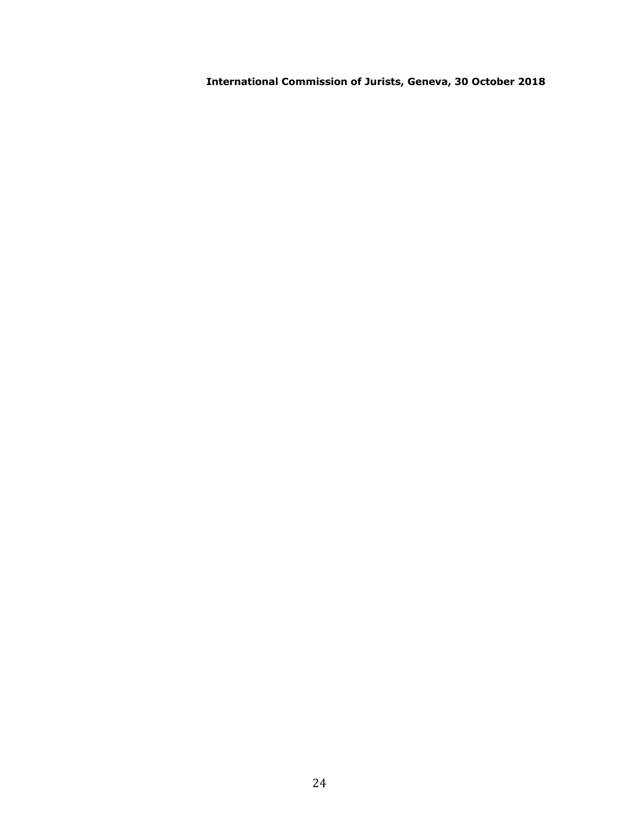**International Commission of Jurists, Geneva, 30 October 2018**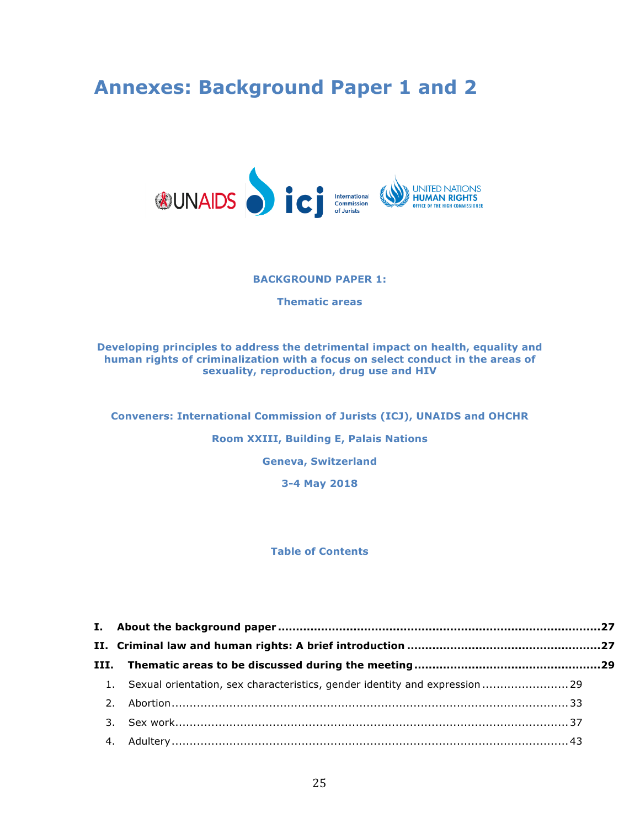# **Annexes: Background Paper 1 and 2**



#### **BACKGROUND PAPER 1:**

**Thematic areas**

## **Developing principles to address the detrimental impact on health, equality and human rights of criminalization with a focus on select conduct in the areas of sexuality, reproduction, drug use and HIV**

**Conveners: International Commission of Jurists (ICJ), UNAIDS and OHCHR**

**Room XXIII, Building E, Palais Nations**

**Geneva, Switzerland**

**3-4 May 2018**

## **Table of Contents**

| 1. Sexual orientation, sex characteristics, gender identity and expression  29 |  |
|--------------------------------------------------------------------------------|--|
|                                                                                |  |
|                                                                                |  |
|                                                                                |  |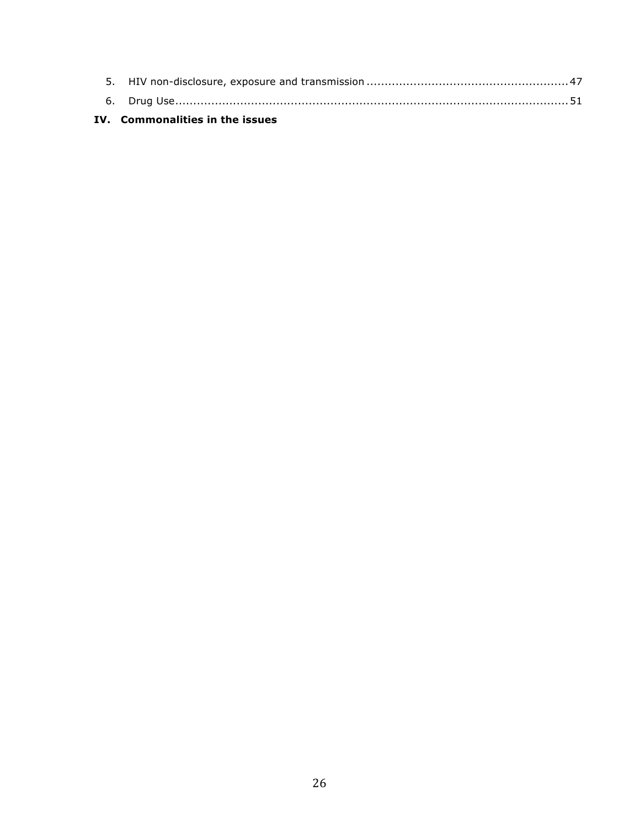## **IV. Commonalities in the issues**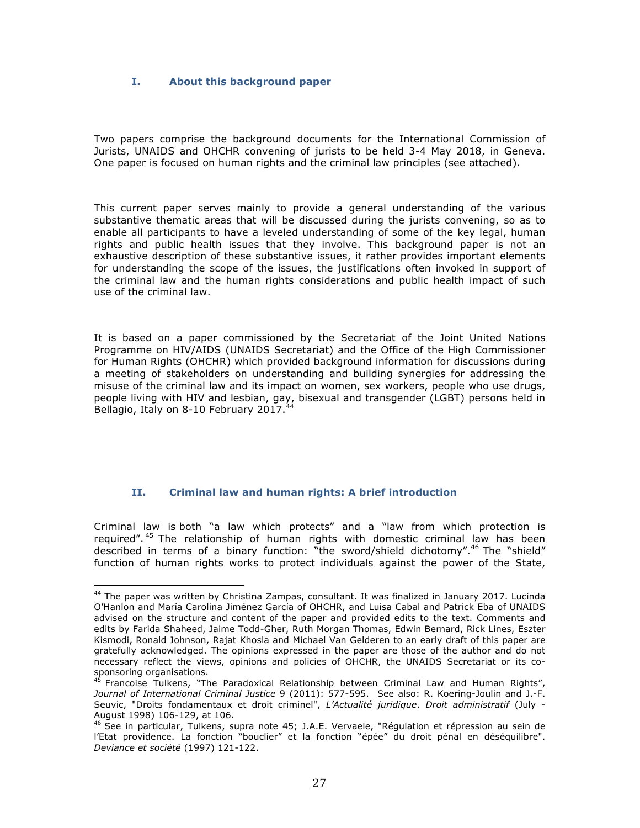## **I. About this background paper**

Two papers comprise the background documents for the International Commission of Jurists, UNAIDS and OHCHR convening of jurists to be held 3-4 May 2018, in Geneva. One paper is focused on human rights and the criminal law principles (see attached).

This current paper serves mainly to provide a general understanding of the various substantive thematic areas that will be discussed during the jurists convening, so as to enable all participants to have a leveled understanding of some of the key legal, human rights and public health issues that they involve. This background paper is not an exhaustive description of these substantive issues, it rather provides important elements for understanding the scope of the issues, the justifications often invoked in support of the criminal law and the human rights considerations and public health impact of such use of the criminal law.

It is based on a paper commissioned by the Secretariat of the Joint United Nations Programme on HIV/AIDS (UNAIDS Secretariat) and the Office of the High Commissioner for Human Rights (OHCHR) which provided background information for discussions during a meeting of stakeholders on understanding and building synergies for addressing the misuse of the criminal law and its impact on women, sex workers, people who use drugs, people living with HIV and lesbian, gay, bisexual and transgender (LGBT) persons held in Bellagio, Italy on 8-10 February 2017.

## **II. Criminal law and human rights: A brief introduction**

 

Criminal law is both "a law which protects" and a "law from which protection is required".<sup>45</sup> The relationship of human rights with domestic criminal law has been described in terms of a binary function: "the sword/shield dichotomy".<sup>46</sup> The "shield" function of human rights works to protect individuals against the power of the State,

<sup>&</sup>lt;sup>44</sup> The paper was written by Christina Zampas, consultant. It was finalized in January 2017. Lucinda O'Hanlon and María Carolina Jiménez García of OHCHR, and Luisa Cabal and Patrick Eba of UNAIDS advised on the structure and content of the paper and provided edits to the text. Comments and edits by Farida Shaheed, Jaime Todd-Gher, Ruth Morgan Thomas, Edwin Bernard, Rick Lines, Eszter Kismodi, Ronald Johnson, Rajat Khosla and Michael Van Gelderen to an early draft of this paper are gratefully acknowledged. The opinions expressed in the paper are those of the author and do not necessary reflect the views, opinions and policies of OHCHR, the UNAIDS Secretariat or its cosponsoring organisations.

<sup>&</sup>lt;sup>45</sup> Francoise Tulkens, "The Paradoxical Relationship between Criminal Law and Human Rights", *Journal of International Criminal Justice* 9 (2011): 577-595. See also: R. Koering-Joulin and J.-F. Seuvic, "Droits fondamentaux et droit criminel", *L'Actualité juridique*. *Droit administratif* (July - August 1998) 106-129, at 106.

<sup>&</sup>lt;sup>46</sup> See in particular, Tulkens, supra note 45; J.A.E. Vervaele, "Régulation et répression au sein de l'Etat providence. La fonction "bouclier" et la fonction "épée" du droit pénal en déséquilibre". *Deviance et société* (1997) 121-122.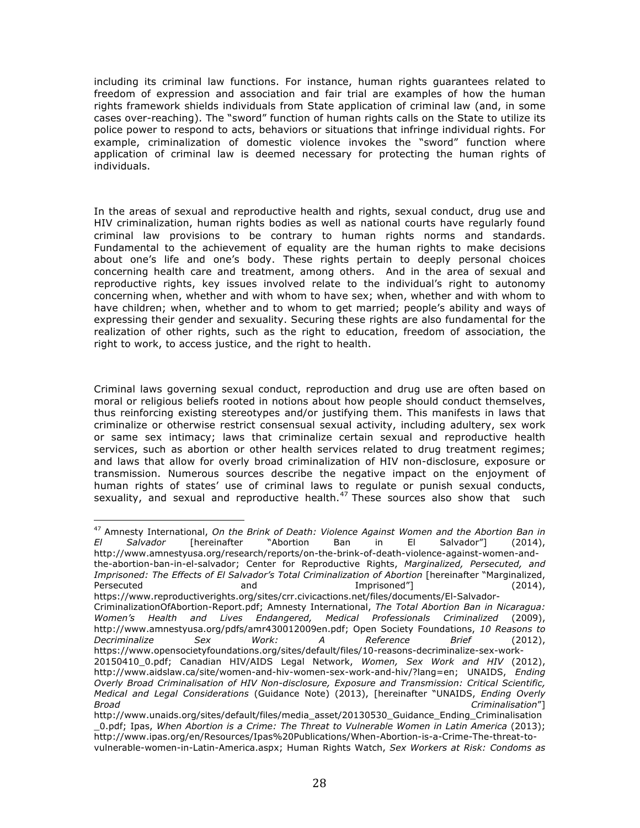including its criminal law functions. For instance, human rights guarantees related to freedom of expression and association and fair trial are examples of how the human rights framework shields individuals from State application of criminal law (and, in some cases over-reaching). The "sword" function of human rights calls on the State to utilize its police power to respond to acts, behaviors or situations that infringe individual rights. For example, criminalization of domestic violence invokes the "sword" function where application of criminal law is deemed necessary for protecting the human rights of individuals.

In the areas of sexual and reproductive health and rights, sexual conduct, drug use and HIV criminalization, human rights bodies as well as national courts have regularly found criminal law provisions to be contrary to human rights norms and standards. Fundamental to the achievement of equality are the human rights to make decisions about one's life and one's body. These rights pertain to deeply personal choices concerning health care and treatment, among others. And in the area of sexual and reproductive rights, key issues involved relate to the individual's right to autonomy concerning when, whether and with whom to have sex; when, whether and with whom to have children; when, whether and to whom to get married; people's ability and ways of expressing their gender and sexuality. Securing these rights are also fundamental for the realization of other rights, such as the right to education, freedom of association, the right to work, to access justice, and the right to health.

Criminal laws governing sexual conduct, reproduction and drug use are often based on moral or religious beliefs rooted in notions about how people should conduct themselves, thus reinforcing existing stereotypes and/or justifying them. This manifests in laws that criminalize or otherwise restrict consensual sexual activity, including adultery, sex work or same sex intimacy; laws that criminalize certain sexual and reproductive health services, such as abortion or other health services related to drug treatment regimes; and laws that allow for overly broad criminalization of HIV non-disclosure, exposure or transmission. Numerous sources describe the negative impact on the enjoyment of human rights of states' use of criminal laws to regulate or punish sexual conducts, sexuality, and sexual and reproductive health.<sup>47</sup> These sources also show that such

<sup>47</sup> Amnesty International, *On the Brink of Death: Violence Against Women and the Abortion Ban in El Salvador* [hereinafter "Abortion Ban in El Salvador"] (2014), http://www.amnestyusa.org/research/reports/on-the-brink-of-death-violence-against-women-andthe-abortion-ban-in-el-salvador; Center for Reproductive Rights, *Marginalized, Persecuted, and Imprisoned: The Effects of El Salvador's Total Criminalization of Abortion* [hereinafter "Marginalized, Persecuted and and Imprisoned"] (2014),

 

https://www.reproductiverights.org/sites/crr.civicactions.net/files/documents/El-Salvador-CriminalizationOfAbortion-Report.pdf; Amnesty International, *The Total Abortion Ban in Nicaragua: Women's Health and Lives Endangered, Medical Professionals Criminalized* (2009), http://www.amnestyusa.org/pdfs/amr430012009en.pdf; Open Society Foundations, *10 Reasons to Decriminalize Sex Work: A Reference Brief* (2012), https://www.opensocietyfoundations.org/sites/default/files/10-reasons-decriminalize-sex-work-20150410\_0.pdf; Canadian HIV/AIDS Legal Network, *Women, Sex Work and HIV* (2012),

http://www.aidslaw.ca/site/women-and-hiv-women-sex-work-and-hiv/?lang=en; UNAIDS, *Ending Overly Broad Criminalisation of HIV Non-disclosure, Exposure and Transmission: Critical Scientific, Medical and Legal Considerations* (Guidance Note) (2013), [hereinafter "UNAIDS, *Ending Overly Broad Criminalisation*"]

http://www.unaids.org/sites/default/files/media\_asset/20130530\_Guidance\_Ending\_Criminalisation \_0.pdf; Ipas, *When Abortion is a Crime: The Threat to Vulnerable Women in Latin America* (2013); http://www.ipas.org/en/Resources/Ipas%20Publications/When-Abortion-is-a-Crime-The-threat-to-

vulnerable-women-in-Latin-America.aspx; Human Rights Watch, *Sex Workers at Risk: Condoms as*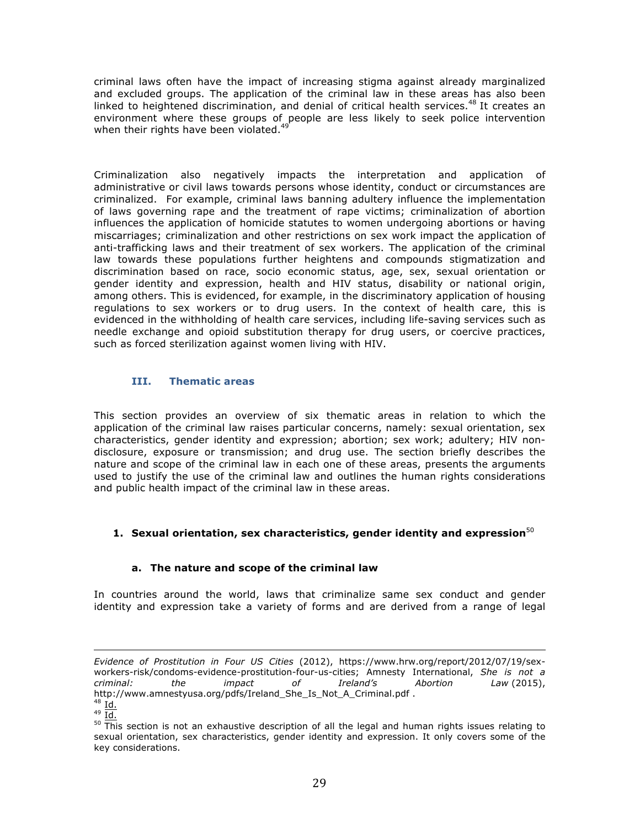criminal laws often have the impact of increasing stigma against already marginalized and excluded groups. The application of the criminal law in these areas has also been linked to heightened discrimination, and denial of critical health services.<sup>48</sup> It creates an environment where these groups of people are less likely to seek police intervention when their rights have been violated.<sup>49</sup>

Criminalization also negatively impacts the interpretation and application of administrative or civil laws towards persons whose identity, conduct or circumstances are criminalized. For example, criminal laws banning adultery influence the implementation of laws governing rape and the treatment of rape victims; criminalization of abortion influences the application of homicide statutes to women undergoing abortions or having miscarriages; criminalization and other restrictions on sex work impact the application of anti-trafficking laws and their treatment of sex workers. The application of the criminal law towards these populations further heightens and compounds stigmatization and discrimination based on race, socio economic status, age, sex, sexual orientation or gender identity and expression, health and HIV status, disability or national origin, among others. This is evidenced, for example, in the discriminatory application of housing regulations to sex workers or to drug users. In the context of health care, this is evidenced in the withholding of health care services, including life-saving services such as needle exchange and opioid substitution therapy for drug users, or coercive practices, such as forced sterilization against women living with HIV.

## **III. Thematic areas**

This section provides an overview of six thematic areas in relation to which the application of the criminal law raises particular concerns, namely: sexual orientation, sex characteristics, gender identity and expression; abortion; sex work; adultery; HIV nondisclosure, exposure or transmission; and drug use. The section briefly describes the nature and scope of the criminal law in each one of these areas, presents the arguments used to justify the use of the criminal law and outlines the human rights considerations and public health impact of the criminal law in these areas.

## **1.** Sexual orientation, sex characteristics, gender identity and expression<sup>50</sup>

## **a. The nature and scope of the criminal law**

In countries around the world, laws that criminalize same sex conduct and gender identity and expression take a variety of forms and are derived from a range of legal

<u> 1989 - Andrea Santa Andrea Andrea Andrea Andrea Andrea Andrea Andrea Andrea Andrea Andrea Andrea Andrea Andr</u>

*Evidence of Prostitution in Four US Cities* (2012), https://www.hrw.org/report/2012/07/19/sexworkers-risk/condoms-evidence-prostitution-four-us-cities; Amnesty International, *She is not a criminal: the impact of Ireland's Abortion Law* (2015), http://www.amnestyusa.org/pdfs/Ireland\_She\_Is\_Not\_A\_Criminal.pdf .

 $48$  Id.  $49 \overline{Id.}$ 

 $50$  This section is not an exhaustive description of all the legal and human rights issues relating to sexual orientation, sex characteristics, gender identity and expression. It only covers some of the key considerations.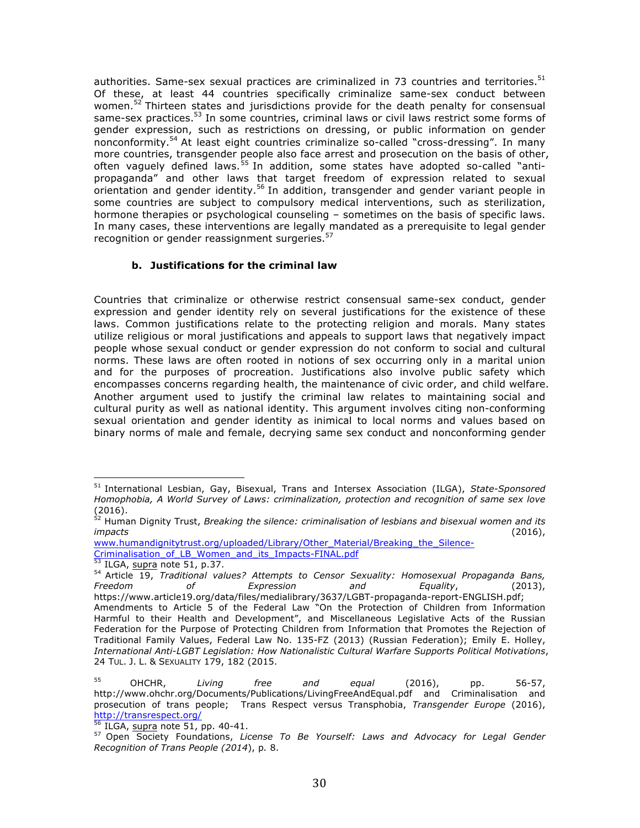authorities. Same-sex sexual practices are criminalized in 73 countries and territories. $51$ Of these, at least 44 countries specifically criminalize same-sex conduct between women.<sup>52</sup> Thirteen states and jurisdictions provide for the death penalty for consensual same-sex practices.<sup>53</sup> In some countries, criminal laws or civil laws restrict some forms of gender expression, such as restrictions on dressing, or public information on gender nonconformity.<sup>54</sup> At least eight countries criminalize so-called "cross-dressing". In many more countries, transgender people also face arrest and prosecution on the basis of other, often vaguely defined laws.<sup>55</sup> In addition, some states have adopted so-called "antipropaganda" and other laws that target freedom of expression related to sexual orientation and gender identity.<sup>56</sup> In addition, transgender and gender variant people in some countries are subject to compulsory medical interventions, such as sterilization, hormone therapies or psychological counseling – sometimes on the basis of specific laws. In many cases, these interventions are legally mandated as a prerequisite to legal gender recognition or gender reassignment surgeries.<sup>57</sup>

## **b. Justifications for the criminal law**

Countries that criminalize or otherwise restrict consensual same-sex conduct, gender expression and gender identity rely on several justifications for the existence of these laws. Common justifications relate to the protecting religion and morals. Many states utilize religious or moral justifications and appeals to support laws that negatively impact people whose sexual conduct or gender expression do not conform to social and cultural norms. These laws are often rooted in notions of sex occurring only in a marital union and for the purposes of procreation. Justifications also involve public safety which encompasses concerns regarding health, the maintenance of civic order, and child welfare. Another argument used to justify the criminal law relates to maintaining social and cultural purity as well as national identity. This argument involves citing non-conforming sexual orientation and gender identity as inimical to local norms and values based on binary norms of male and female, decrying same sex conduct and nonconforming gender

<sup>51</sup> International Lesbian, Gay, Bisexual, Trans and Intersex Association (ILGA), *State-Sponsored Homophobia, A World Survey of Laws: criminalization, protection and recognition of same sex love* (2016).

<sup>52</sup> Human Dignity Trust, *Breaking the silence: criminalisation of lesbians and bisexual women and its impacts* (2016),

www.humandignitytrust.org/uploaded/Library/Other\_Material/Breaking\_the\_Silence-Criminalisation\_of\_LB\_Women\_and\_its\_Impacts-FINAL.pdf

<sup>53</sup> ILGA, supra note 51, p.37.

<sup>&</sup>lt;sup>54</sup> Article 19, *Traditional values? Attempts to Censor Sexuality: Homosexual Propaganda Bans,<br>Freedom dof Expression and Equality, (2013). Freedom of Expression and Equality*, (2013), https://www.article19.org/data/files/medialibrary/3637/LGBT-propaganda-report-ENGLISH.pdf; Amendments to Article 5 of the Federal Law "On the Protection of Children from Information Harmful to their Health and Development", and Miscellaneous Legislative Acts of the Russian Federation for the Purpose of Protecting Children from Information that Promotes the Rejection of Traditional Family Values, Federal Law No. 135-FZ (2013) (Russian Federation); Emily E. Holley, *International Anti-LGBT Legislation: How Nationalistic Cultural Warfare Supports Political Motivations*, 24 TUL. J. L. & SEXUALITY 179, 182 (2015.

<sup>55</sup> OHCHR, *Living free and equal* (2016), pp. 56-57, http://www.ohchr.org/Documents/Publications/LivingFreeAndEqual.pdf and Criminalisation and prosecution of trans people; Trans Respect versus Transphobia, *Transgender Europe* (2016), http://transrespect.org/

 $56$  ILGA, supra note 51, pp. 40-41.

<sup>57</sup> Open Society Foundations, *License To Be Yourself: Laws and Advocacy for Legal Gender Recognition of Trans People (2014*), p*.* 8.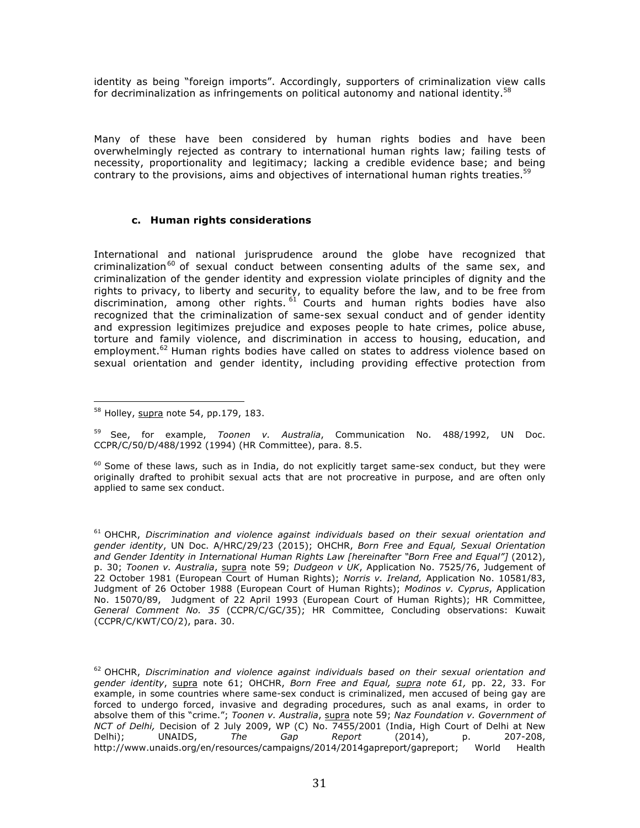identity as being "foreign imports". Accordingly, supporters of criminalization view calls for decriminalization as infringements on political autonomy and national identity.<sup>58</sup>

Many of these have been considered by human rights bodies and have been overwhelmingly rejected as contrary to international human rights law; failing tests of necessity, proportionality and legitimacy; lacking a credible evidence base; and being contrary to the provisions, aims and objectives of international human rights treaties.<sup>59</sup>

## **c. Human rights considerations**

International and national jurisprudence around the globe have recognized that criminalization<sup>60</sup> of sexual conduct between consenting adults of the same sex, and criminalization of the gender identity and expression violate principles of dignity and the rights to privacy, to liberty and security, to equality before the law, and to be free from discrimination, among other rights.  $61$  Courts and human rights bodies have also recognized that the criminalization of same-sex sexual conduct and of gender identity and expression legitimizes prejudice and exposes people to hate crimes, police abuse, torture and family violence, and discrimination in access to housing, education, and employment.<sup>62</sup> Human rights bodies have called on states to address violence based on sexual orientation and gender identity, including providing effective protection from

<sup>59</sup> See, for example, *Toonen v. Australia*, Communication No. 488/1992, UN Doc. CCPR/C/50/D/488/1992 (1994) (HR Committee), para. 8.5.

 $^{60}$  Some of these laws, such as in India, do not explicitly target same-sex conduct, but they were originally drafted to prohibit sexual acts that are not procreative in purpose, and are often only applied to same sex conduct.

<sup>61</sup> OHCHR, *Discrimination and violence against individuals based on their sexual orientation and gender identity*, UN Doc. A/HRC/29/23 (2015); OHCHR, *Born Free and Equal, Sexual Orientation*  and Gender Identity in International Human Rights Law [hereinafter "Born Free and Equal"] (2012), p. 30; *Toonen v. Australia*, supra note 59; *Dudgeon v UK*, Application No. 7525/76, Judgement of 22 October 1981 (European Court of Human Rights); *Norris v. Ireland,* Application No. 10581/83, Judgment of 26 October 1988 (European Court of Human Rights); *Modinos v. Cyprus*, Application No. 15070/89, Judgment of 22 April 1993 (European Court of Human Rights); HR Committee, *General Comment No. 35* (CCPR/C/GC/35); HR Committee, Concluding observations: Kuwait (CCPR/C/KWT/CO/2), para. 30.

<sup>62</sup> OHCHR, *Discrimination and violence against individuals based on their sexual orientation and gender identity*, supra note 61; OHCHR, *Born Free and Equal, supra note 61,* pp. 22, 33. For example, in some countries where same-sex conduct is criminalized, men accused of being gay are forced to undergo forced, invasive and degrading procedures, such as anal exams, in order to absolve them of this "crime."; *Toonen v. Australia*, supra note 59; *Naz Foundation v. Government of NCT of Delhi,* Decision of 2 July 2009, WP (C) No. 7455/2001 (India, High Court of Delhi at New Delhi); UNAIDS, *The Gap Report* (2014), p. 207-208, http://www.unaids.org/en/resources/campaigns/2014/2014gapreport/gapreport; World Health

 58 Holley, supra note 54, pp.179, 183.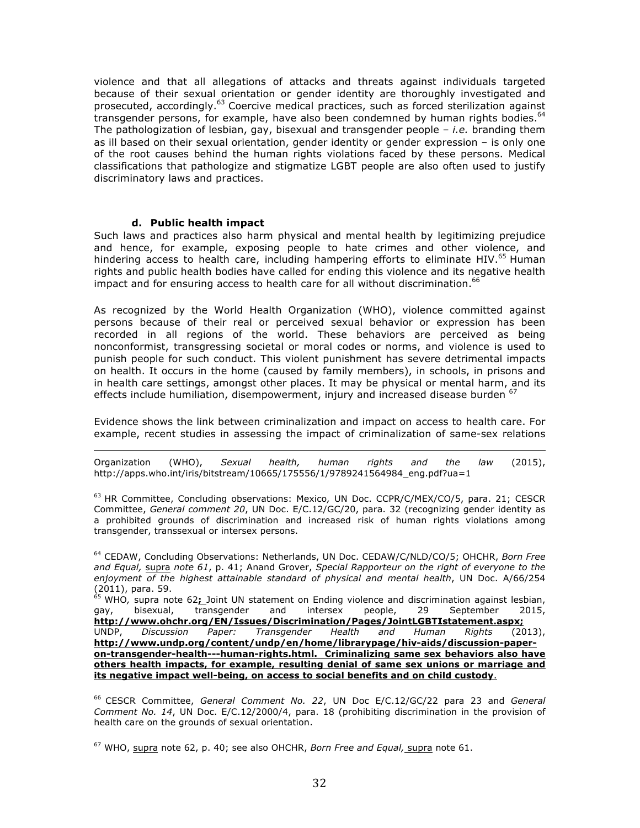violence and that all allegations of attacks and threats against individuals targeted because of their sexual orientation or gender identity are thoroughly investigated and prosecuted, accordingly.<sup>63</sup> Coercive medical practices, such as forced sterilization against transgender persons, for example, have also been condemned by human rights bodies. $64$ The pathologization of lesbian, gay, bisexual and transgender people – *i.e.* branding them as ill based on their sexual orientation, gender identity or gender expression – is only one of the root causes behind the human rights violations faced by these persons. Medical classifications that pathologize and stigmatize LGBT people are also often used to justify discriminatory laws and practices.

#### **d. Public health impact**

Such laws and practices also harm physical and mental health by legitimizing prejudice and hence, for example, exposing people to hate crimes and other violence, and hindering access to health care, including hampering efforts to eliminate HIV.<sup>65</sup> Human rights and public health bodies have called for ending this violence and its negative health impact and for ensuring access to health care for all without discrimination.  $66$ 

As recognized by the World Health Organization (WHO), violence committed against persons because of their real or perceived sexual behavior or expression has been recorded in all regions of the world. These behaviors are perceived as being nonconformist, transgressing societal or moral codes or norms, and violence is used to punish people for such conduct. This violent punishment has severe detrimental impacts on health. It occurs in the home (caused by family members), in schools, in prisons and in health care settings, amongst other places. It may be physical or mental harm, and its effects include humiliation, disempowerment, injury and increased disease burden <sup>67</sup>

Evidence shows the link between criminalization and impact on access to health care. For example, recent studies in assessing the impact of criminalization of same-sex relations

<u> 1989 - Andrea San Andrew Maria (h. 1989).</u><br>1900 - Andrew Maria (h. 1980). Organization (WHO), *Sexual health, human rights and the law* (2015), http://apps.who.int/iris/bitstream/10665/175556/1/9789241564984\_eng.pdf?ua=1

<sup>63</sup> HR Committee, Concluding observations: Mexico*,* UN Doc. CCPR/C/MEX/CO/5, para. 21; CESCR Committee, *General comment 20*, UN Doc. E/C.12/GC/20, para. 32 (recognizing gender identity as a prohibited grounds of discrimination and increased risk of human rights violations among transgender, transsexual or intersex persons.

<sup>64</sup> CEDAW, Concluding Observations: Netherlands, UN Doc. CEDAW/C/NLD/CO/5; OHCHR, *Born Free and Equal,* supra *note 61*, p. 41; Anand Grover, *Special Rapporteur on the right of everyone to the enjoyment of the highest attainable standard of physical and mental health*, UN Doc. A/66/254 (2011), para. 59.

<sup>65</sup> WHO*,* supra note 62**;** Joint UN statement on Ending violence and discrimination against lesbian, gay, bisexual, transgender and intersex people, 29 September 2015, **http://www.ohchr.org/EN/Issues/Discrimination/Pages/JointLGBTIstatement.aspx;** UNDP, *Discussion Paper: Transgender Health and Human Rights* (2013), **http://www.undp.org/content/undp/en/home/librarypage/hiv-aids/discussion-paperon-transgender-health---human-rights.html. Criminalizing same sex behaviors also have others health impacts, for example, resulting denial of same sex unions or marriage and its negative impact well-being, on access to social benefits and on child custody**.

<sup>66</sup> CESCR Committee, *General Comment No. 22*, UN Doc E/C.12/GC/22 para 23 and *General Comment No. 14*, UN Doc. E/C.12/2000/4, para. 18 (prohibiting discrimination in the provision of health care on the grounds of sexual orientation.

<sup>67</sup> WHO, supra note 62, p. 40; see also OHCHR, *Born Free and Equal,* supra note 61.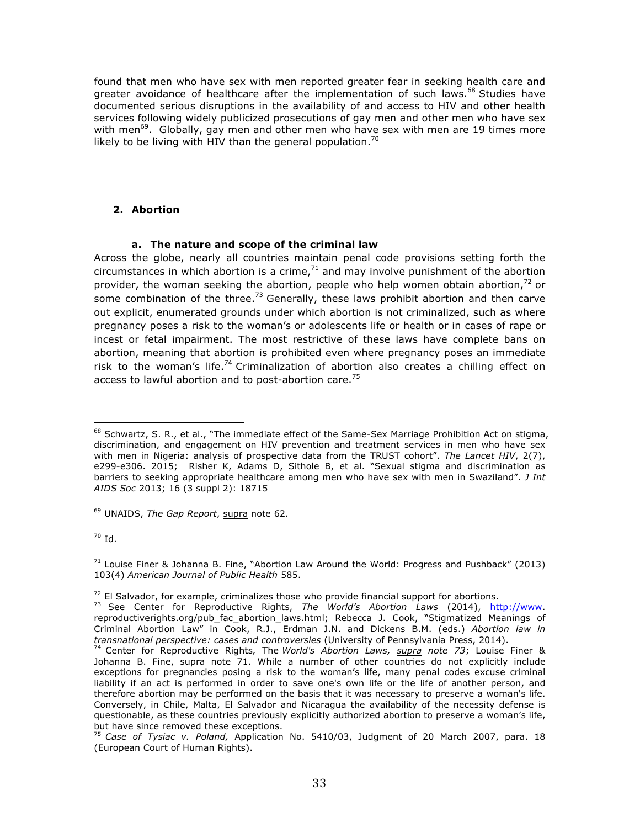found that men who have sex with men reported greater fear in seeking health care and greater avoidance of healthcare after the implementation of such laws.<sup>68</sup> Studies have documented serious disruptions in the availability of and access to HIV and other health services following widely publicized prosecutions of gay men and other men who have sex with men<sup>69</sup>. Globally, gay men and other men who have sex with men are 19 times more likely to be living with HIV than the general population.<sup>70</sup>

## **2. Abortion**

## **a. The nature and scope of the criminal law**

Across the globe, nearly all countries maintain penal code provisions setting forth the circumstances in which abortion is a crime, $71$  and may involve punishment of the abortion provider, the woman seeking the abortion, people who help women obtain abortion, $72$  or some combination of the three.<sup>73</sup> Generally, these laws prohibit abortion and then carve out explicit, enumerated grounds under which abortion is not criminalized, such as where pregnancy poses a risk to the woman's or adolescents life or health or in cases of rape or incest or fetal impairment. The most restrictive of these laws have complete bans on abortion, meaning that abortion is prohibited even where pregnancy poses an immediate risk to the woman's life.<sup>74</sup> Criminalization of abortion also creates a chilling effect on access to lawful abortion and to post-abortion care.<sup>75</sup>

<sup>69</sup> UNAIDS, *The Gap Report*, supra note 62.

 $70$  Id.

  $^{68}$  Schwartz, S. R., et al., "The immediate effect of the Same-Sex Marriage Prohibition Act on stigma, discrimination, and engagement on HIV prevention and treatment services in men who have sex with men in Nigeria: analysis of prospective data from the TRUST cohort". *The Lancet HIV*, 2(7), e299-e306. 2015; Risher K, Adams D, Sithole B, et al. "Sexual stigma and discrimination as barriers to seeking appropriate healthcare among men who have sex with men in Swaziland". *J Int AIDS Soc* 2013; 16 (3 suppl 2): 18715

 $71$  Louise Finer & Johanna B. Fine, "Abortion Law Around the World: Progress and Pushback" (2013) 103(4) *American Journal of Public Health* 585.

<sup>&</sup>lt;sup>72</sup> El Salvador, for example, criminalizes those who provide financial support for abortions.<br><sup>73</sup> See Center for Reproductive Rights, *The World's Abortion Laws* (2014), http://www. reproductiverights.org/pub\_fac\_abortion\_laws.html; Rebecca J. Cook, "Stigmatized Meanings of Criminal Abortion Law" in Cook, R.J., Erdman J.N. and Dickens B.M. (eds.) *Abortion law in transnational perspective: cases and controversies* (University of Pennsylvania Press, 2014).

<sup>74</sup> Center for Reproductive Rights*,* The *World's Abortion Laws, supra note 73*; Louise Finer & Johanna B. Fine, supra note 71. While a number of other countries do not explicitly include exceptions for pregnancies posing a risk to the woman's life, many penal codes excuse criminal liability if an act is performed in order to save one's own life or the life of another person, and therefore abortion may be performed on the basis that it was necessary to preserve a woman's life. Conversely, in Chile, Malta, El Salvador and Nicaragua the availability of the necessity defense is questionable, as these countries previously explicitly authorized abortion to preserve a woman's life, but have since removed these exceptions.

<sup>75</sup> *Case of Tysiac v. Poland,* Application No. 5410/03, Judgment of 20 March 2007, para. 18 (European Court of Human Rights).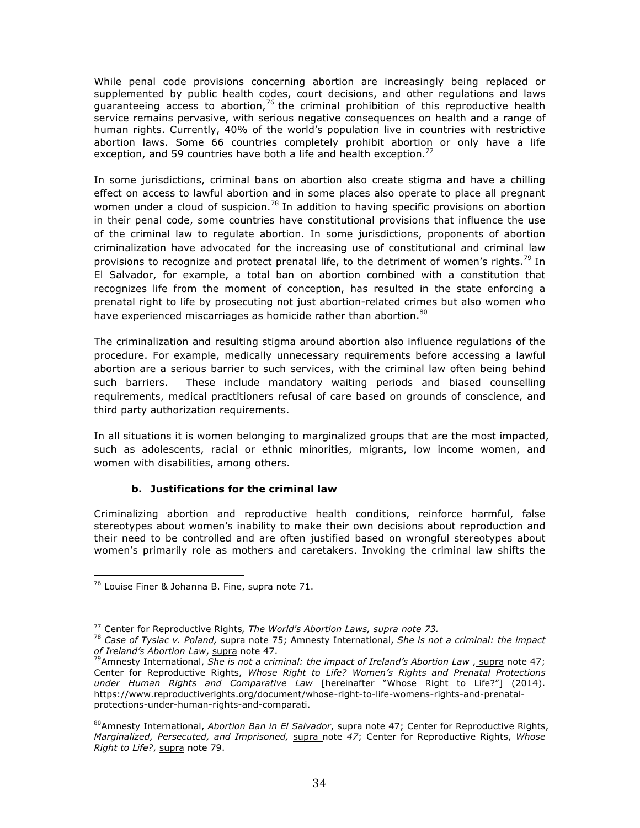While penal code provisions concerning abortion are increasingly being replaced or supplemented by public health codes, court decisions, and other regulations and laws guaranteeing access to abortion,  $76$  the criminal prohibition of this reproductive health service remains pervasive, with serious negative consequences on health and a range of human rights. Currently, 40% of the world's population live in countries with restrictive abortion laws. Some 66 countries completely prohibit abortion or only have a life exception, and 59 countries have both a life and health exception.<sup>77</sup>

In some jurisdictions, criminal bans on abortion also create stigma and have a chilling effect on access to lawful abortion and in some places also operate to place all pregnant women under a cloud of suspicion.<sup>78</sup> In addition to having specific provisions on abortion in their penal code, some countries have constitutional provisions that influence the use of the criminal law to regulate abortion. In some jurisdictions, proponents of abortion criminalization have advocated for the increasing use of constitutional and criminal law provisions to recognize and protect prenatal life, to the detriment of women's rights.<sup>79</sup> In El Salvador, for example, a total ban on abortion combined with a constitution that recognizes life from the moment of conception, has resulted in the state enforcing a prenatal right to life by prosecuting not just abortion-related crimes but also women who have experienced miscarriages as homicide rather than abortion. $80$ 

The criminalization and resulting stigma around abortion also influence regulations of the procedure. For example, medically unnecessary requirements before accessing a lawful abortion are a serious barrier to such services, with the criminal law often being behind such barriers. These include mandatory waiting periods and biased counselling requirements, medical practitioners refusal of care based on grounds of conscience, and third party authorization requirements.

In all situations it is women belonging to marginalized groups that are the most impacted, such as adolescents, racial or ethnic minorities, migrants, low income women, and women with disabilities, among others.

## **b. Justifications for the criminal law**

Criminalizing abortion and reproductive health conditions, reinforce harmful, false stereotypes about women's inability to make their own decisions about reproduction and their need to be controlled and are often justified based on wrongful stereotypes about women's primarily role as mothers and caretakers. Invoking the criminal law shifts the

 $76$  Louise Finer & Johanna B. Fine, supra note 71.

<sup>77</sup> Center for Reproductive Rights*, The World's Abortion Laws, supra note 73.* 

<sup>78</sup> *Case of Tysiac v. Poland,* supra note 75; Amnesty International, *She is not a criminal: the impact of Ireland's Abortion Law*, supra note 47.

<sup>&</sup>lt;sup>79</sup> Amnesty International, *She is not a criminal: the impact of Ireland's Abortion Law*, supra note 47; Center for Reproductive Rights, *Whose Right to Life? Women's Rights and Prenatal Protections under Human Rights and Comparative Law* [hereinafter "Whose Right to Life?"] (2014). https://www.reproductiverights.org/document/whose-right-to-life-womens-rights-and-prenatalprotections-under-human-rights-and-comparati.

<sup>80</sup>Amnesty International, *Abortion Ban in El Salvador*, supra note 47; Center for Reproductive Rights, *Marginalized, Persecuted, and Imprisoned,* supra note *47*; Center for Reproductive Rights, *Whose Right to Life?*, supra note 79.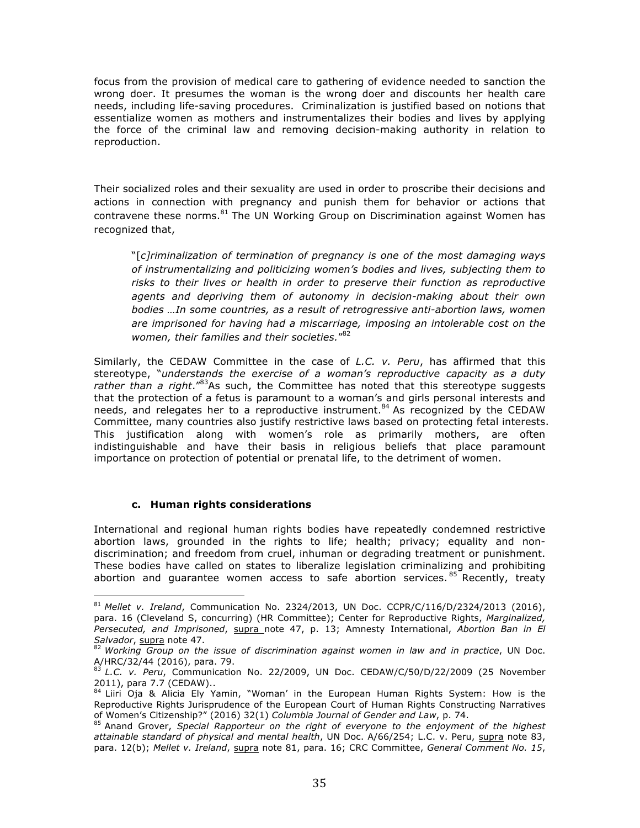focus from the provision of medical care to gathering of evidence needed to sanction the wrong doer. It presumes the woman is the wrong doer and discounts her health care needs, including life-saving procedures. Criminalization is justified based on notions that essentialize women as mothers and instrumentalizes their bodies and lives by applying the force of the criminal law and removing decision-making authority in relation to reproduction.

Their socialized roles and their sexuality are used in order to proscribe their decisions and actions in connection with pregnancy and punish them for behavior or actions that contravene these norms.<sup>81</sup> The UN Working Group on Discrimination against Women has recognized that,

"[*c]riminalization of termination of pregnancy is one of the most damaging ways of instrumentalizing and politicizing women's bodies and lives, subjecting them to risks to their lives or health in order to preserve their function as reproductive agents and depriving them of autonomy in decision-making about their own bodies …In some countries, as a result of retrogressive anti-abortion laws, women are imprisoned for having had a miscarriage, imposing an intolerable cost on the women, their families and their societies.*" 82

Similarly, the CEDAW Committee in the case of *L.C. v. Peru*, has affirmed that this stereotype, "*understands the exercise of a woman's reproductive capacity as a duty*  rather than a right.<sup>"83</sup>As such, the Committee has noted that this stereotype suggests that the protection of a fetus is paramount to a woman's and girls personal interests and needs, and relegates her to a reproductive instrument.<sup>84</sup> As recognized by the CEDAW Committee, many countries also justify restrictive laws based on protecting fetal interests. This justification along with women's role as primarily mothers, are often indistinguishable and have their basis in religious beliefs that place paramount importance on protection of potential or prenatal life, to the detriment of women.

## **c. Human rights considerations**

 

International and regional human rights bodies have repeatedly condemned restrictive abortion laws, grounded in the rights to life; health; privacy; equality and nondiscrimination; and freedom from cruel, inhuman or degrading treatment or punishment. These bodies have called on states to liberalize legislation criminalizing and prohibiting abortion and guarantee women access to safe abortion services.<sup>85</sup> Recently, treaty

<sup>81</sup> *Mellet v. Ireland*, Communication No. 2324/2013, UN Doc. CCPR/C/116/D/2324/2013 (2016), para. 16 (Cleveland S, concurring) (HR Committee); Center for Reproductive Rights, *Marginalized, Persecuted, and Imprisoned*, supra note 47, p. 13; Amnesty International, *Abortion Ban in El Salvador*, supra note 47.

<sup>82</sup> *Working Group on the issue of discrimination against women in law and in practice*, UN Doc. A/HRC/32/44 (2016), para. 79.

<sup>83</sup> *L.C. v. Peru*, Communication No. 22/2009, UN Doc. CEDAW/C/50/D/22/2009 (25 November 2011), para 7.7 (CEDAW)..

<sup>&</sup>lt;sup>84</sup> Liiri Oja & Alicia Ely Yamin, "Woman' in the European Human Rights System: How is the Reproductive Rights Jurisprudence of the European Court of Human Rights Constructing Narratives of Women's Citizenship?" (2016) 32(1) *Columbia Journal of Gender and Law*, p. 74.

<sup>85</sup> Anand Grover, *Special Rapporteur on the right of everyone to the enjoyment of the highest attainable standard of physical and mental health*, UN Doc. A/66/254; L.C. v. Peru, supra note 83, para. 12(b); *Mellet v. Ireland*, supra note 81, para. 16; CRC Committee, *General Comment No. 15*,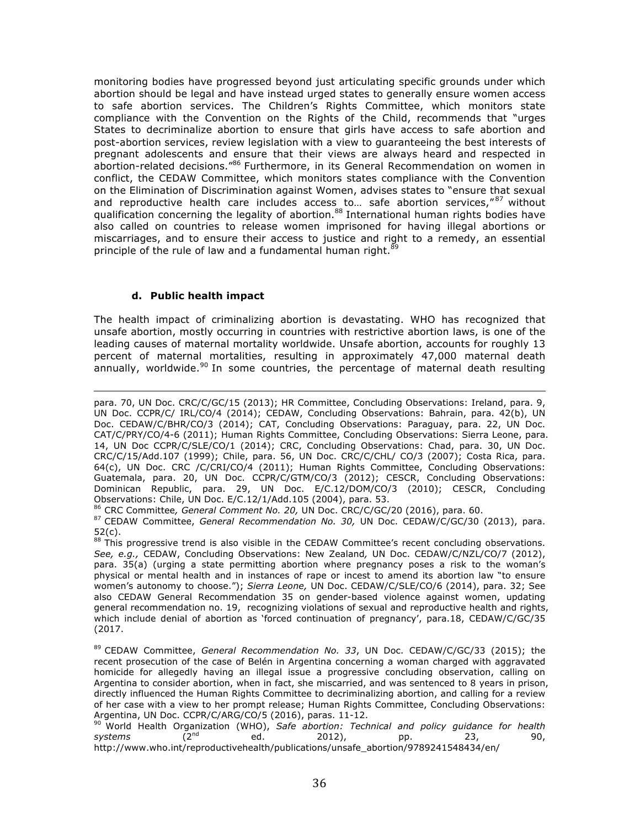monitoring bodies have progressed beyond just articulating specific grounds under which abortion should be legal and have instead urged states to generally ensure women access to safe abortion services. The Children's Rights Committee, which monitors state compliance with the Convention on the Rights of the Child, recommends that "urges States to decriminalize abortion to ensure that girls have access to safe abortion and post-abortion services, review legislation with a view to guaranteeing the best interests of pregnant adolescents and ensure that their views are always heard and respected in abortion-related decisions."<sup>86</sup> Furthermore, in its General Recommendation on women in conflict, the CEDAW Committee, which monitors states compliance with the Convention on the Elimination of Discrimination against Women, advises states to "ensure that sexual and reproductive health care includes access to... safe abortion services,"<sup>87</sup> without qualification concerning the legality of abortion.<sup>88</sup> International human rights bodies have also called on countries to release women imprisoned for having illegal abortions or miscarriages, and to ensure their access to justice and right to a remedy, an essential principle of the rule of law and a fundamental human right. $89$ 

## **d. Public health impact**

The health impact of criminalizing abortion is devastating. WHO has recognized that unsafe abortion, mostly occurring in countries with restrictive abortion laws, is one of the leading causes of maternal mortality worldwide. Unsafe abortion, accounts for roughly 13 percent of maternal mortalities, resulting in approximately 47,000 maternal death annually, worldwide.<sup>90</sup> In some countries, the percentage of maternal death resulting

<u> 1989 - Andrea San Andrew Maria (h. 1989).</u><br>1900 - Andrew Maria (h. 1980). para. 70, UN Doc. CRC/C/GC/15 (2013); HR Committee, Concluding Observations: Ireland, para. 9, UN Doc. CCPR/C/ IRL/CO/4 (2014); CEDAW, Concluding Observations: Bahrain, para. 42(b), UN Doc. CEDAW/C/BHR/CO/3 (2014); CAT, Concluding Observations: Paraguay, para. 22, UN Doc. CAT/C/PRY/CO/4-6 (2011); Human Rights Committee, Concluding Observations: Sierra Leone, para. 14, UN Doc CCPR/C/SLE/CO/1 (2014); CRC, Concluding Observations: Chad, para. 30, UN Doc. CRC/C/15/Add.107 (1999); Chile, para. 56, UN Doc. CRC/C/CHL/ CO/3 (2007); Costa Rica, para. 64(c), UN Doc. CRC /C/CRI/CO/4 (2011); Human Rights Committee, Concluding Observations: Guatemala, para. 20, UN Doc. CCPR/C/GTM/CO/3 (2012); CESCR, Concluding Observations: Dominican Republic, para. 29, UN Doc. E/C.12/DOM/CO/3 (2010); CESCR, Concluding Observations: Chile, UN Doc. E/C.12/1/Add.105 (2004), para. 53.

<sup>86</sup> CRC Committee*, General Comment No. 20,* UN Doc. CRC/C/GC/20 (2016), para. 60.

<sup>87</sup> CEDAW Committee, *General Recommendation No. 30,* UN Doc. CEDAW/C/GC/30 (2013), para. 52(c).

88 This progressive trend is also visible in the CEDAW Committee's recent concluding observations. *See, e.g.,* CEDAW, Concluding Observations: New Zealand*,* UN Doc. CEDAW/C/NZL/CO/7 (2012), para. 35(a) (urging a state permitting abortion where pregnancy poses a risk to the woman's physical or mental health and in instances of rape or incest to amend its abortion law "to ensure women's autonomy to choose."); *Sierra Leone,* UN Doc. CEDAW/C/SLE/CO/6 (2014), para. 32; See also CEDAW General Recommendation 35 on gender-based violence against women, updating general recommendation no. 19, recognizing violations of sexual and reproductive health and rights, which include denial of abortion as 'forced continuation of pregnancy', para.18, CEDAW/C/GC/35 (2017.

<sup>89</sup> CEDAW Committee, *General Recommendation No. 33*, UN Doc. CEDAW/C/GC/33 (2015); the recent prosecution of the case of Belén in Argentina concerning a woman charged with aggravated homicide for allegedly having an illegal issue a progressive concluding observation, calling on Argentina to consider abortion, when in fact, she miscarried, and was sentenced to 8 years in prison, directly influenced the Human Rights Committee to decriminalizing abortion, and calling for a review of her case with a view to her prompt release; Human Rights Committee, Concluding Observations: Argentina, UN Doc. CCPR/C/ARG/CO/5 (2016), paras. 11-12.

<sup>90</sup> World Health Organization (WHO), *Safe abortion: Technical and policy guidance for health systems (2<sup>nd</sup> ed. 2012), pp. 23. systems* (2nd ed. 2012), pp. 23, 90, http://www.who.int/reproductivehealth/publications/unsafe\_abortion/9789241548434/en/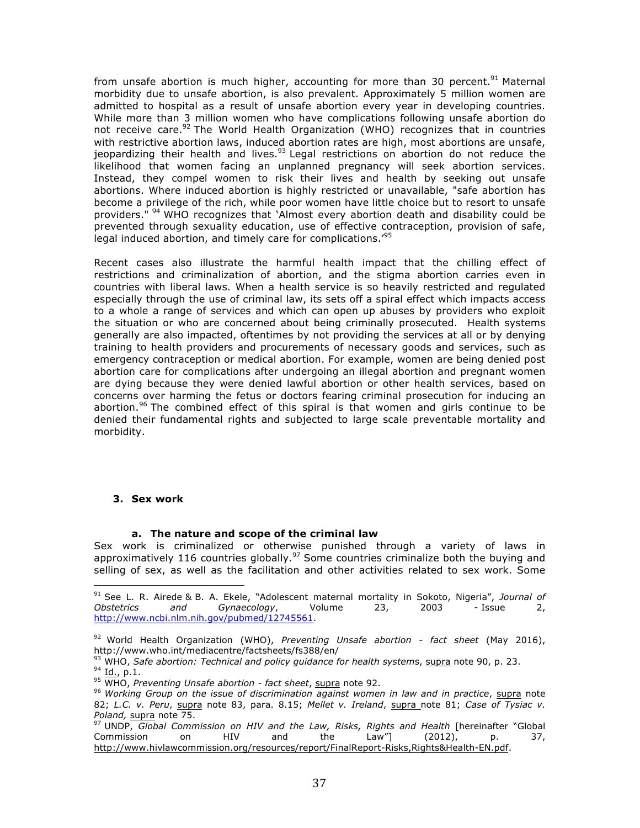from unsafe abortion is much higher, accounting for more than 30 percent.<sup>91</sup> Maternal morbidity due to unsafe abortion, is also prevalent. Approximately 5 million women are admitted to hospital as a result of unsafe abortion every year in developing countries. While more than 3 million women who have complications following unsafe abortion do not receive care.<sup>92</sup> The World Health Organization (WHO) recognizes that in countries with restrictive abortion laws, induced abortion rates are high, most abortions are unsafe, jeopardizing their health and lives. $93$  Legal restrictions on abortion do not reduce the likelihood that women facing an unplanned pregnancy will seek abortion services. Instead, they compel women to risk their lives and health by seeking out unsafe abortions. Where induced abortion is highly restricted or unavailable, "safe abortion has become a privilege of the rich, while poor women have little choice but to resort to unsafe providers." <sup>94</sup> WHO recognizes that 'Almost every abortion death and disability could be prevented through sexuality education, use of effective contraception, provision of safe, legal induced abortion, and timely care for complications.<sup>195</sup>

Recent cases also illustrate the harmful health impact that the chilling effect of restrictions and criminalization of abortion, and the stigma abortion carries even in countries with liberal laws. When a health service is so heavily restricted and regulated especially through the use of criminal law, its sets off a spiral effect which impacts access to a whole a range of services and which can open up abuses by providers who exploit the situation or who are concerned about being criminally prosecuted. Health systems generally are also impacted, oftentimes by not providing the services at all or by denying training to health providers and procurements of necessary goods and services, such as emergency contraception or medical abortion. For example, women are being denied post abortion care for complications after undergoing an illegal abortion and pregnant women are dying because they were denied lawful abortion or other health services, based on concerns over harming the fetus or doctors fearing criminal prosecution for inducing an abortion.<sup>96</sup> The combined effect of this spiral is that women and girls continue to be denied their fundamental rights and subjected to large scale preventable mortality and morbidity.

#### **3. Sex work**

 

#### **a. The nature and scope of the criminal law**

Sex work is criminalized or otherwise punished through a variety of laws in approximatively 116 countries globally.<sup>97</sup> Some countries criminalize both the buying and selling of sex, as well as the facilitation and other activities related to sex work. Some

<sup>91</sup> See L. R. Airede & B. A. Ekele, "Adolescent maternal mortality in Sokoto, Nigeria", *Journal of Obstetrics and Gynaecology*, Volume 23, 2003 - Issue 2, http://www.ncbi.nlm.nih.gov/pubmed/12745561.

<sup>92</sup> World Health Organization (WHO), *Preventing Unsafe abortion - fact sheet* (May 2016), http://www.who.int/mediacentre/factsheets/fs388/en/

<sup>&</sup>lt;sup>93</sup> WHO, Safe abortion: Technical and policy guidance for health systems, supra note 90, p. 23.<br><sup>94</sup> Id., p.1.<br><sup>95</sup> WHO, Preventing Unsafe abortion - fact sheet, supra note 92.<br><sup>96</sup> Working Group on the issue of discrimi

<sup>82;</sup> *L.C. v. Peru*, supra note 83, para. 8.15; *Mellet v. Ireland*, supra note 81; *Case of Tysiac v. Poland,* supra note 75.

<sup>97</sup> UNDP, *Global Commission on HIV and the Law, Risks, Rights and Health* [hereinafter "Global Commission on HIV and the Law"] (2012), p. 37, http://www.hivlawcommission.org/resources/report/FinalReport-Risks,Rights&Health-EN.pdf.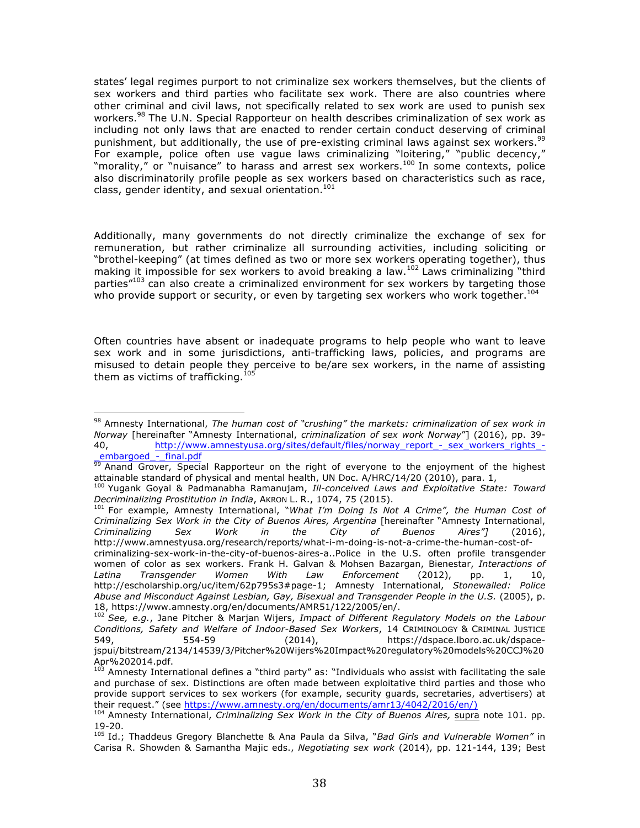states' legal regimes purport to not criminalize sex workers themselves, but the clients of sex workers and third parties who facilitate sex work. There are also countries where other criminal and civil laws, not specifically related to sex work are used to punish sex workers.<sup>98</sup> The U.N. Special Rapporteur on health describes criminalization of sex work as including not only laws that are enacted to render certain conduct deserving of criminal punishment, but additionally, the use of pre-existing criminal laws against sex workers.<sup>99</sup> For example, police often use vague laws criminalizing "loitering," "public decency," "morality," or "nuisance" to harass and arrest sex workers.<sup>100</sup> In some contexts, police also discriminatorily profile people as sex workers based on characteristics such as race, class, gender identity, and sexual orientation.<sup>101</sup>

Additionally, many governments do not directly criminalize the exchange of sex for remuneration, but rather criminalize all surrounding activities, including soliciting or "brothel-keeping" (at times defined as two or more sex workers operating together), thus making it impossible for sex workers to avoid breaking a law.<sup>102</sup> Laws criminalizing "third" parties<sup>"103</sup> can also create a criminalized environment for sex workers by targeting those who provide support or security, or even by targeting sex workers who work together.<sup>104</sup>

Often countries have absent or inadequate programs to help people who want to leave sex work and in some jurisdictions, anti-trafficking laws, policies, and programs are misused to detain people they perceive to be/are sex workers, in the name of assisting<br>them as vistime of trafficiting  $105$ them as victims of trafficking. $1$ 

 

<sup>101</sup> For example, Amnesty International, "*What I'm Doing Is Not A Crime", the Human Cost of Criminalizing Sex Work in the City of Buenos Aires, Argentina* [hereinafter "Amnesty International, *Criminalizing Sex Work in the City of Buenos Aires"]* (2016), http://www.amnestyusa.org/research/reports/what-i-m-doing-is-not-a-crime-the-human-cost-ofcriminalizing-sex-work-in-the-city-of-buenos-aires-a..Police in the U.S. often profile transgender women of color as sex workers. Frank H. Galvan & Mohsen Bazargan, Bienestar, *Interactions of Latina Transgender Women With Law Enforcement* (2012), pp. 1, 10, http://escholarship.org/uc/item/62p795s3#page-1; Amnesty International, *Stonewalled: Police*  Abuse and Misconduct Against Lesbian, Gay, Bisexual and Transgender People in the U.S. (2005), p. 18, https://www.amnesty.org/en/documents/AMR51/122/2005/en/.

<sup>98</sup> Amnesty International, *The human cost of "crushing" the markets: criminalization of sex work in Norway* [hereinafter "Amnesty International, *criminalization of sex work Norway*"] (2016), pp. 39- 40. http://www.amnestyusa.org/sites/default/files/norway\_report\_-\_sex\_workers\_rights\_-\_embargoed\_-\_final.pdf

<sup>99</sup> Anand Grover, Special Rapporteur on the right of everyone to the enjoyment of the highest

attainable standard of physical and mental health, UN Doc. A/HRC/14/20 (2010), para. 1, 1, 100 Yugank Goyal & Padmanabha Ramanujam, *Ill-conceived Laws and Exploitative State: Toward Decriminalizing Prostitution in India*, AKRON L. R., 1074, 75 (2015).

<sup>102</sup> *See, e.g.*, Jane Pitcher & Marjan Wijers, *Impact of Different Regulatory Models on the Labour Conditions, Safety and Welfare of Indoor-Based Sex Workers*, 14 CRIMINOLOGY & CRIMINAL JUSTICE 549, 554-59 (2014), https://dspace.lboro.ac.uk/dspacejspui/bitstream/2134/14539/3/Pitcher%20Wijers%20Impact%20regulatory%20models%20CCJ%20 Apr%202014.pdf.

<sup>&</sup>lt;sup>103</sup> Amnesty International defines a "third party" as: "Individuals who assist with facilitating the sale and purchase of sex. Distinctions are often made between exploitative third parties and those who provide support services to sex workers (for example, security guards, secretaries, advertisers) at their request." (see https://www.amnesty.org/en/documents/amr13/4042/2016/en/)

<sup>104</sup> Amnesty International, *Criminalizing Sex Work in the City of Buenos Aires,* supra note 101*.* pp. 19-20.

<sup>105</sup> Id.; Thaddeus Gregory Blanchette & Ana Paula da Silva, "*Bad Girls and Vulnerable Women"* in Carisa R. Showden & Samantha Majic eds., *Negotiating sex work* (2014), pp. 121-144, 139; Best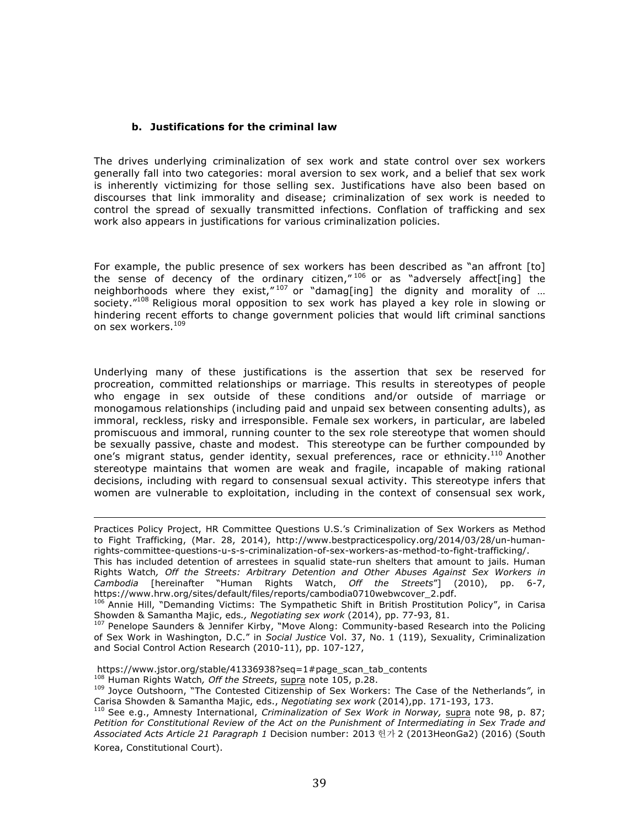#### **b. Justifications for the criminal law**

The drives underlying criminalization of sex work and state control over sex workers generally fall into two categories: moral aversion to sex work, and a belief that sex work is inherently victimizing for those selling sex. Justifications have also been based on discourses that link immorality and disease; criminalization of sex work is needed to control the spread of sexually transmitted infections. Conflation of trafficking and sex work also appears in justifications for various criminalization policies.

For example, the public presence of sex workers has been described as "an affront [to] the sense of decency of the ordinary citizen," <sup>106</sup> or as "adversely affect[ing] the neighborhoods where they exist," $107$  or "damag[ing] the dignity and morality of ... society."<sup>108</sup> Religious moral opposition to sex work has played a key role in slowing or hindering recent efforts to change government policies that would lift criminal sanctions on sex workers.<sup>109</sup>

Underlying many of these justifications is the assertion that sex be reserved for procreation, committed relationships or marriage. This results in stereotypes of people who engage in sex outside of these conditions and/or outside of marriage or monogamous relationships (including paid and unpaid sex between consenting adults), as immoral, reckless, risky and irresponsible. Female sex workers, in particular, are labeled promiscuous and immoral, running counter to the sex role stereotype that women should be sexually passive, chaste and modest. This stereotype can be further compounded by one's migrant status, gender identity, sexual preferences, race or ethnicity.<sup>110</sup> Another stereotype maintains that women are weak and fragile, incapable of making rational decisions, including with regard to consensual sexual activity. This stereotype infers that women are vulnerable to exploitation, including in the context of consensual sex work,

<u> 1989 - Andrea San Andrea San Andrea San Andrea San Andrea San Andrea San Andrea San Andrea San Andrea San An</u>

<sup>108</sup> Human Rights Watch*, Off the Streets*, supra note 105, p.28.

Practices Policy Project, HR Committee Questions U.S.'s Criminalization of Sex Workers as Method to Fight Trafficking, (Mar. 28, 2014), http://www.bestpracticespolicy.org/2014/03/28/un-humanrights-committee-questions-u-s-s-criminalization-of-sex-workers-as-method-to-fight-trafficking/.

This has included detention of arrestees in squalid state-run shelters that amount to jails. Human Rights Watch*, Off the Streets: Arbitrary Detention and Other Abuses Against Sex Workers in Cambodia* [hereinafter "Human Rights Watch, *Off the Streets*"] (2010), pp. 6-7, https://www.hrw.org/sites/default/files/reports/cambodia0710webwcover\_2.pdf.

<sup>&</sup>lt;sup>106</sup> Annie Hill, "Demanding Victims: The Sympathetic Shift in British Prostitution Policy", in Carisa Showden & Samantha Majic, eds*., Negotiating sex work* (2014), pp. 77-93, 81.

<sup>&</sup>lt;sup>107</sup> Penelope Saunders & Jennifer Kirby, "Move Along: Community-based Research into the Policing of Sex Work in Washington, D.C." in *Social Justice* Vol. 37, No. 1 (119), Sexuality, Criminalization and Social Control Action Research (2010-11), pp. 107-127,

https://www.jstor.org/stable/41336938?seq=1#page\_scan\_tab\_contents

<sup>109</sup> Joyce Outshoorn, "The Contested Citizenship of Sex Workers: The Case of the Netherlands*"*, in Carisa Showden & Samantha Majic, eds., *Negotiating sex work* (2014),pp. 171-193, 173.

<sup>110</sup> See e.g., Amnesty International, *Criminalization of Sex Work in Norway,* supra note 98, p. 87; *Petition for Constitutional Review of the Act on the Punishment of Intermediating in Sex Trade and Associated Acts Article 21 Paragraph 1* Decision number: 2013 헌가 2 (2013HeonGa2) (2016) (South Korea, Constitutional Court).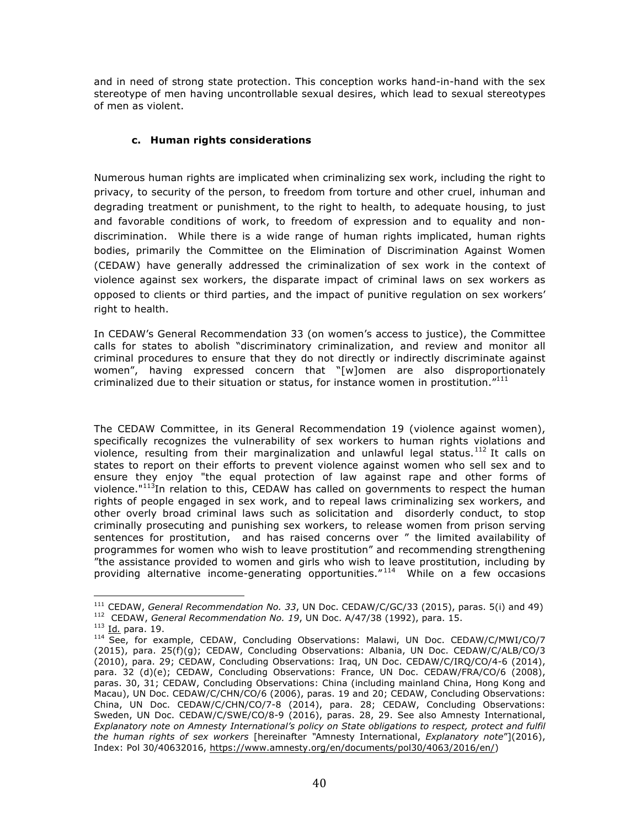and in need of strong state protection. This conception works hand-in-hand with the sex stereotype of men having uncontrollable sexual desires, which lead to sexual stereotypes of men as violent.

#### **c. Human rights considerations**

Numerous human rights are implicated when criminalizing sex work, including the right to privacy, to security of the person, to freedom from torture and other cruel, inhuman and degrading treatment or punishment, to the right to health, to adequate housing, to just and favorable conditions of work, to freedom of expression and to equality and nondiscrimination. While there is a wide range of human rights implicated, human rights bodies, primarily the Committee on the Elimination of Discrimination Against Women (CEDAW) have generally addressed the criminalization of sex work in the context of violence against sex workers, the disparate impact of criminal laws on sex workers as opposed to clients or third parties, and the impact of punitive regulation on sex workers' right to health.

In CEDAW's General Recommendation 33 (on women's access to justice), the Committee calls for states to abolish "discriminatory criminalization, and review and monitor all criminal procedures to ensure that they do not directly or indirectly discriminate against women", having expressed concern that "[w]omen are also disproportionately criminalized due to their situation or status, for instance women in prostitution. $"^{111}$ 

The CEDAW Committee, in its General Recommendation 19 (violence against women), specifically recognizes the vulnerability of sex workers to human rights violations and violence, resulting from their marginalization and unlawful legal status.<sup>112</sup> It calls on states to report on their efforts to prevent violence against women who sell sex and to ensure they enjoy "the equal protection of law against rape and other forms of violence." $113$ In relation to this, CEDAW has called on governments to respect the human rights of people engaged in sex work, and to repeal laws criminalizing sex workers, and other overly broad criminal laws such as solicitation and disorderly conduct, to stop criminally prosecuting and punishing sex workers, to release women from prison serving sentences for prostitution, and has raised concerns over " the limited availability of programmes for women who wish to leave prostitution" and recommending strengthening "the assistance provided to women and girls who wish to leave prostitution, including by providing alternative income-generating opportunities." 114 While on a few occasions

 

<sup>111</sup> CEDAW, *General Recommendation No. 33*, UN Doc. CEDAW/C/GC/33 (2015), paras. 5(i) and 49) 112 CEDAW, *General Recommendation No. 19*, UN Doc. A/47/38 (1992), para. 15.

<sup>113</sup> Id*.* para. 19.

<sup>&</sup>lt;sup>114</sup> See, for example, CEDAW, Concluding Observations: Malawi, UN Doc. CEDAW/C/MWI/CO/7 (2015), para. 25(f)(g); CEDAW, Concluding Observations: Albania, UN Doc. CEDAW/C/ALB/CO/3 (2010), para. 29; CEDAW, Concluding Observations: Iraq, UN Doc. CEDAW/C/IRQ/CO/4-6 (2014), para. 32 (d)(e); CEDAW, Concluding Observations: France, UN Doc. CEDAW/FRA/CO/6 (2008), paras. 30, 31; CEDAW, Concluding Observations: China (including mainland China, Hong Kong and Macau), UN Doc. CEDAW/C/CHN/CO/6 (2006), paras. 19 and 20; CEDAW, Concluding Observations: China, UN Doc. CEDAW/C/CHN/CO/7-8 (2014), para. 28; CEDAW, Concluding Observations: Sweden, UN Doc. CEDAW/C/SWE/CO/8-9 (2016), paras. 28, 29. See also Amnesty International, *Explanatory note on Amnesty International's policy on State obligations to respect, protect and fulfil the human rights of sex workers* [hereinafter *"*Amnesty International, *Explanatory note*"](2016), Index: Pol 30/40632016, https://www.amnesty.org/en/documents/pol30/4063/2016/en/)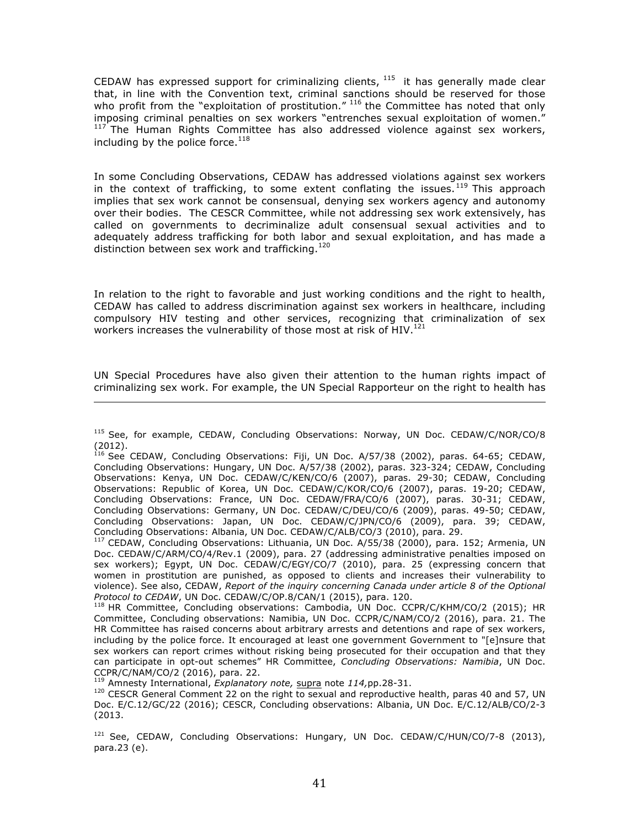CEDAW has expressed support for criminalizing clients,  $115$  it has generally made clear that, in line with the Convention text, criminal sanctions should be reserved for those who profit from the "exploitation of prostitution." <sup>116</sup> the Committee has noted that only imposing criminal penalties on sex workers "entrenches sexual exploitation of women." <sup>117</sup> The Human Rights Committee has also addressed violence against sex workers, including by the police force. $^{118}$ 

In some Concluding Observations, CEDAW has addressed violations against sex workers in the context of trafficking, to some extent conflating the issues.<sup>119</sup> This approach implies that sex work cannot be consensual, denying sex workers agency and autonomy over their bodies. The CESCR Committee, while not addressing sex work extensively, has called on governments to decriminalize adult consensual sexual activities and to adequately address trafficking for both labor and sexual exploitation, and has made a distinction between sex work and trafficking.<sup>120</sup>

In relation to the right to favorable and just working conditions and the right to health, CEDAW has called to address discrimination against sex workers in healthcare, including compulsory HIV testing and other services, recognizing that criminalization of sex workers increases the vulnerability of those most at risk of  $HIV.<sup>121</sup>$ 

UN Special Procedures have also given their attention to the human rights impact of criminalizing sex work. For example, the UN Special Rapporteur on the right to health has <u> 1989 - Andrea Santa Andrea Andrea Andrea Andrea Andrea Andrea Andrea Andrea Andrea Andrea Andrea Andrea Andr</u>

<sup>&</sup>lt;sup>115</sup> See, for example, CEDAW, Concluding Observations: Norway, UN Doc. CEDAW/C/NOR/CO/8 (2012).

 $^{116}$  See CEDAW, Concluding Observations: Fiji, UN Doc. A/57/38 (2002), paras. 64-65; CEDAW, Concluding Observations: Hungary, UN Doc. A/57/38 (2002), paras. 323-324; CEDAW, Concluding Observations: Kenya, UN Doc. CEDAW/C/KEN/CO/6 (2007), paras. 29-30; CEDAW, Concluding Observations: Republic of Korea, UN Doc. CEDAW/C/KOR/CO/6 (2007), paras. 19-20; CEDAW, Concluding Observations: France, UN Doc. CEDAW/FRA/CO/6 (2007), paras. 30-31; CEDAW, Concluding Observations: Germany, UN Doc. CEDAW/C/DEU/CO/6 (2009), paras. 49-50; CEDAW, Concluding Observations: Japan, UN Doc. CEDAW/C/JPN/CO/6 (2009), para. 39; CEDAW, Concluding Observations: Albania, UN Doc. CEDAW/C/ALB/CO/3 (2010), para. 29.

<sup>&</sup>lt;sup>7</sup> CEDAW, Concluding Observations: Lithuania, UN Doc. A/55/38 (2000), para. 152; Armenia, UN Doc. CEDAW/C/ARM/CO/4/Rev.1 (2009), para. 27 (addressing administrative penalties imposed on sex workers); Egypt, UN Doc. CEDAW/C/EGY/CO/7 (2010), para. 25 (expressing concern that women in prostitution are punished, as opposed to clients and increases their vulnerability to violence). See also, CEDAW, *Report of the inquiry concerning Canada under article 8 of the Optional Protocol to CEDAW*, UN Doc. CEDAW/C/OP.8/CAN/1 (2015), para. 120.

<sup>&</sup>lt;sup>118</sup> HR Committee, Concluding observations: Cambodia, UN Doc. CCPR/C/KHM/CO/2 (2015); HR Committee, Concluding observations: Namibia, UN Doc. CCPR/C/NAM/CO/2 (2016), para. 21. The HR Committee has raised concerns about arbitrary arrests and detentions and rape of sex workers, including by the police force. It encouraged at least one government Government to "[e]nsure that sex workers can report crimes without risking being prosecuted for their occupation and that they can participate in opt-out schemes" HR Committee, *Concluding Observations: Namibia*, UN Doc. CCPR/C/NAM/CO/2 (2016), para. 22.

<sup>119</sup> Amnesty International, *Explanatory note,* supra note *114,*pp.28-31.

<sup>&</sup>lt;sup>120</sup> CESCR General Comment 22 on the right to sexual and reproductive health, paras 40 and 57, UN Doc. E/C.12/GC/22 (2016); CESCR, Concluding observations: Albania, UN Doc. E/C.12/ALB/CO/2-3 (2013.

<sup>&</sup>lt;sup>121</sup> See, CEDAW, Concluding Observations: Hungary, UN Doc. CEDAW/C/HUN/CO/7-8 (2013), para.23 (e).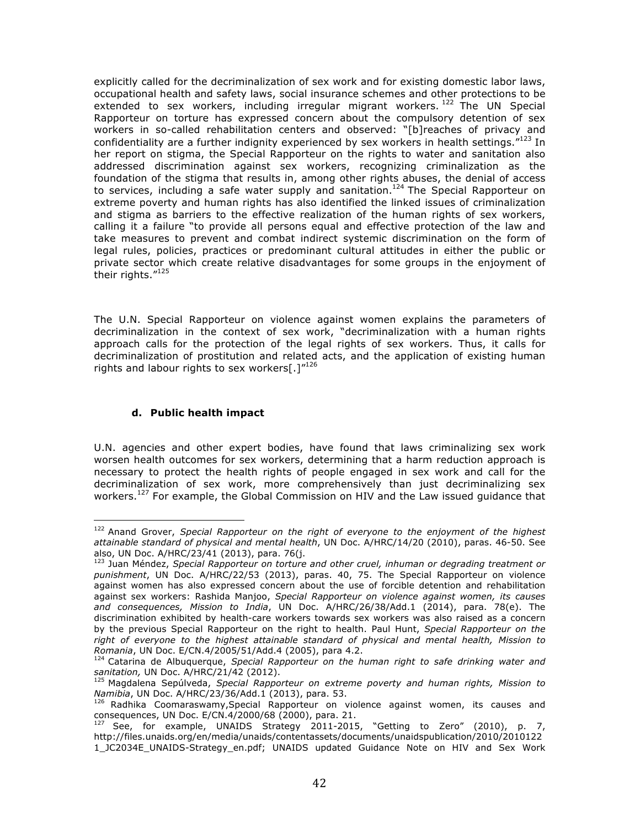explicitly called for the decriminalization of sex work and for existing domestic labor laws, occupational health and safety laws, social insurance schemes and other protections to be extended to sex workers, including irregular migrant workers. <sup>122</sup> The UN Special Rapporteur on torture has expressed concern about the compulsory detention of sex workers in so-called rehabilitation centers and observed: "[b]reaches of privacy and confidentiality are a further indignity experienced by sex workers in health settings."<sup>123</sup> In her report on stigma, the Special Rapporteur on the rights to water and sanitation also addressed discrimination against sex workers, recognizing criminalization as the foundation of the stigma that results in, among other rights abuses, the denial of access to services, including a safe water supply and sanitation.<sup>124</sup> The Special Rapporteur on extreme poverty and human rights has also identified the linked issues of criminalization and stigma as barriers to the effective realization of the human rights of sex workers, calling it a failure "to provide all persons equal and effective protection of the law and take measures to prevent and combat indirect systemic discrimination on the form of legal rules, policies, practices or predominant cultural attitudes in either the public or private sector which create relative disadvantages for some groups in the enjoyment of their rights."125

The U.N. Special Rapporteur on violence against women explains the parameters of decriminalization in the context of sex work, "decriminalization with a human rights approach calls for the protection of the legal rights of sex workers. Thus, it calls for decriminalization of prostitution and related acts, and the application of existing human rights and labour rights to sex workers[.] $^{\prime\prime 126}$ 

## **d. Public health impact**

 

U.N. agencies and other expert bodies, have found that laws criminalizing sex work worsen health outcomes for sex workers, determining that a harm reduction approach is necessary to protect the health rights of people engaged in sex work and call for the decriminalization of sex work, more comprehensively than just decriminalizing sex workers.<sup>127</sup> For example, the Global Commission on HIV and the Law issued quidance that

<sup>122</sup> Anand Grover, *Special Rapporteur on the right of everyone to the enjoyment of the highest attainable standard of physical and mental health*, UN Doc. A/HRC/14/20 (2010), paras. 46-50. See also, UN Doc. A/HRC/23/41 (2013), para. 76(j.

<sup>123</sup> Juan Méndez, *Special Rapporteur on torture and other cruel, inhuman or degrading treatment or punishment*, UN Doc. A/HRC/22/53 (2013), paras. 40, 75. The Special Rapporteur on violence against women has also expressed concern about the use of forcible detention and rehabilitation against sex workers: Rashida Manjoo, *Special Rapporteur on violence against women, its causes and consequences, Mission to India*, UN Doc. A/HRC/26/38/Add.1 (2014), para. 78(e). The discrimination exhibited by health-care workers towards sex workers was also raised as a concern by the previous Special Rapporteur on the right to health. Paul Hunt, *Special Rapporteur on the right of everyone to the highest attainable standard of physical and mental health, Mission to Romania*, UN Doc. E/CN.4/2005/51/Add.4 (2005), para 4.2.

<sup>&</sup>lt;sup>124</sup> Catarina de Albuquerque, Special Rapporteur on the human right to safe drinking water and *sanitation,* UN Doc. A/HRC/21/42 (2012).

<sup>125</sup> Magdalena Sepúlveda, *Special Rapporteur on extreme poverty and human rights, Mission to Namibia*, UN Doc. A/HRC/23/36/Add.1 (2013), para. 53.

 $^{126}$  Radhika Coomaraswamy, Special Rapporteur on violence against women, its causes and consequences, UN Doc. E/CN.4/2000/68 (2000), para. 21.

<sup>127</sup> See, for example, UNAIDS Strategy 2011-2015, "Getting to Zero" (2010), p. 7, http://files.unaids.org/en/media/unaids/contentassets/documents/unaidspublication/2010/2010122 1\_JC2034E\_UNAIDS-Strategy\_en.pdf; UNAIDS updated Guidance Note on HIV and Sex Work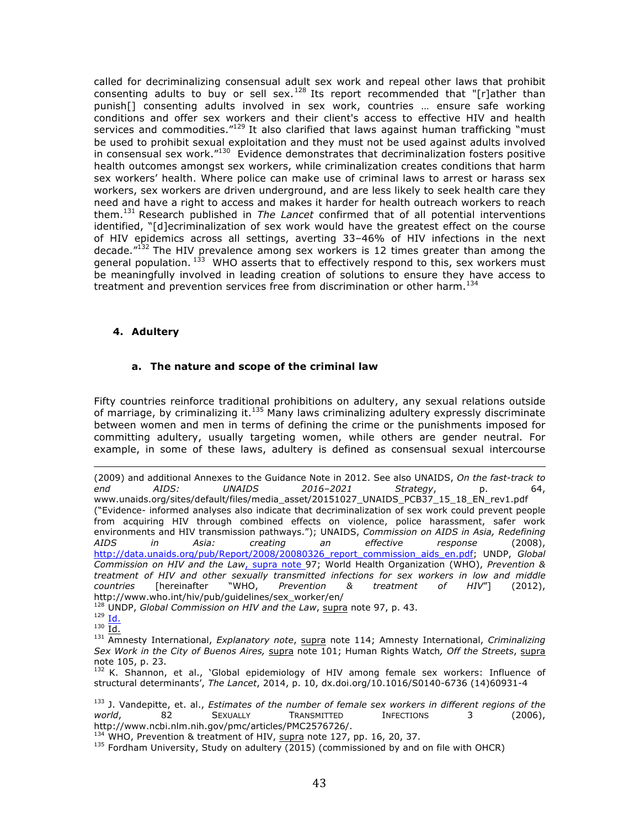called for decriminalizing consensual adult sex work and repeal other laws that prohibit consenting adults to buy or sell sex.<sup>128</sup> Its report recommended that "[r]ather than punish[] consenting adults involved in sex work, countries … ensure safe working conditions and offer sex workers and their client's access to effective HIV and health services and commodities."<sup>129</sup> It also clarified that laws against human trafficking "must be used to prohibit sexual exploitation and they must not be used against adults involved in consensual sex work."<sup>130</sup> Evidence demonstrates that decriminalization fosters positive health outcomes amongst sex workers, while criminalization creates conditions that harm sex workers' health. Where police can make use of criminal laws to arrest or harass sex workers, sex workers are driven underground, and are less likely to seek health care they need and have a right to access and makes it harder for health outreach workers to reach them.<sup>131</sup> Research published in *The Lancet* confirmed that of all potential interventions identified, "[d]ecriminalization of sex work would have the greatest effect on the course of HIV epidemics across all settings, averting 33–46% of HIV infections in the next decade."132 The HIV prevalence among sex workers is 12 times greater than among the general population.  $133$  WHO asserts that to effectively respond to this, sex workers must be meaningfully involved in leading creation of solutions to ensure they have access to treatment and prevention services free from discrimination or other harm.<sup>134</sup>

#### **4. Adultery**

#### **a. The nature and scope of the criminal law**

Fifty countries reinforce traditional prohibitions on adultery, any sexual relations outside of marriage, by criminalizing it. $135$  Many laws criminalizing adultery expressly discriminate between women and men in terms of defining the crime or the punishments imposed for committing adultery, usually targeting women, while others are gender neutral. For example, in some of these laws, adultery is defined as consensual sexual intercourse

<sup>128</sup> UNDP, *Global Commission on HIV and the Law*, supra note 97, p. 43.<br><sup>129</sup> Id.<br>1<sup>30</sup> Id.

<sup>&</sup>lt;u> 1989 - Andrea Santa Andrea Andrea Andrea Andrea Andrea Andrea Andrea Andrea Andrea Andrea Andrea Andrea Andr</u> (2009) and additional Annexes to the Guidance Note in 2012. See also UNAIDS, *On the fast-track to end AIDS: UNAIDS 2016–2021 Strategy*, p. 64, www.unaids.org/sites/default/files/media\_asset/20151027\_UNAIDS\_PCB37\_15\_18\_EN\_rev1.pdf ("Evidence- informed analyses also indicate that decriminalization of sex work could prevent people from acquiring HIV through combined effects on violence, police harassment, safer work environments and HIV transmission pathways."); UNAIDS, *Commission on AIDS in Asia, Redefining AIDS in Asia: creating an effective response* (2008), http://data.unaids.org/pub/Report/2008/20080326\_report\_commission\_aids\_en.pdf; UNDP, *Global Commission on HIV and the Law*, supra note 97; World Health Organization (WHO), *Prevention & treatment of HIV and other sexually transmitted infections for sex workers in low and middle countries* [hereinafter "WHO, *Prevention & treatment of HIV*"] (2012), http://www.who.int/hiv/pub/guidelines/sex\_worker/en/

<sup>131</sup> Amnesty International, *Explanatory note*, supra note 114; Amnesty International, *Criminalizing Sex Work in the City of Buenos Aires,* supra note 101; Human Rights Watch*, Off the Streets*, supra note 105, p. 23.<br><sup>132</sup> K. Shannon, et al., 'Global epidemiology of HIV among female sex workers: Influence of

structural determinants', *The Lancet*, 2014, p. 10, dx.doi.org/10.1016/S0140-6736 (14)60931-4

<sup>133</sup> J. Vandepitte, et. al., *Estimates of the number of female sex workers in different regions of the world.* 82 SEXUALLY TRANSMITTED INFECTIONS 3 (2006). http://www.ncbi.nlm.nih.gov/pmc/articles/PMC2576726/.<br><sup>134</sup> WHO, Prevention & treatment of HIV, supra note 127, pp. 16, 20, 37.

 $135$  Fordham University, Study on adultery (2015) (commissioned by and on file with OHCR)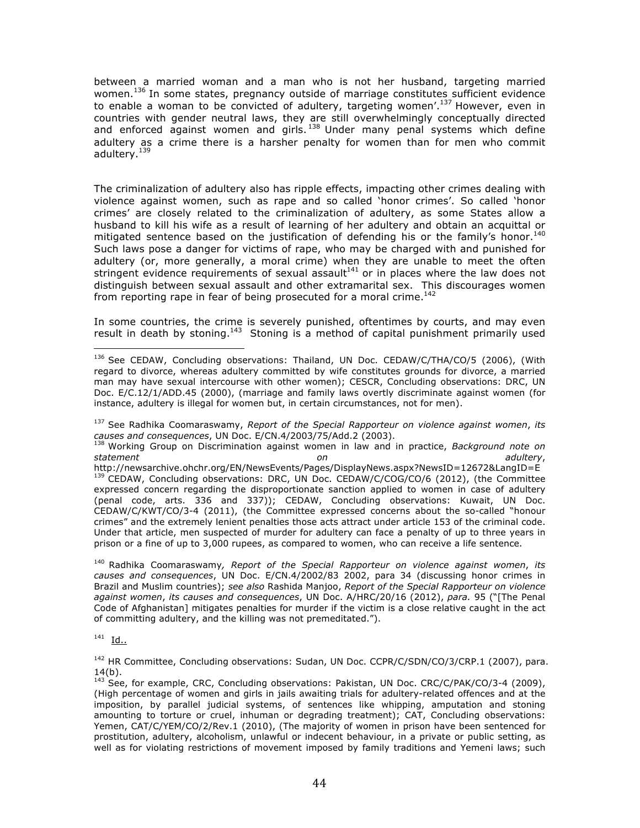between a married woman and a man who is not her husband, targeting married women.<sup>136</sup> In some states, pregnancy outside of marriage constitutes sufficient evidence to enable a woman to be convicted of adultery, targeting women'.137 However, even in countries with gender neutral laws, they are still overwhelmingly conceptually directed and enforced against women and girls.  $138$  Under many penal systems which define adultery as a crime there is a harsher penalty for women than for men who commit adultery.139

The criminalization of adultery also has ripple effects, impacting other crimes dealing with violence against women, such as rape and so called 'honor crimes'. So called 'honor crimes' are closely related to the criminalization of adultery, as some States allow a husband to kill his wife as a result of learning of her adultery and obtain an acquittal or mitigated sentence based on the justification of defending his or the family's honor.<sup>140</sup> Such laws pose a danger for victims of rape, who may be charged with and punished for adultery (or, more generally, a moral crime) when they are unable to meet the often stringent evidence requirements of sexual assault<sup>141</sup> or in places where the law does not distinguish between sexual assault and other extramarital sex. This discourages women from reporting rape in fear of being prosecuted for a moral crime.<sup>142</sup>

In some countries, the crime is severely punished, oftentimes by courts, and may even result in death by stoning.<sup>143</sup> Stoning is a method of capital punishment primarily used

<sup>137</sup> See Radhika Coomaraswamy, *Report of the Special Rapporteur on violence against women*, *its causes and consequences*, UN Doc. E/CN.4/2003/75/Add.2 (2003).

<sup>138</sup> Working Group on Discrimination against women in law and in practice, *Background note on statement on adultery*, http://newsarchive.ohchr.org/EN/NewsEvents/Pages/DisplayNews.aspx?NewsID=12672&LangID=E <sup>139</sup> CEDAW, Concluding observations: DRC, UN Doc. CEDAW/C/COG/CO/6 (2012), (the Committee expressed concern regarding the disproportionate sanction applied to women in case of adultery (penal code, arts. 336 and 337)); CEDAW, Concluding observations: Kuwait, UN Doc. CEDAW/C/KWT/CO/3-4 (2011), (the Committee expressed concerns about the so-called "honour crimes" and the extremely lenient penalties those acts attract under article 153 of the criminal code. Under that article, men suspected of murder for adultery can face a penalty of up to three years in prison or a fine of up to 3,000 rupees, as compared to women, who can receive a life sentence.

<sup>140</sup> Radhika Coomaraswamy*, Report of the Special Rapporteur on violence against women*, *its causes and consequences*, UN Doc. E/CN.4/2002/83 2002, para 34 (discussing honor crimes in Brazil and Muslim countries); *see also* Rashida Manjoo, *Report of the Special Rapporteur on violence against women*, *its causes and consequences*, UN Doc. A/HRC/20/16 (2012), *para.* 95 ("[The Penal Code of Afghanistan] mitigates penalties for murder if the victim is a close relative caught in the act of committing adultery, and the killing was not premeditated.").

 $141$  Id..

 

<sup>142</sup> HR Committee, Concluding observations: Sudan, UN Doc. CCPR/C/SDN/CO/3/CRP.1 (2007), para.  $14(b)$ .

<sup>&</sup>lt;sup>136</sup> See CEDAW, Concluding observations: Thailand, UN Doc. CEDAW/C/THA/CO/5 (2006), (With regard to divorce, whereas adultery committed by wife constitutes grounds for divorce, a married man may have sexual intercourse with other women); CESCR, Concluding observations: DRC, UN Doc. E/C.12/1/ADD.45 (2000), (marriage and family laws overtly discriminate against women (for instance, adultery is illegal for women but, in certain circumstances, not for men).

<sup>&</sup>lt;sup>143</sup> See, for example, CRC, Concluding observations: Pakistan, UN Doc. CRC/C/PAK/CO/3-4 (2009), (High percentage of women and girls in jails awaiting trials for adultery-related offences and at the imposition, by parallel judicial systems, of sentences like whipping, amputation and stoning amounting to torture or cruel, inhuman or degrading treatment); CAT, Concluding observations: Yemen, CAT/C/YEM/CO/2/Rev.1 (2010), (The majority of women in prison have been sentenced for prostitution, adultery, alcoholism, unlawful or indecent behaviour, in a private or public setting, as well as for violating restrictions of movement imposed by family traditions and Yemeni laws; such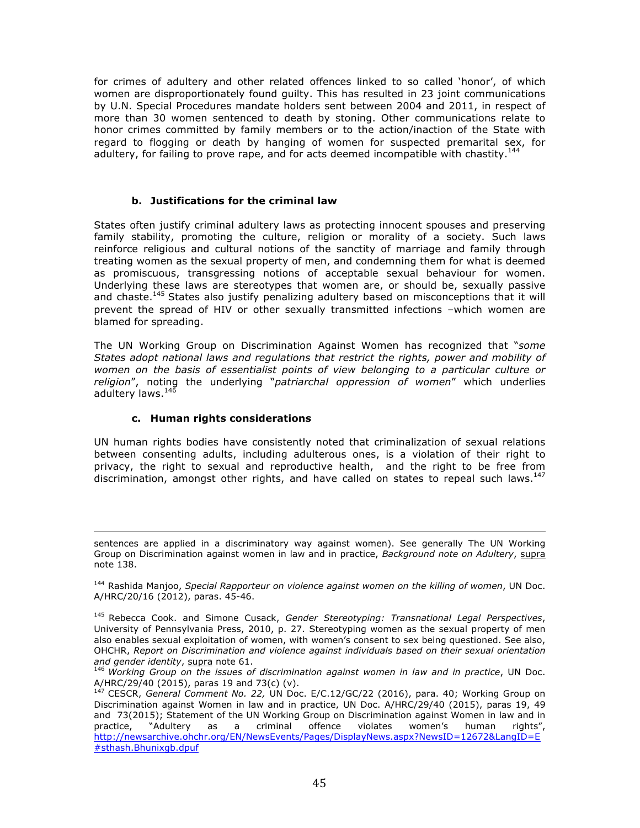for crimes of adultery and other related offences linked to so called 'honor', of which women are disproportionately found guilty. This has resulted in 23 joint communications by U.N. Special Procedures mandate holders sent between 2004 and 2011, in respect of more than 30 women sentenced to death by stoning. Other communications relate to honor crimes committed by family members or to the action/inaction of the State with regard to flogging or death by hanging of women for suspected premarital sex, for adultery, for failing to prove rape, and for acts deemed incompatible with chastity.<sup>144</sup>

### **b. Justifications for the criminal law**

States often justify criminal adultery laws as protecting innocent spouses and preserving family stability, promoting the culture, religion or morality of a society. Such laws reinforce religious and cultural notions of the sanctity of marriage and family through treating women as the sexual property of men, and condemning them for what is deemed as promiscuous, transgressing notions of acceptable sexual behaviour for women. Underlying these laws are stereotypes that women are, or should be, sexually passive and chaste.<sup>145</sup> States also justify penalizing adultery based on misconceptions that it will prevent the spread of HIV or other sexually transmitted infections –which women are blamed for spreading.

The UN Working Group on Discrimination Against Women has recognized that "*some States adopt national laws and regulations that restrict the rights, power and mobility of women on the basis of essentialist points of view belonging to a particular culture or religion*", noting the underlying "*patriarchal oppression of women*" which underlies adultery laws.<sup>146</sup>

#### **c. Human rights considerations**

UN human rights bodies have consistently noted that criminalization of sexual relations between consenting adults, including adulterous ones, is a violation of their right to privacy, the right to sexual and reproductive health, and the right to be free from discrimination, amongst other rights, and have called on states to repeal such laws. $147$ 

<u> 1989 - Andrea Santa Andrea Andrea Andrea Andrea Andrea Andrea Andrea Andrea Andrea Andrea Andrea Andrea Andr</u>

sentences are applied in a discriminatory way against women). See generally The UN Working Group on Discrimination against women in law and in practice, *Background note on Adultery*, supra note 138.

<sup>144</sup> Rashida Manjoo, *Special Rapporteur on violence against women on the killing of women*, UN Doc. A/HRC/20/16 (2012), paras. 45-46.

<sup>145</sup> Rebecca Cook. and Simone Cusack, *Gender Stereotyping: Transnational Legal Perspectives*, University of Pennsylvania Press, 2010, p. 27. Stereotyping women as the sexual property of men also enables sexual exploitation of women, with women's consent to sex being questioned. See also, OHCHR, *Report on Discrimination and violence against individuals based on their sexual orientation and gender identity*, supra note 61.

<sup>&</sup>lt;sup>146</sup> Working Group on the issues of discrimination against women in law and in practice, UN Doc. A/HRC/29/40 (2015), paras 19 and 73(c) (v).

<sup>147</sup> CESCR, *General Comment No. 22,* UN Doc. E/C.12/GC/22 (2016), para. 40; Working Group on Discrimination against Women in law and in practice, UN Doc. A/HRC/29/40 (2015), paras 19, 49 and 73(2015); Statement of the UN Working Group on Discrimination against Women in law and in practice, "Adultery as a criminal offence violates women's human rights", http://newsarchive.ohchr.org/EN/NewsEvents/Pages/DisplayNews.aspx?NewsID=12672&LangID=E #sthash.Bhunixgb.dpuf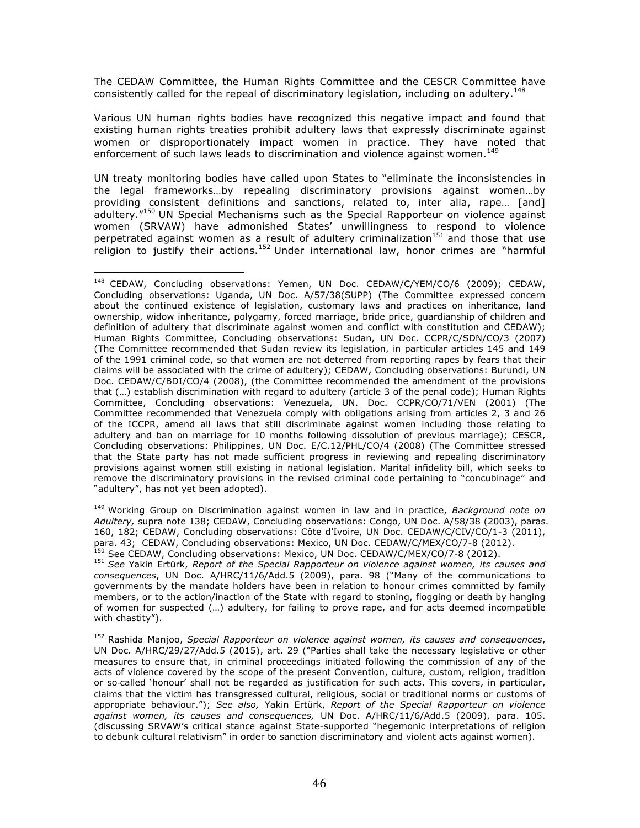The CEDAW Committee, the Human Rights Committee and the CESCR Committee have consistently called for the repeal of discriminatory legislation, including on adultery.<sup>148</sup>

Various UN human rights bodies have recognized this negative impact and found that existing human rights treaties prohibit adultery laws that expressly discriminate against women or disproportionately impact women in practice. They have noted that enforcement of such laws leads to discrimination and violence against women.<sup>149</sup>

UN treaty monitoring bodies have called upon States to "eliminate the inconsistencies in the legal frameworks…by repealing discriminatory provisions against women…by providing consistent definitions and sanctions, related to, inter alia, rape… [and] adultery."<sup>150</sup> UN Special Mechanisms such as the Special Rapporteur on violence against women (SRVAW) have admonished States' unwillingness to respond to violence perpetrated against women as a result of adultery criminalization<sup>151</sup> and those that use religion to justify their actions.<sup>152</sup> Under international law, honor crimes are "harmful

 

<sup>149</sup> Working Group on Discrimination against women in law and in practice, *Background note on Adultery,* supra note 138; CEDAW, Concluding observations: Congo, UN Doc. A/58/38 (2003), paras. 160, 182; CEDAW, Concluding observations: Côte d'Ivoire, UN Doc. CEDAW/C/CIV/CO/1-3 (2011), para. 43; CEDAW, Concluding observations: Mexico, UN Doc. CEDAW/C/MEX/CO/7-8 (2012).<br>para. 43; CEDAW, Concluding observations: Mexico, UN Doc. CEDAW/C/MEX/CO/7-8 (2012).

<sup>151</sup> *See* Yakin Ertürk, *Report of the Special Rapporteur on violence against women, its causes and consequences*, UN Doc. A/HRC/11/6/Add.5 (2009), para. 98 ("Many of the communications to governments by the mandate holders have been in relation to honour crimes committed by family members, or to the action/inaction of the State with regard to stoning, flogging or death by hanging of women for suspected (…) adultery, for failing to prove rape, and for acts deemed incompatible with chastity").

<sup>152</sup> Rashida Manjoo, *Special Rapporteur on violence against women, its causes and consequences*, UN Doc. A/HRC/29/27/Add.5 (2015), art. 29 ("Parties shall take the necessary legislative or other measures to ensure that, in criminal proceedings initiated following the commission of any of the acts of violence covered by the scope of the present Convention, culture, custom, religion, tradition or so-called 'honour' shall not be regarded as justification for such acts. This covers, in particular, claims that the victim has transgressed cultural, religious, social or traditional norms or customs of appropriate behaviour."); *See also,* Yakin Ertürk, *Report of the Special Rapporteur on violence against women, its causes and consequences,* UN Doc. A/HRC/11/6/Add.5 (2009), para. 105. (discussing SRVAW's critical stance against State-supported "hegemonic interpretations of religion to debunk cultural relativism" in order to sanction discriminatory and violent acts against women).

<sup>&</sup>lt;sup>148</sup> CEDAW, Concluding observations: Yemen, UN Doc. CEDAW/C/YEM/CO/6 (2009); CEDAW, Concluding observations: Uganda, UN Doc. A/57/38(SUPP) (The Committee expressed concern about the continued existence of legislation, customary laws and practices on inheritance, land ownership, widow inheritance, polygamy, forced marriage, bride price, guardianship of children and definition of adultery that discriminate against women and conflict with constitution and CEDAW); Human Rights Committee, Concluding observations: Sudan, UN Doc. CCPR/C/SDN/CO/3 (2007) (The Committee recommended that Sudan review its legislation, in particular articles 145 and 149 of the 1991 criminal code, so that women are not deterred from reporting rapes by fears that their claims will be associated with the crime of adultery); CEDAW, Concluding observations: Burundi, UN Doc. CEDAW/C/BDI/CO/4 (2008), (the Committee recommended the amendment of the provisions that (…) establish discrimination with regard to adultery (article 3 of the penal code); Human Rights Committee, Concluding observations: Venezuela, UN. Doc. CCPR/CO/71/VEN (2001) (The Committee recommended that Venezuela comply with obligations arising from articles 2, 3 and 26 of the ICCPR, amend all laws that still discriminate against women including those relating to adultery and ban on marriage for 10 months following dissolution of previous marriage); CESCR, Concluding observations: Philippines, UN Doc. E/C.12/PHL/CO/4 (2008) (The Committee stressed that the State party has not made sufficient progress in reviewing and repealing discriminatory provisions against women still existing in national legislation. Marital infidelity bill, which seeks to remove the discriminatory provisions in the revised criminal code pertaining to "concubinage" and "adultery", has not yet been adopted).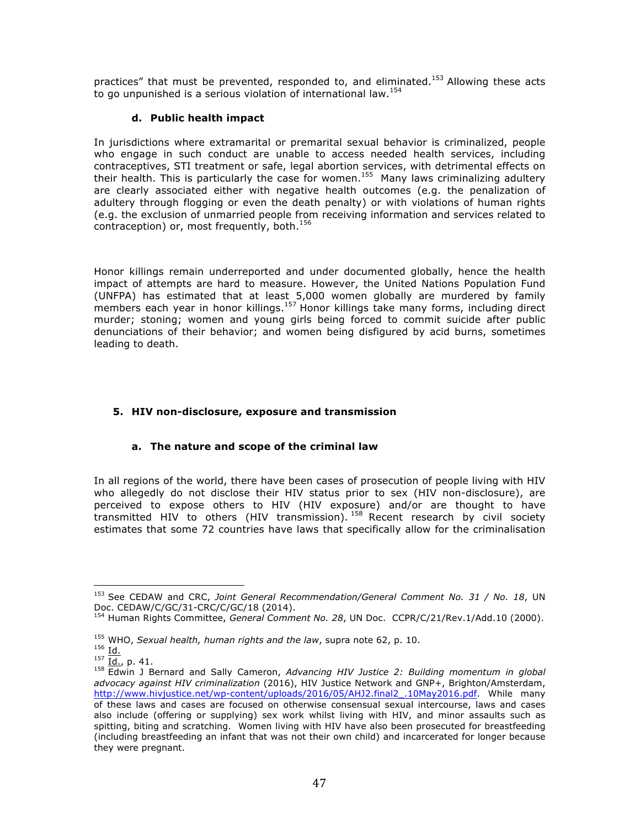practices" that must be prevented, responded to, and eliminated.<sup>153</sup> Allowing these acts to go unpunished is a serious violation of international law.  $154$ 

## **d. Public health impact**

In jurisdictions where extramarital or premarital sexual behavior is criminalized, people who engage in such conduct are unable to access needed health services, including contraceptives, STI treatment or safe, legal abortion services, with detrimental effects on their health. This is particularly the case for women.<sup>155</sup> Many laws criminalizing adultery are clearly associated either with negative health outcomes (e.g. the penalization of adultery through flogging or even the death penalty) or with violations of human rights (e.g. the exclusion of unmarried people from receiving information and services related to contraception) or, most frequently, both.<sup>156</sup>

Honor killings remain underreported and under documented globally, hence the health impact of attempts are hard to measure. However, the United Nations Population Fund (UNFPA) has estimated that at least 5,000 women globally are murdered by family members each year in honor killings.<sup>157</sup> Honor killings take many forms, including direct murder; stoning; women and young girls being forced to commit suicide after public denunciations of their behavior; and women being disfigured by acid burns, sometimes leading to death.

# **5. HIV non-disclosure, exposure and transmission**

## **a. The nature and scope of the criminal law**

In all regions of the world, there have been cases of prosecution of people living with HIV who allegedly do not disclose their HIV status prior to sex (HIV non-disclosure), are perceived to expose others to HIV (HIV exposure) and/or are thought to have transmitted HIV to others (HIV transmission).  $^{158}$  Recent research by civil society estimates that some 72 countries have laws that specifically allow for the criminalisation

 

<sup>153</sup> See CEDAW and CRC, *Joint General Recommendation/General Comment No. 31 / No. 18*, UN Doc. CEDAW/C/GC/31-CRC/C/GC/18 (2014).

<sup>154</sup> Human Rights Committee, *General Comment No. 28*, UN Doc. CCPR/C/21/Rev.1/Add.10 (2000).

<sup>155</sup> WHO, *Sexual health, human rights and the law*, supra note 62, p. 10.

 $156 \underline{Id.}$ 

 $^{157}$   $\frac{101}{\underline{10}}$ , p. 41.

<sup>158</sup> Edwin J Bernard and Sally Cameron, *Advancing HIV Justice 2: Building momentum in global advocacy against HIV criminalization* (2016), HIV Justice Network and GNP+, Brighton/Amsterdam, http://www.hivjustice.net/wp-content/uploads/2016/05/AHJ2.final2\_.10May2016.pdf. While many of these laws and cases are focused on otherwise consensual sexual intercourse, laws and cases also include (offering or supplying) sex work whilst living with HIV, and minor assaults such as spitting, biting and scratching. Women living with HIV have also been prosecuted for breastfeeding (including breastfeeding an infant that was not their own child) and incarcerated for longer because they were pregnant.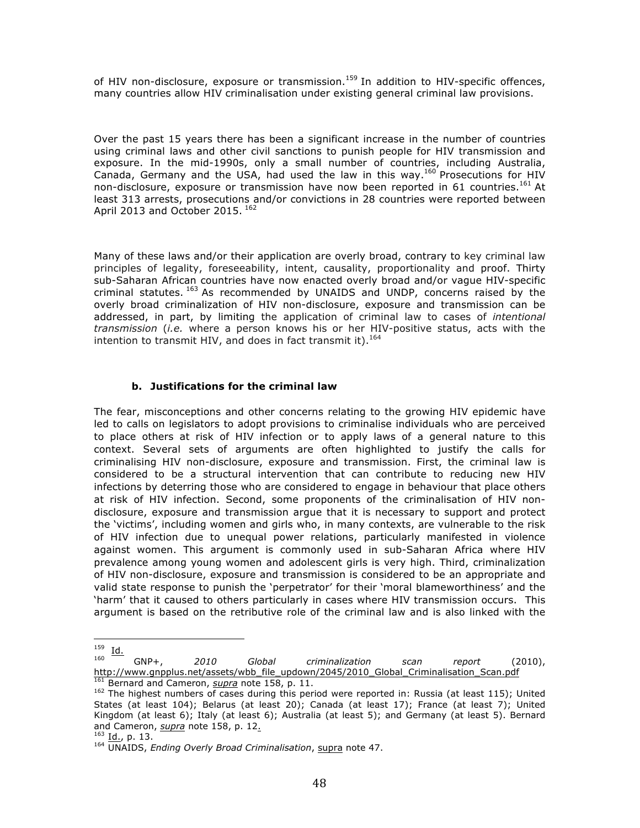of HIV non-disclosure, exposure or transmission.<sup>159</sup> In addition to HIV-specific offences, many countries allow HIV criminalisation under existing general criminal law provisions.

Over the past 15 years there has been a significant increase in the number of countries using criminal laws and other civil sanctions to punish people for HIV transmission and exposure. In the mid-1990s, only a small number of countries, including Australia, Canada, Germany and the USA, had used the law in this way.<sup>160</sup> Prosecutions for HIV non-disclosure, exposure or transmission have now been reported in 61 countries.<sup>161</sup> At least 313 arrests, prosecutions and/or convictions in 28 countries were reported between April 2013 and October 2015. 162

Many of these laws and/or their application are overly broad, contrary to key criminal law principles of legality, foreseeability, intent, causality, proportionality and proof. Thirty sub-Saharan African countries have now enacted overly broad and/or vague HIV-specific criminal statutes.  $163$  As recommended by UNAIDS and UNDP, concerns raised by the overly broad criminalization of HIV non-disclosure, exposure and transmission can be addressed, in part, by limiting the application of criminal law to cases of *intentional transmission* (*i.e.* where a person knows his or her HIV-positive status, acts with the intention to transmit HIV, and does in fact transmit it).<sup>164</sup>

### **b. Justifications for the criminal law**

The fear, misconceptions and other concerns relating to the growing HIV epidemic have led to calls on legislators to adopt provisions to criminalise individuals who are perceived to place others at risk of HIV infection or to apply laws of a general nature to this context. Several sets of arguments are often highlighted to justify the calls for criminalising HIV non-disclosure, exposure and transmission. First, the criminal law is considered to be a structural intervention that can contribute to reducing new HIV infections by deterring those who are considered to engage in behaviour that place others at risk of HIV infection. Second, some proponents of the criminalisation of HIV nondisclosure, exposure and transmission argue that it is necessary to support and protect the 'victims', including women and girls who, in many contexts, are vulnerable to the risk of HIV infection due to unequal power relations, particularly manifested in violence against women. This argument is commonly used in sub-Saharan Africa where HIV prevalence among young women and adolescent girls is very high. Third, criminalization of HIV non-disclosure, exposure and transmission is considered to be an appropriate and valid state response to punish the 'perpetrator' for their 'moral blameworthiness' and the 'harm' that it caused to others particularly in cases where HIV transmission occurs. This argument is based on the retributive role of the criminal law and is also linked with the

 

 $\frac{159}{160}$  <u>Id.</u>

<sup>160</sup> GNP+, *2010 Global criminalization scan report* (2010), http://www.gnpplus.net/assets/wbb\_file\_updown/2045/2010\_Global\_Criminalisation\_Scan.pdf

<sup>&</sup>lt;sup>161</sup> Bernard and Cameron, *supra* note 158, p. 11.<br><sup>162</sup> The highest numbers of cases during this period were reported in: Russia (at least 115); United States (at least 104); Belarus (at least 20); Canada (at least 17); France (at least 7); United Kingdom (at least 6); Italy (at least 6); Australia (at least 5); and Germany (at least 5). Bernard and Cameron, *supra* note 158, p. 12.

<sup>163</sup> Id., p. 13.

<sup>164</sup> UNAIDS, *Ending Overly Broad Criminalisation*, supra note 47.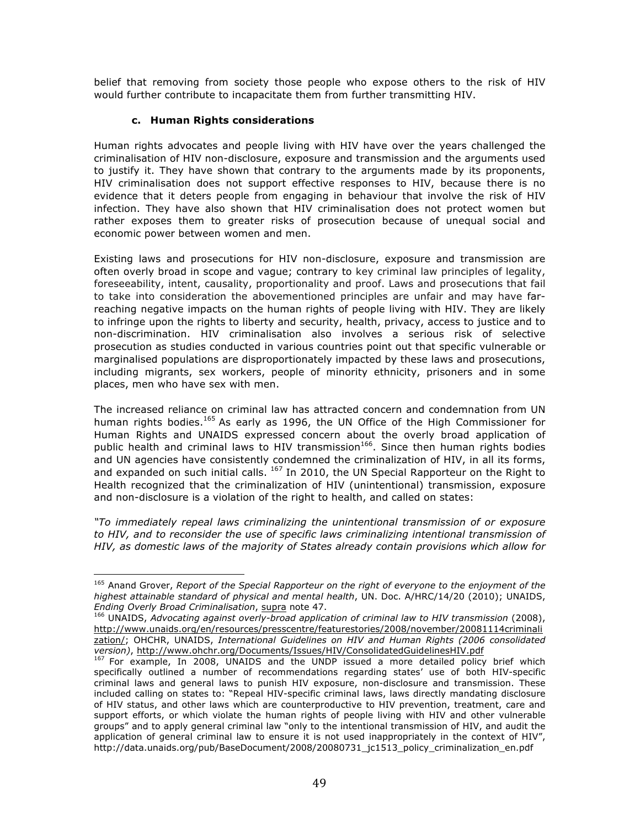belief that removing from society those people who expose others to the risk of HIV would further contribute to incapacitate them from further transmitting HIV.

#### **c. Human Rights considerations**

 

Human rights advocates and people living with HIV have over the years challenged the criminalisation of HIV non-disclosure, exposure and transmission and the arguments used to justify it. They have shown that contrary to the arguments made by its proponents, HIV criminalisation does not support effective responses to HIV, because there is no evidence that it deters people from engaging in behaviour that involve the risk of HIV infection. They have also shown that HIV criminalisation does not protect women but rather exposes them to greater risks of prosecution because of unequal social and economic power between women and men.

Existing laws and prosecutions for HIV non-disclosure, exposure and transmission are often overly broad in scope and vague; contrary to key criminal law principles of legality, foreseeability, intent, causality, proportionality and proof. Laws and prosecutions that fail to take into consideration the abovementioned principles are unfair and may have farreaching negative impacts on the human rights of people living with HIV. They are likely to infringe upon the rights to liberty and security, health, privacy, access to justice and to non-discrimination. HIV criminalisation also involves a serious risk of selective prosecution as studies conducted in various countries point out that specific vulnerable or marginalised populations are disproportionately impacted by these laws and prosecutions, including migrants, sex workers, people of minority ethnicity, prisoners and in some places, men who have sex with men.

The increased reliance on criminal law has attracted concern and condemnation from UN human rights bodies.<sup>165</sup> As early as 1996, the UN Office of the High Commissioner for Human Rights and UNAIDS expressed concern about the overly broad application of public health and criminal laws to HIV transmission<sup>166</sup>. Since then human rights bodies and UN agencies have consistently condemned the criminalization of HIV, in all its forms, and expanded on such initial calls.  $^{167}$  In 2010, the UN Special Rapporteur on the Right to Health recognized that the criminalization of HIV (unintentional) transmission, exposure and non-disclosure is a violation of the right to health, and called on states:

*"To immediately repeal laws criminalizing the unintentional transmission of or exposure*  to HIV, and to reconsider the use of specific laws criminalizing intentional transmission of *HIV, as domestic laws of the majority of States already contain provisions which allow for* 

<sup>165</sup> Anand Grover, *Report of the Special Rapporteur on the right of everyone to the enjoyment of the highest attainable standard of physical and mental health*, UN. Doc. A/HRC/14/20 (2010); UNAIDS, *Ending Overly Broad Criminalisation*, supra note 47.

<sup>&</sup>lt;sup>166</sup> UNAIDS, *Advocating against overly-broad application of criminal law to HIV transmission* (2008), http://www.unaids.org/en/resources/presscentre/featurestories/2008/november/20081114criminali zation/; OHCHR, UNAIDS, *International Guidelines on HIV and Human Rights (2006 consolidated version)*, http://www.ohchr.org/Documents/Issues/HIV/ConsolidatedGuidelinesHIV.pdf

<sup>&</sup>lt;sup>167</sup> For example, In 2008, UNAIDS and the UNDP issued a more detailed policy brief which specifically outlined a number of recommendations regarding states' use of both HIV-specific criminal laws and general laws to punish HIV exposure, non-disclosure and transmission. These included calling on states to: "Repeal HIV-specific criminal laws, laws directly mandating disclosure of HIV status, and other laws which are counterproductive to HIV prevention, treatment, care and support efforts, or which violate the human rights of people living with HIV and other vulnerable groups" and to apply general criminal law "only to the intentional transmission of HIV, and audit the application of general criminal law to ensure it is not used inappropriately in the context of HIV", http://data.unaids.org/pub/BaseDocument/2008/20080731\_jc1513\_policy\_criminalization\_en.pdf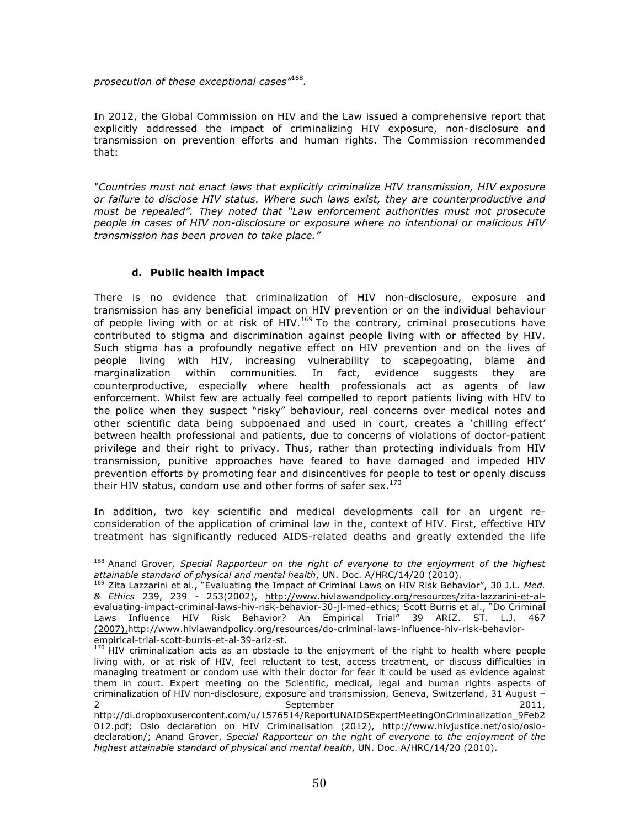*prosecution of these exceptional cases"*<sup>168</sup>*.*

In 2012, the Global Commission on HIV and the Law issued a comprehensive report that explicitly addressed the impact of criminalizing HIV exposure, non-disclosure and transmission on prevention efforts and human rights. The Commission recommended that:

*"Countries must not enact laws that explicitly criminalize HIV transmission, HIV exposure or failure to disclose HIV status. Where such laws exist, they are counterproductive and must be repealed". They noted that "Law enforcement authorities must not prosecute people in cases of HIV non-disclosure or exposure where no intentional or malicious HIV transmission has been proven to take place."*

#### **d. Public health impact**

 

There is no evidence that criminalization of HIV non-disclosure, exposure and transmission has any beneficial impact on HIV prevention or on the individual behaviour of people living with or at risk of HIV.<sup>169</sup> To the contrary, criminal prosecutions have contributed to stigma and discrimination against people living with or affected by HIV. Such stigma has a profoundly negative effect on HIV prevention and on the lives of people living with HIV, increasing vulnerability to scapegoating, blame and marginalization within communities. In fact, evidence suggests they are counterproductive, especially where health professionals act as agents of law enforcement. Whilst few are actually feel compelled to report patients living with HIV to the police when they suspect "risky" behaviour, real concerns over medical notes and other scientific data being subpoenaed and used in court, creates a 'chilling effect' between health professional and patients, due to concerns of violations of doctor-patient privilege and their right to privacy. Thus, rather than protecting individuals from HIV transmission, punitive approaches have feared to have damaged and impeded HIV prevention efforts by promoting fear and disincentives for people to test or openly discuss their HIV status, condom use and other forms of safer sex. $170$ 

In addition, two key scientific and medical developments call for an urgent reconsideration of the application of criminal law in the, context of HIV. First, effective HIV treatment has significantly reduced AIDS-related deaths and greatly extended the life

<sup>&</sup>lt;sup>168</sup> Anand Grover, *Special Rapporteur on the right of everyone to the enjoyment of the highest*<br>attainable standard of physical and mental health, UN. Doc. A/HRC/14/20 (2010).

<sup>&</sup>lt;sup>169</sup> Zita Lazzarini et al., "Evaluating the Impact of Criminal Laws on HIV Risk Behavior", 30 J.L. Med. *& Ethics* 239, 239 - 253(2002), http://www.hivlawandpolicy.org/resources/zita-lazzarini-et-alevaluating-impact-criminal-laws-hiv-risk-behavior-30-jl-med-ethics; Scott Burris et al., "Do Criminal Laws Influence HIV Risk Behavior? An Empirical Trial" 39 ARIZ. ST. L.J. 467 (2007),http://www.hivlawandpolicy.org/resources/do-criminal-laws-influence-hiv-risk-behaviorempirical-trial-scott-burris-et-al-39-ariz-st.

 $170$  HIV criminalization acts as an obstacle to the enjoyment of the right to health where people living with, or at risk of HIV, feel reluctant to test, access treatment, or discuss difficulties in managing treatment or condom use with their doctor for fear it could be used as evidence against them in court. Expert meeting on the Scientific, medical, legal and human rights aspects of criminalization of HIV non-disclosure, exposure and transmission, Geneva, Switzerland, 31 August – 2 September 2011,

http://dl.dropboxusercontent.com/u/1576514/ReportUNAIDSExpertMeetingOnCriminalization\_9Feb2 012.pdf; Oslo declaration on HIV Criminalisation (2012), http://www.hivjustice.net/oslo/oslodeclaration/; Anand Grover, *Special Rapporteur on the right of everyone to the enjoyment of the highest attainable standard of physical and mental health*, UN. Doc. A/HRC/14/20 (2010).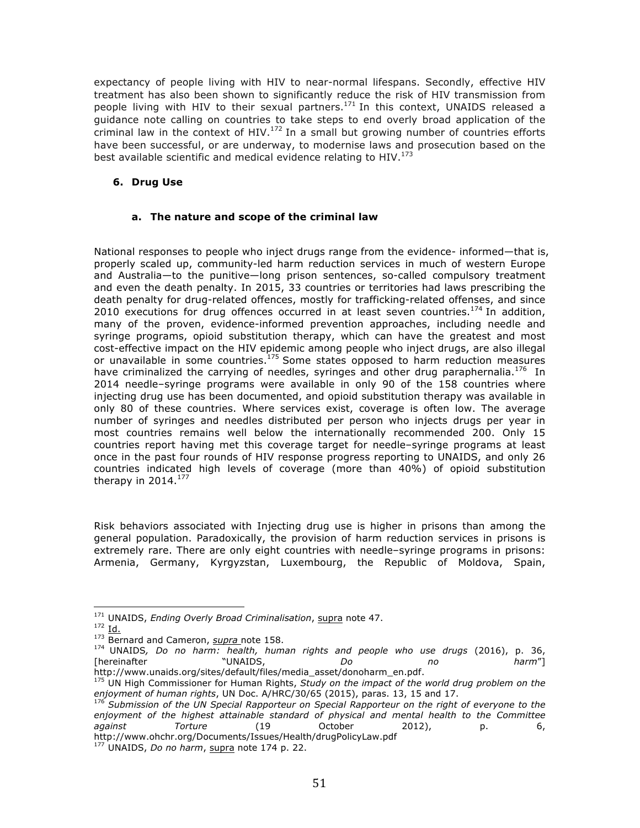expectancy of people living with HIV to near-normal lifespans. Secondly, effective HIV treatment has also been shown to significantly reduce the risk of HIV transmission from people living with HIV to their sexual partners.<sup>171</sup> In this context, UNAIDS released a guidance note calling on countries to take steps to end overly broad application of the criminal law in the context of HIV.<sup>172</sup> In a small but growing number of countries efforts have been successful, or are underway, to modernise laws and prosecution based on the best available scientific and medical evidence relating to HIV.<sup>173</sup>

### **6. Drug Use**

### **a. The nature and scope of the criminal law**

National responses to people who inject drugs range from the evidence- informed—that is, properly scaled up, community-led harm reduction services in much of western Europe and Australia—to the punitive—long prison sentences, so-called compulsory treatment and even the death penalty. In 2015, 33 countries or territories had laws prescribing the death penalty for drug-related offences, mostly for trafficking-related offenses, and since 2010 executions for drug offences occurred in at least seven countries.<sup>174</sup> In addition, many of the proven, evidence-informed prevention approaches, including needle and syringe programs, opioid substitution therapy, which can have the greatest and most cost-effective impact on the HIV epidemic among people who inject drugs, are also illegal or unavailable in some countries.<sup>175</sup> Some states opposed to harm reduction measures have criminalized the carrying of needles, syringes and other drug paraphernalia.<sup>176</sup> In 2014 needle–syringe programs were available in only 90 of the 158 countries where injecting drug use has been documented, and opioid substitution therapy was available in only 80 of these countries. Where services exist, coverage is often low. The average number of syringes and needles distributed per person who injects drugs per year in most countries remains well below the internationally recommended 200. Only 15 countries report having met this coverage target for needle–syringe programs at least once in the past four rounds of HIV response progress reporting to UNAIDS, and only 26 countries indicated high levels of coverage (more than 40%) of opioid substitution therapy in  $2014.<sup>177</sup>$ 

Risk behaviors associated with Injecting drug use is higher in prisons than among the general population. Paradoxically, the provision of harm reduction services in prisons is extremely rare. There are only eight countries with needle–syringe programs in prisons: Armenia, Germany, Kyrgyzstan, Luxembourg, the Republic of Moldova, Spain,

 <sup>171</sup> UNAIDS, *Ending Overly Broad Criminalisation*, supra note 47.

 $172$  Id.

<sup>173</sup> Bernard and Cameron, *supra* note 158.

<sup>&</sup>lt;sup>174</sup> UNAIDS, Do no harm: health, human rights and people who use drugs (2016), p. 36,<br>[hereinafter munic]] NAIDS, Do no harm<sup>"</sup>] [hereinafter "UNAIDS, *Do no harm*"] http://www.unaids.org/sites/default/files/media\_asset/donoharm\_en.pdf.

<sup>175</sup> UN High Commissioner for Human Rights, *Study on the impact of the world drug problem on the enjoyment of human rights*, UN Doc. A/HRC/30/65 (2015), paras. 13, 15 and 17.

<sup>176</sup> *Submission of the UN Special Rapporteur on Special Rapporteur on the right of everyone to the enjoyment of the highest attainable standard of physical and mental health to the Committee against Torture* (19 October 2012), p. 6, http://www.ohchr.org/Documents/Issues/Health/drugPolicyLaw.pdf

<sup>177</sup> UNAIDS, *Do no harm*, supra note 174 p. 22.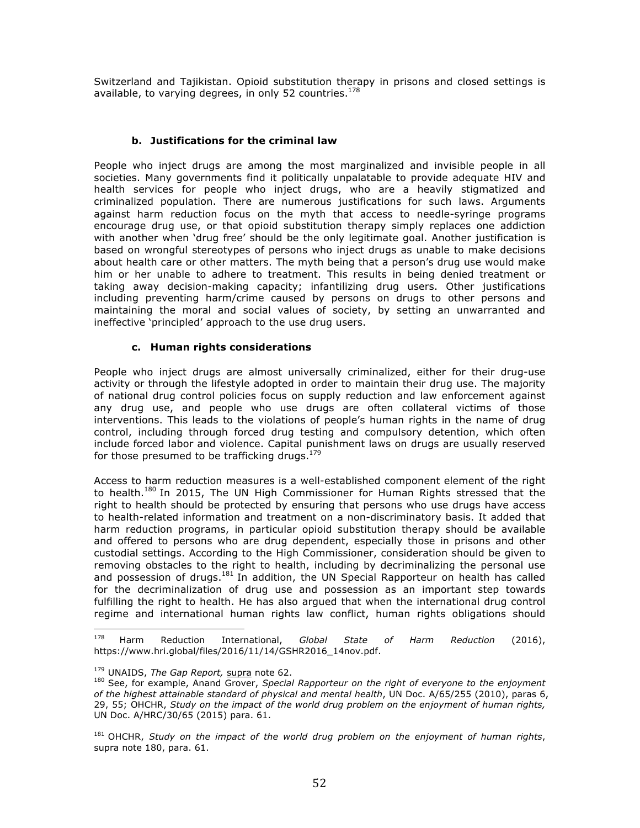Switzerland and Tajikistan. Opioid substitution therapy in prisons and closed settings is available, to varying degrees, in only 52 countries.<sup>178</sup>

#### **b. Justifications for the criminal law**

People who inject drugs are among the most marginalized and invisible people in all societies. Many governments find it politically unpalatable to provide adequate HIV and health services for people who inject drugs, who are a heavily stigmatized and criminalized population. There are numerous justifications for such laws. Arguments against harm reduction focus on the myth that access to needle-syringe programs encourage drug use, or that opioid substitution therapy simply replaces one addiction with another when 'drug free' should be the only legitimate goal. Another justification is based on wrongful stereotypes of persons who inject drugs as unable to make decisions about health care or other matters. The myth being that a person's drug use would make him or her unable to adhere to treatment. This results in being denied treatment or taking away decision-making capacity; infantilizing drug users. Other justifications including preventing harm/crime caused by persons on drugs to other persons and maintaining the moral and social values of society, by setting an unwarranted and ineffective 'principled' approach to the use drug users.

#### **c. Human rights considerations**

People who inject drugs are almost universally criminalized, either for their drug-use activity or through the lifestyle adopted in order to maintain their drug use. The majority of national drug control policies focus on supply reduction and law enforcement against any drug use, and people who use drugs are often collateral victims of those interventions. This leads to the violations of people's human rights in the name of drug control, including through forced drug testing and compulsory detention, which often include forced labor and violence. Capital punishment laws on drugs are usually reserved for those presumed to be trafficking drugs.<sup>179</sup>

Access to harm reduction measures is a well-established component element of the right to health.<sup>180</sup> In 2015, The UN High Commissioner for Human Rights stressed that the right to health should be protected by ensuring that persons who use drugs have access to health-related information and treatment on a non-discriminatory basis. It added that harm reduction programs, in particular opioid substitution therapy should be available and offered to persons who are drug dependent, especially those in prisons and other custodial settings. According to the High Commissioner, consideration should be given to removing obstacles to the right to health, including by decriminalizing the personal use and possession of drugs.<sup>181</sup> In addition, the UN Special Rapporteur on health has called for the decriminalization of drug use and possession as an important step towards fulfilling the right to health. He has also argued that when the international drug control regime and international human rights law conflict, human rights obligations should

 

<sup>178</sup> Harm Reduction International, *Global State of Harm Reduction* (2016), https://www.hri.global/files/2016/11/14/GSHR2016\_14nov.pdf.

<sup>&</sup>lt;sup>179</sup> UNAIDS, *The Gap Report, supra* note 62.<br><sup>180</sup> See, for example, Anand Grover, *Special Rapporteur on the right of everyone to the enjoyment of the highest attainable standard of physical and mental health*, UN Doc. A/65/255 (2010), paras 6, 29, 55; OHCHR, *Study on the impact of the world drug problem on the enjoyment of human rights,* UN Doc. A/HRC/30/65 (2015) para. 61.

<sup>181</sup> OHCHR, *Study on the impact of the world drug problem on the enjoyment of human rights*, supra note 180, para. 61.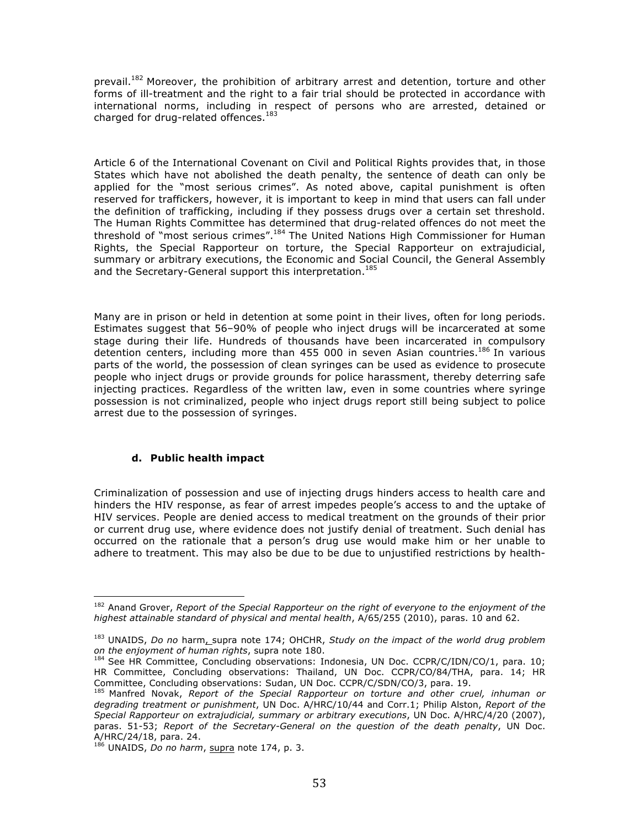prevail.<sup>182</sup> Moreover, the prohibition of arbitrary arrest and detention, torture and other forms of ill-treatment and the right to a fair trial should be protected in accordance with international norms, including in respect of persons who are arrested, detained or charged for drug-related offences. $^{183}$ 

Article 6 of the International Covenant on Civil and Political Rights provides that, in those States which have not abolished the death penalty, the sentence of death can only be applied for the "most serious crimes". As noted above, capital punishment is often reserved for traffickers, however, it is important to keep in mind that users can fall under the definition of trafficking, including if they possess drugs over a certain set threshold. The Human Rights Committee has determined that drug-related offences do not meet the threshold of "most serious crimes".<sup>184</sup> The United Nations High Commissioner for Human Rights, the Special Rapporteur on torture, the Special Rapporteur on extrajudicial, summary or arbitrary executions, the Economic and Social Council, the General Assembly and the Secretary-General support this interpretation.<sup>185</sup>

Many are in prison or held in detention at some point in their lives, often for long periods. Estimates suggest that 56–90% of people who inject drugs will be incarcerated at some stage during their life. Hundreds of thousands have been incarcerated in compulsory detention centers, including more than 455 000 in seven Asian countries.<sup>186</sup> In various parts of the world, the possession of clean syringes can be used as evidence to prosecute people who inject drugs or provide grounds for police harassment, thereby deterring safe injecting practices. Regardless of the written law, even in some countries where syringe possession is not criminalized, people who inject drugs report still being subject to police arrest due to the possession of syringes.

#### **d. Public health impact**

 

Criminalization of possession and use of injecting drugs hinders access to health care and hinders the HIV response, as fear of arrest impedes people's access to and the uptake of HIV services. People are denied access to medical treatment on the grounds of their prior or current drug use, where evidence does not justify denial of treatment. Such denial has occurred on the rationale that a person's drug use would make him or her unable to adhere to treatment. This may also be due to be due to unjustified restrictions by health-

<sup>&</sup>lt;sup>182</sup> Anand Grover, *Report of the Special Rapporteur on the right of everyone to the enjoyment of the highest attainable standard of physical and mental health*, A/65/255 (2010), paras. 10 and 62.

<sup>&</sup>lt;sup>183</sup> UNAIDS, *Do no* harm<sub>L</sub> supra note 174; OHCHR, *Study on the impact of the world drug problem on the enjoyment of human rights*, supra note 180.

 $184$  See HR Committee, Concluding observations: Indonesia, UN Doc. CCPR/C/IDN/CO/1, para. 10; HR Committee, Concluding observations: Thailand, UN Doc. CCPR/CO/84/THA, para. 14; HR Committee, Concluding observations: Sudan, UN Doc. CCPR/C/SDN/CO/3, para. 19.

<sup>185</sup> Manfred Novak, *Report of the Special Rapporteur on torture and other cruel, inhuman or degrading treatment or punishment*, UN Doc. A/HRC/10/44 and Corr.1; Philip Alston, *Report of the Special Rapporteur on extrajudicial, summary or arbitrary executions*, UN Doc. A/HRC/4/20 (2007), paras. 51-53; *Report of the Secretary-General on the question of the death penalty*, UN Doc. A/HRC/24/18, para. 24.

<sup>186</sup> UNAIDS, *Do no harm*, supra note 174, p. 3.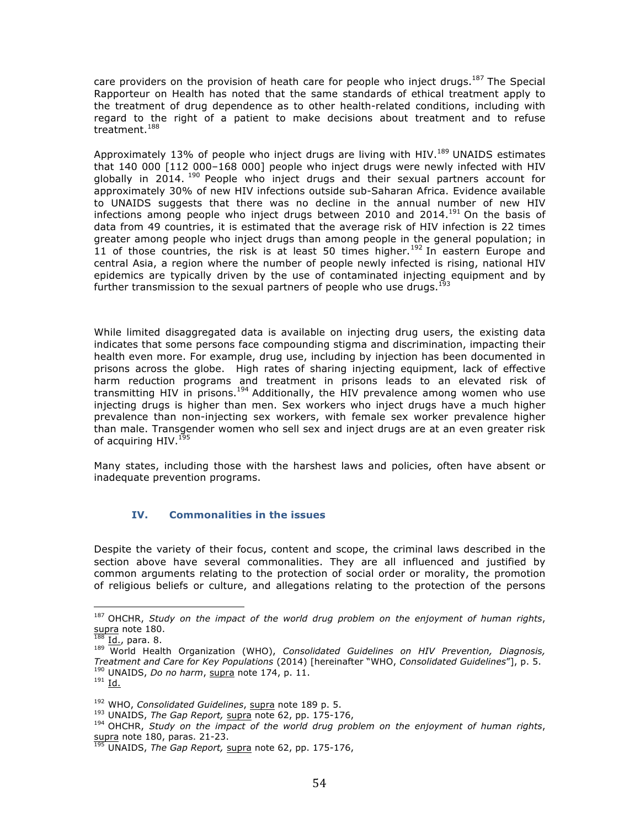care providers on the provision of heath care for people who inject drugs.<sup>187</sup> The Special Rapporteur on Health has noted that the same standards of ethical treatment apply to the treatment of drug dependence as to other health-related conditions, including with regard to the right of a patient to make decisions about treatment and to refuse treatment. 188

Approximately 13% of people who inject drugs are living with HIV.<sup>189</sup> UNAIDS estimates that 140 000 [112 000–168 000] people who inject drugs were newly infected with HIV globally in 2014. <sup>190</sup> People who inject drugs and their sexual partners account for approximately 30% of new HIV infections outside sub-Saharan Africa. Evidence available to UNAIDS suggests that there was no decline in the annual number of new HIV infections among people who inject drugs between 2010 and 2014.<sup>191</sup> On the basis of data from 49 countries, it is estimated that the average risk of HIV infection is 22 times greater among people who inject drugs than among people in the general population; in 11 of those countries, the risk is at least 50 times higher.<sup>192</sup> In eastern Europe and central Asia, a region where the number of people newly infected is rising, national HIV epidemics are typically driven by the use of contaminated injecting equipment and by further transmission to the sexual partners of people who use drugs.<sup>193</sup>

While limited disaggregated data is available on injecting drug users, the existing data indicates that some persons face compounding stigma and discrimination, impacting their health even more. For example, drug use, including by injection has been documented in prisons across the globe. High rates of sharing injecting equipment, lack of effective harm reduction programs and treatment in prisons leads to an elevated risk of transmitting HIV in prisons.<sup>194</sup> Additionally, the HIV prevalence among women who use injecting drugs is higher than men. Sex workers who inject drugs have a much higher prevalence than non-injecting sex workers, with female sex worker prevalence higher than male. Transgender women who sell sex and inject drugs are at an even greater risk of acquiring HIV.<sup>195</sup>

Many states, including those with the harshest laws and policies, often have absent or inadequate prevention programs.

#### **IV. Commonalities in the issues**

Despite the variety of their focus, content and scope, the criminal laws described in the section above have several commonalities. They are all influenced and justified by common arguments relating to the protection of social order or morality, the promotion of religious beliefs or culture, and allegations relating to the protection of the persons

 

<sup>187</sup> OHCHR, *Study on the impact of the world drug problem on the enjoyment of human rights*,  $\frac{Supra}{188}$  note 180.

<sup>&</sup>lt;sup>188</sup> Id., para. 8.<br><sup>189</sup> World Health Organization (WHO), *Consolidated Guidelines on HIV Prevention, Diagnosis, Treatment and Care for Key Populations* (2014) [hereinafter "WHO, *Consolidated Guidelines*"], p. 5. UNAIDS, *Do no harm*, supra note 174, p. 11.  $191$  Id.

<sup>&</sup>lt;sup>192</sup> WHO, *Consolidated Guidelines*, <u>supra</u> note 189 p. 5.<br><sup>193</sup> UNAIDS, *The Gap Report*, supra note 62, pp. 175-176,

<sup>&</sup>lt;sup>194</sup> OHCHR, Study on the impact of the world drug problem on the enjoyment of human rights, supra note 180, paras. 21-23.

<sup>195</sup> UNAIDS, *The Gap Report,* supra note 62, pp. 175-176,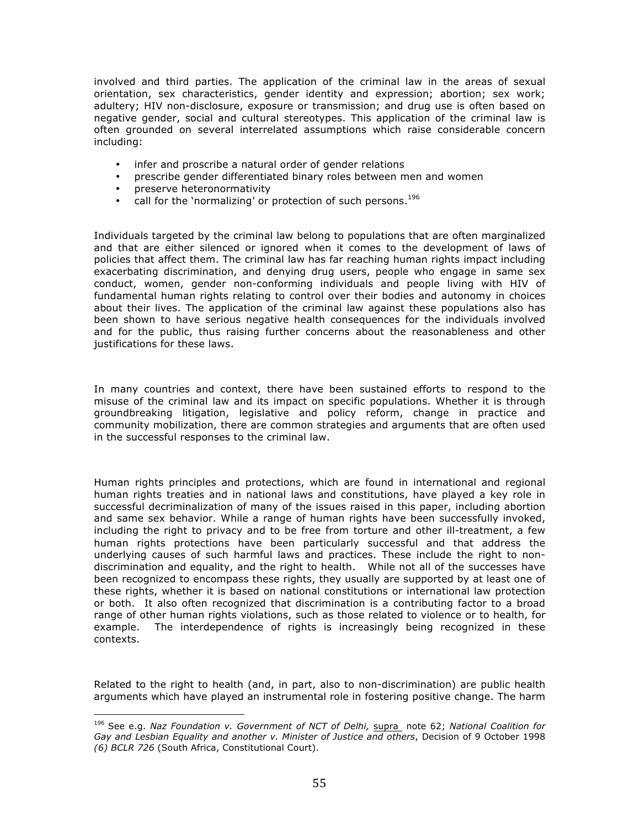involved and third parties. The application of the criminal law in the areas of sexual orientation, sex characteristics, gender identity and expression; abortion; sex work; adultery; HIV non-disclosure, exposure or transmission; and drug use is often based on negative gender, social and cultural stereotypes. This application of the criminal law is often grounded on several interrelated assumptions which raise considerable concern including:

- infer and proscribe a natural order of gender relations
- prescribe gender differentiated binary roles between men and women
- preserve heteronormativity

 

• call for the 'normalizing' or protection of such persons.<sup>196</sup>

Individuals targeted by the criminal law belong to populations that are often marginalized and that are either silenced or ignored when it comes to the development of laws of policies that affect them. The criminal law has far reaching human rights impact including exacerbating discrimination, and denying drug users, people who engage in same sex conduct, women, gender non-conforming individuals and people living with HIV of fundamental human rights relating to control over their bodies and autonomy in choices about their lives. The application of the criminal law against these populations also has been shown to have serious negative health consequences for the individuals involved and for the public, thus raising further concerns about the reasonableness and other justifications for these laws.

In many countries and context, there have been sustained efforts to respond to the misuse of the criminal law and its impact on specific populations. Whether it is through groundbreaking litigation, legislative and policy reform, change in practice and community mobilization, there are common strategies and arguments that are often used in the successful responses to the criminal law.

Human rights principles and protections, which are found in international and regional human rights treaties and in national laws and constitutions, have played a key role in successful decriminalization of many of the issues raised in this paper, including abortion and same sex behavior. While a range of human rights have been successfully invoked, including the right to privacy and to be free from torture and other ill-treatment, a few human rights protections have been particularly successful and that address the underlying causes of such harmful laws and practices. These include the right to nondiscrimination and equality, and the right to health. While not all of the successes have been recognized to encompass these rights, they usually are supported by at least one of these rights, whether it is based on national constitutions or international law protection or both. It also often recognized that discrimination is a contributing factor to a broad range of other human rights violations, such as those related to violence or to health, for example. The interdependence of rights is increasingly being recognized in these contexts.

Related to the right to health (and, in part, also to non-discrimination) are public health arguments which have played an instrumental role in fostering positive change. The harm

<sup>196</sup> See e.g. *Naz Foundation v. Government of NCT of Delhi,* supra note 62; *National Coalition for Gay and Lesbian Equality and another v. Minister of Justice and others*, Decision of 9 October 1998 *(6) BCLR 726* (South Africa, Constitutional Court).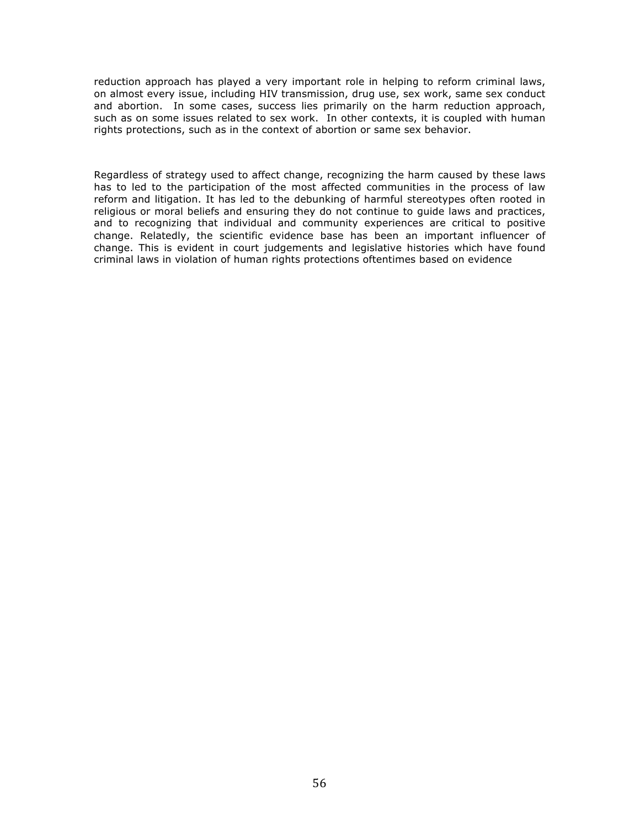reduction approach has played a very important role in helping to reform criminal laws, on almost every issue, including HIV transmission, drug use, sex work, same sex conduct and abortion. In some cases, success lies primarily on the harm reduction approach, such as on some issues related to sex work. In other contexts, it is coupled with human rights protections, such as in the context of abortion or same sex behavior.

Regardless of strategy used to affect change, recognizing the harm caused by these laws has to led to the participation of the most affected communities in the process of law reform and litigation. It has led to the debunking of harmful stereotypes often rooted in religious or moral beliefs and ensuring they do not continue to guide laws and practices, and to recognizing that individual and community experiences are critical to positive change. Relatedly, the scientific evidence base has been an important influencer of change. This is evident in court judgements and legislative histories which have found criminal laws in violation of human rights protections oftentimes based on evidence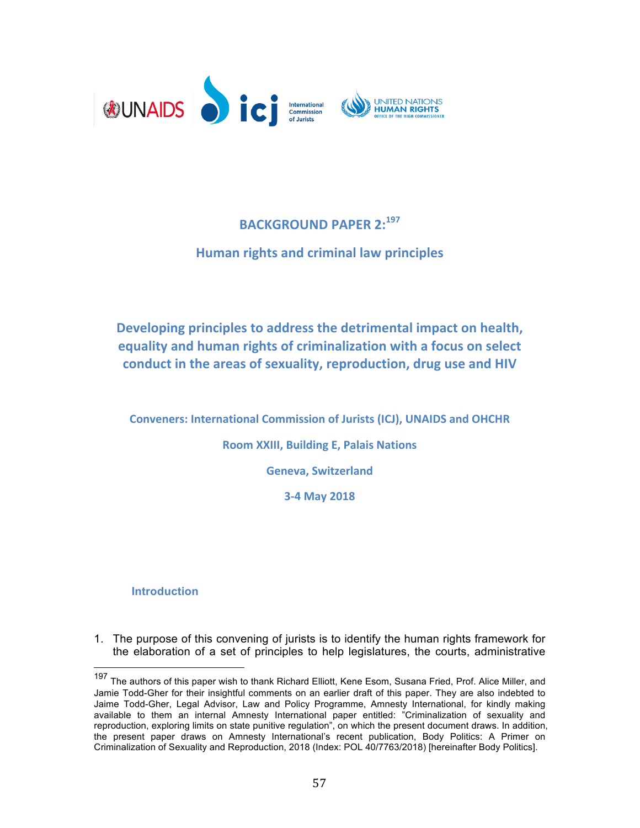

# **BACKGROUND PAPER 2:<sup>197</sup>**

# **Human rights and criminal law principles**

Developing principles to address the detrimental impact on health, **equality and human rights of criminalization with a focus on select** conduct in the areas of sexuality, reproduction, drug use and HIV

**Conveners: International Commission of Jurists (ICJ), UNAIDS and OHCHR Room XXIII, Building E, Palais Nations** 

**Geneva, Switzerland**

**3-4 May 2018**

# **Introduction**

1. The purpose of this convening of jurists is to identify the human rights framework for the elaboration of a set of principles to help legislatures, the courts, administrative

<sup>197</sup> The authors of this paper wish to thank Richard Elliott, Kene Esom, Susana Fried, Prof. Alice Miller, and Jamie Todd-Gher for their insightful comments on an earlier draft of this paper. They are also indebted to Jaime Todd-Gher, Legal Advisor, Law and Policy Programme, Amnesty International, for kindly making available to them an internal Amnesty International paper entitled: "Criminalization of sexuality and reproduction, exploring limits on state punitive regulation", on which the present document draws. In addition, the present paper draws on Amnesty International's recent publication, Body Politics: A Primer on Criminalization of Sexuality and Reproduction, 2018 (Index: POL 40/7763/2018) [hereinafter Body Politics].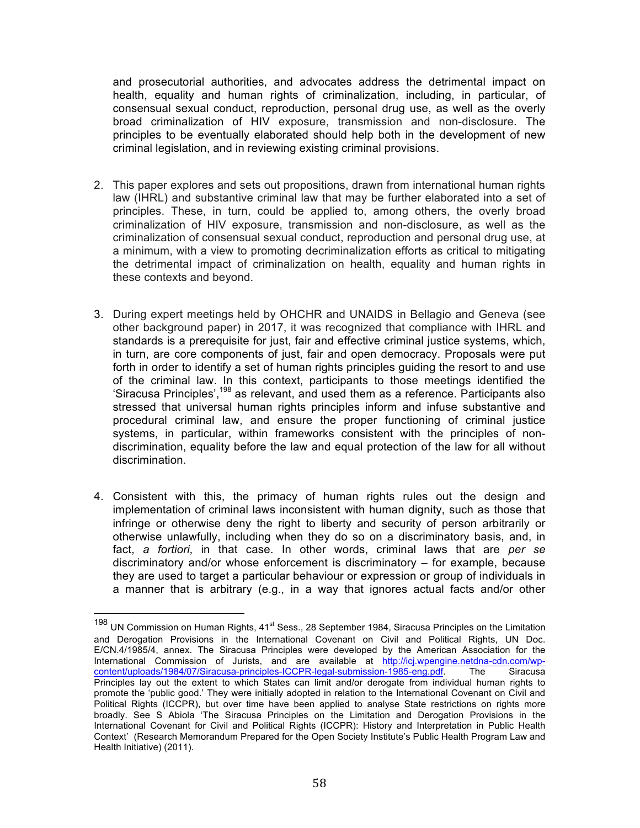and prosecutorial authorities, and advocates address the detrimental impact on health, equality and human rights of criminalization, including, in particular, of consensual sexual conduct, reproduction, personal drug use, as well as the overly broad criminalization of HIV exposure, transmission and non-disclosure. The principles to be eventually elaborated should help both in the development of new criminal legislation, and in reviewing existing criminal provisions.

- 2. This paper explores and sets out propositions, drawn from international human rights law (IHRL) and substantive criminal law that may be further elaborated into a set of principles. These, in turn, could be applied to, among others, the overly broad criminalization of HIV exposure, transmission and non-disclosure, as well as the criminalization of consensual sexual conduct, reproduction and personal drug use, at a minimum, with a view to promoting decriminalization efforts as critical to mitigating the detrimental impact of criminalization on health, equality and human rights in these contexts and beyond.
- 3. During expert meetings held by OHCHR and UNAIDS in Bellagio and Geneva (see other background paper) in 2017, it was recognized that compliance with IHRL and standards is a prerequisite for just, fair and effective criminal justice systems, which, in turn, are core components of just, fair and open democracy. Proposals were put forth in order to identify a set of human rights principles guiding the resort to and use of the criminal law. In this context, participants to those meetings identified the 'Siracusa Principles',<sup>198</sup> as relevant, and used them as a reference. Participants also stressed that universal human rights principles inform and infuse substantive and procedural criminal law, and ensure the proper functioning of criminal justice systems, in particular, within frameworks consistent with the principles of nondiscrimination, equality before the law and equal protection of the law for all without discrimination.
- 4. Consistent with this, the primacy of human rights rules out the design and implementation of criminal laws inconsistent with human dignity, such as those that infringe or otherwise deny the right to liberty and security of person arbitrarily or otherwise unlawfully, including when they do so on a discriminatory basis, and, in fact, *a fortiori*, in that case. In other words, criminal laws that are *per se* discriminatory and/or whose enforcement is discriminatory – for example, because they are used to target a particular behaviour or expression or group of individuals in a manner that is arbitrary (e.g., in a way that ignores actual facts and/or other

 $198$  UN Commission on Human Rights, 41<sup>st</sup> Sess., 28 September 1984, Siracusa Principles on the Limitation and Derogation Provisions in the International Covenant on Civil and Political Rights, UN Doc. E/CN.4/1985/4, annex. The Siracusa Principles were developed by the American Association for the International Commission of Jurists, and are available at http://icj.wpengine.netdna-cdn.com/wp-<br>content/uploads/1984/07/Siracusa-principles-ICCPR-legal-submission-1985-eng.pdf The Siracusa content/uploads/1984/07/Siracusa-principles-ICCPR-legal-submission-1985-eng.pdf. Principles lay out the extent to which States can limit and/or derogate from individual human rights to promote the 'public good.' They were initially adopted in relation to the International Covenant on Civil and Political Rights (ICCPR), but over time have been applied to analyse State restrictions on rights more broadly. See S Abiola 'The Siracusa Principles on the Limitation and Derogation Provisions in the International Covenant for Civil and Political Rights (ICCPR): History and Interpretation in Public Health Context' (Research Memorandum Prepared for the Open Society Institute's Public Health Program Law and Health Initiative) (2011).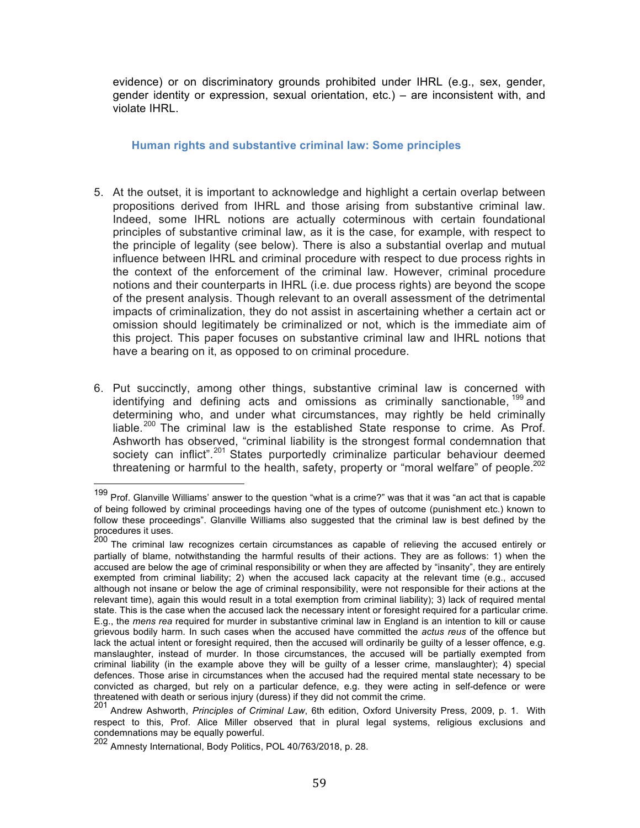evidence) or on discriminatory grounds prohibited under IHRL (e.g., sex, gender, gender identity or expression, sexual orientation, etc.) – are inconsistent with, and violate IHRL.

### **Human rights and substantive criminal law: Some principles**

- 5. At the outset, it is important to acknowledge and highlight a certain overlap between propositions derived from IHRL and those arising from substantive criminal law. Indeed, some IHRL notions are actually coterminous with certain foundational principles of substantive criminal law, as it is the case, for example, with respect to the principle of legality (see below). There is also a substantial overlap and mutual influence between IHRL and criminal procedure with respect to due process rights in the context of the enforcement of the criminal law. However, criminal procedure notions and their counterparts in IHRL (i.e. due process rights) are beyond the scope of the present analysis. Though relevant to an overall assessment of the detrimental impacts of criminalization, they do not assist in ascertaining whether a certain act or omission should legitimately be criminalized or not, which is the immediate aim of this project. This paper focuses on substantive criminal law and IHRL notions that have a bearing on it, as opposed to on criminal procedure.
- 6. Put succinctly, among other things, substantive criminal law is concerned with identifying and defining acts and omissions as criminally sanctionable, <sup>199</sup> and determining who, and under what circumstances, may rightly be held criminally liable.<sup>200</sup> The criminal law is the established State response to crime. As Prof. Ashworth has observed, "criminal liability is the strongest formal condemnation that society can inflict".<sup>201</sup> States purportedly criminalize particular behaviour deemed threatening or harmful to the health, safety, property or "moral welfare" of people.<sup>202</sup>

 <sup>199</sup> Prof. Glanville Williams' answer to the question "what is a crime?" was that it was "an act that is capable of being followed by criminal proceedings having one of the types of outcome (punishment etc.) known to follow these proceedings". Glanville Williams also suggested that the criminal law is best defined by the procedures it uses.

<sup>&</sup>lt;sup>200</sup> The criminal law recognizes certain circumstances as capable of relieving the accused entirely or partially of blame, notwithstanding the harmful results of their actions. They are as follows: 1) when the accused are below the age of criminal responsibility or when they are affected by "insanity", they are entirely exempted from criminal liability; 2) when the accused lack capacity at the relevant time (e.g., accused although not insane or below the age of criminal responsibility, were not responsible for their actions at the relevant time), again this would result in a total exemption from criminal liability); 3) lack of required mental state. This is the case when the accused lack the necessary intent or foresight required for a particular crime. E.g., the *mens rea* required for murder in substantive criminal law in England is an intention to kill or cause grievous bodily harm. In such cases when the accused have committed the *actus reus* of the offence but lack the actual intent or foresight required, then the accused will ordinarily be guilty of a lesser offence, e.g. manslaughter, instead of murder. In those circumstances, the accused will be partially exempted from criminal liability (in the example above they will be guilty of a lesser crime, manslaughter); 4) special defences. Those arise in circumstances when the accused had the required mental state necessary to be convicted as charged, but rely on a particular defence, e.g. they were acting in self-defence or were threatened with death or serious injury (duress) if they did not commit the crime.

<sup>201&</sup>lt;br>Andrew Ashworth, Principles of Criminal Law, 6th edition, Oxford University Press, 2009, p. 1. With respect to this, Prof. Alice Miller observed that in plural legal systems, religious exclusions and condemnations may be equally powerful.

<sup>202</sup> Amnesty International, Body Politics, POL 40/763/2018, p. 28.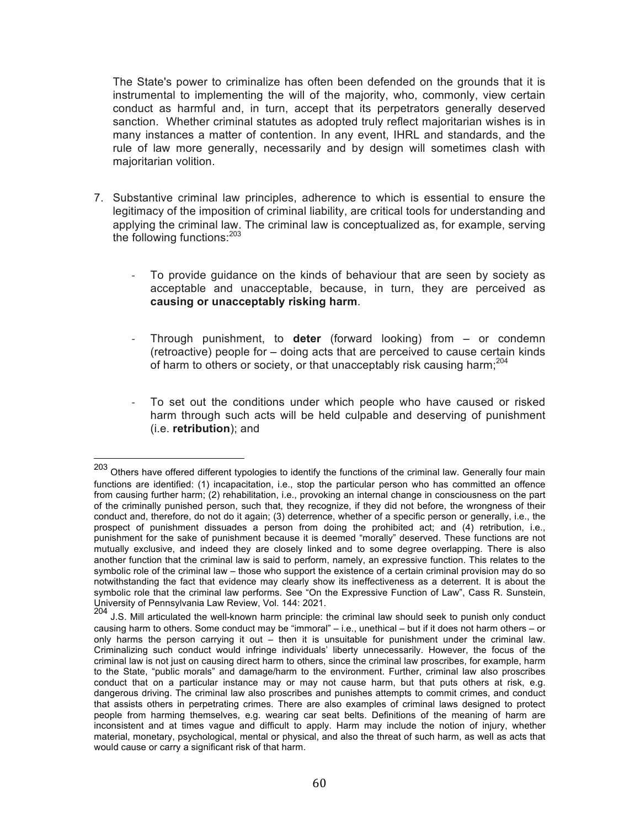The State's power to criminalize has often been defended on the grounds that it is instrumental to implementing the will of the majority, who, commonly, view certain conduct as harmful and, in turn, accept that its perpetrators generally deserved sanction. Whether criminal statutes as adopted truly reflect majoritarian wishes is in many instances a matter of contention. In any event, IHRL and standards, and the rule of law more generally, necessarily and by design will sometimes clash with majoritarian volition.

- 7. Substantive criminal law principles, adherence to which is essential to ensure the legitimacy of the imposition of criminal liability, are critical tools for understanding and applying the criminal law. The criminal law is conceptualized as, for example, serving the following functions:<sup>203</sup>
	- To provide guidance on the kinds of behaviour that are seen by society as acceptable and unacceptable, because, in turn, they are perceived as **causing or unacceptably risking harm**.
	- Through punishment, to **deter** (forward looking) from or condemn (retroactive) people for – doing acts that are perceived to cause certain kinds of harm to others or society, or that unacceptably risk causing harm:<sup>204</sup>
	- To set out the conditions under which people who have caused or risked harm through such acts will be held culpable and deserving of punishment (i.e. **retribution**); and

<sup>&</sup>lt;sup>203</sup> Others have offered different typologies to identify the functions of the criminal law. Generally four main functions are identified: (1) incapacitation, i.e., stop the particular person who has committed an offence from causing further harm; (2) rehabilitation, i.e., provoking an internal change in consciousness on the part of the criminally punished person, such that, they recognize, if they did not before, the wrongness of their conduct and, therefore, do not do it again; (3) deterrence, whether of a specific person or generally, i.e., the prospect of punishment dissuades a person from doing the prohibited act; and (4) retribution, i.e., punishment for the sake of punishment because it is deemed "morally" deserved. These functions are not mutually exclusive, and indeed they are closely linked and to some degree overlapping. There is also another function that the criminal law is said to perform, namely, an expressive function. This relates to the symbolic role of the criminal law – those who support the existence of a certain criminal provision may do so notwithstanding the fact that evidence may clearly show its ineffectiveness as a deterrent. It is about the symbolic role that the criminal law performs. See "On the Expressive Function of Law", Cass R. Sunstein, University of Pennsylvania Law Review, Vol. 144: 2021.<br>204 L.O. Mill extinulated the woll known borm principle: t

J.S. Mill articulated the well-known harm principle: the criminal law should seek to punish only conduct causing harm to others. Some conduct may be "immoral" *–* i.e., unethical *–* but if it does not harm others *–* or only harms the person carrying it out *–* then it is unsuitable for punishment under the criminal law. Criminalizing such conduct would infringe individuals' liberty unnecessarily. However, the focus of the criminal law is not just on causing direct harm to others, since the criminal law proscribes, for example, harm to the State, "public morals" and damage/harm to the environment. Further, criminal law also proscribes conduct that on a particular instance may or may not cause harm, but that puts others at risk, e.g. dangerous driving. The criminal law also proscribes and punishes attempts to commit crimes, and conduct that assists others in perpetrating crimes. There are also examples of criminal laws designed to protect people from harming themselves, e.g. wearing car seat belts. Definitions of the meaning of harm are inconsistent and at times vague and difficult to apply. Harm may include the notion of injury, whether material, monetary, psychological, mental or physical, and also the threat of such harm, as well as acts that would cause or carry a significant risk of that harm.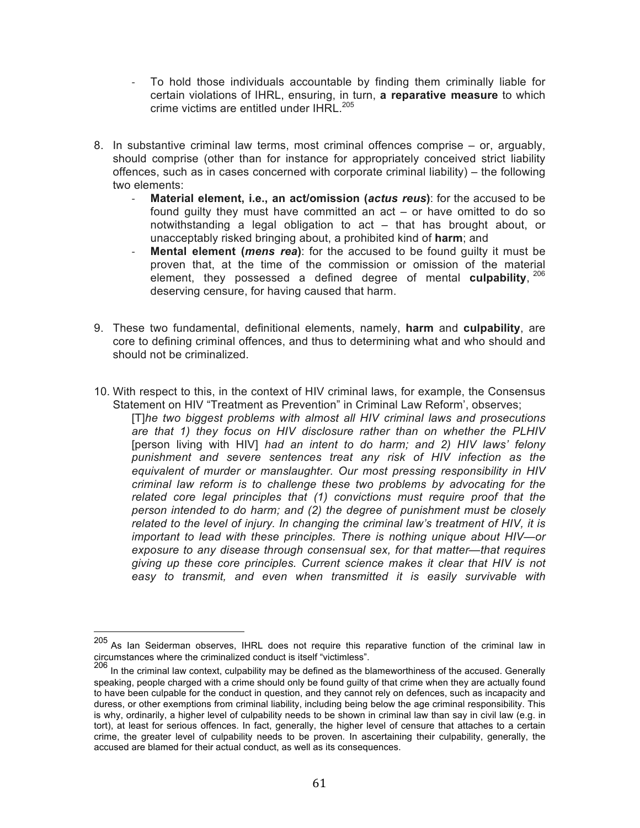- To hold those individuals accountable by finding them criminally liable for certain violations of IHRL, ensuring, in turn, **a reparative measure** to which crime victims are entitled under IHRI  $^{205}$
- 8. In substantive criminal law terms, most criminal offences comprise *–* or, arguably, should comprise (other than for instance for appropriately conceived strict liability offences, such as in cases concerned with corporate criminal liability) *–* the following two elements:
	- **Material element, i.e., an act/omission (***actus reus*); for the accused to be found guilty they must have committed an act *–* or have omitted to do so notwithstanding a legal obligation to act *–* that has brought about, or unacceptably risked bringing about, a prohibited kind of **harm**; and
	- **Mental element (***mens rea*): for the accused to be found guilty it must be proven that, at the time of the commission or omission of the material element, they possessed a defined degree of mental **culpability**, <sup>206</sup> deserving censure, for having caused that harm.
- 9. These two fundamental, definitional elements, namely, **harm** and **culpability**, are core to defining criminal offences, and thus to determining what and who should and should not be criminalized.
- 10. With respect to this, in the context of HIV criminal laws, for example, the Consensus Statement on HIV "Treatment as Prevention" in Criminal Law Reform', observes;

[T]*he two biggest problems with almost all HIV criminal laws and prosecutions are that 1) they focus on HIV disclosure rather than on whether the PLHIV*  [person living with HIV] *had an intent to do harm; and 2) HIV laws' felony punishment and severe sentences treat any risk of HIV infection as the equivalent of murder or manslaughter. Our most pressing responsibility in HIV criminal law reform is to challenge these two problems by advocating for the related core legal principles that (1) convictions must require proof that the person intended to do harm; and (2) the degree of punishment must be closely related to the level of injury. In changing the criminal law's treatment of HIV, it is important to lead with these principles. There is nothing unique about HIV—or exposure to any disease through consensual sex, for that matter—that requires giving up these core principles. Current science makes it clear that HIV is not easy to transmit, and even when transmitted it is easily survivable with* 

 <sup>205</sup> As Ian Seiderman observes, IHRL does not require this reparative function of the criminal law in circumstances where the criminalized conduct is itself "victimless".

 $^{206}$  In the criminal law context, culpability may be defined as the blameworthiness of the accused. Generally speaking, people charged with a crime should only be found guilty of that crime when they are actually found to have been culpable for the conduct in question, and they cannot rely on defences, such as incapacity and duress, or other exemptions from criminal liability, including being below the age criminal responsibility. This is why, ordinarily, a higher level of culpability needs to be shown in criminal law than say in civil law (e.g. in tort), at least for serious offences. In fact, generally, the higher level of censure that attaches to a certain crime, the greater level of culpability needs to be proven. In ascertaining their culpability, generally, the accused are blamed for their actual conduct, as well as its consequences.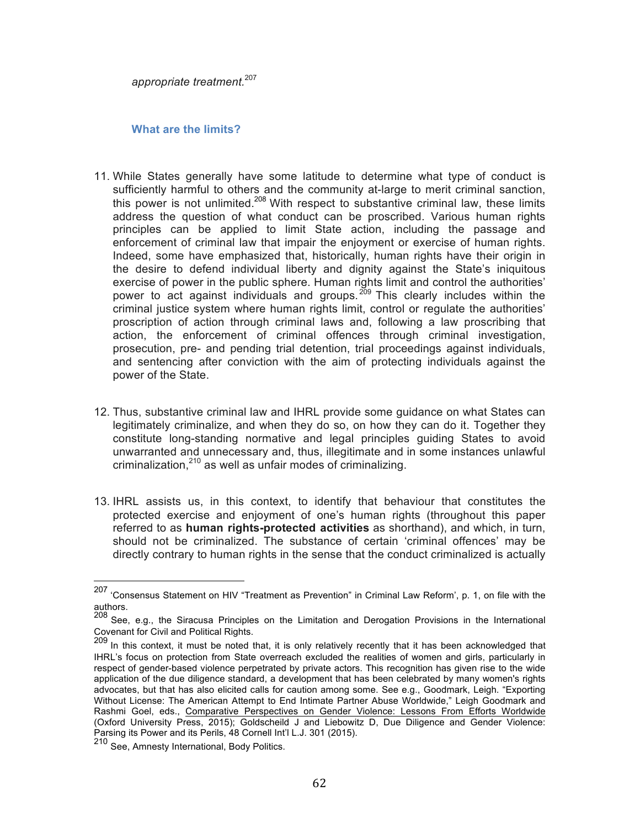*appropriate treatment.*<sup>207</sup>

#### **What are the limits?**

- 11. While States generally have some latitude to determine what type of conduct is sufficiently harmful to others and the community at-large to merit criminal sanction, this power is not unlimited.<sup>208</sup> With respect to substantive criminal law, these limits address the question of what conduct can be proscribed. Various human rights principles can be applied to limit State action, including the passage and enforcement of criminal law that impair the enjoyment or exercise of human rights. Indeed, some have emphasized that, historically, human rights have their origin in the desire to defend individual liberty and dignity against the State's iniquitous exercise of power in the public sphere. Human rights limit and control the authorities' power to act against individuals and groups.<sup>209</sup> This clearly includes within the criminal justice system where human rights limit, control or regulate the authorities' proscription of action through criminal laws and, following a law proscribing that action, the enforcement of criminal offences through criminal investigation, prosecution, pre- and pending trial detention, trial proceedings against individuals, and sentencing after conviction with the aim of protecting individuals against the power of the State.
- 12. Thus, substantive criminal law and IHRL provide some guidance on what States can legitimately criminalize, and when they do so, on how they can do it. Together they constitute long-standing normative and legal principles guiding States to avoid unwarranted and unnecessary and, thus, illegitimate and in some instances unlawful criminalization, $210$  as well as unfair modes of criminalizing.
- 13. IHRL assists us, in this context, to identify that behaviour that constitutes the protected exercise and enjoyment of one's human rights (throughout this paper referred to as **human rights-protected activities** as shorthand), and which, in turn, should not be criminalized. The substance of certain 'criminal offences' may be directly contrary to human rights in the sense that the conduct criminalized is actually

 <sup>207</sup> 'Consensus Statement on HIV "Treatment as Prevention" in Criminal Law Reform', p. 1, on file with the authors.

<sup>208</sup> See, e.g., the Siracusa Principles on the Limitation and Derogation Provisions in the International Covenant for Civil and Political Rights.

<sup>209</sup> In this context, it must be noted that, it is only relatively recently that it has been acknowledged that IHRL's focus on protection from State overreach excluded the realities of women and girls, particularly in respect of gender-based violence perpetrated by private actors. This recognition has given rise to the wide application of the due diligence standard, a development that has been celebrated by many women's rights advocates, but that has also elicited calls for caution among some. See e.g., Goodmark, Leigh. "Exporting Without License: The American Attempt to End Intimate Partner Abuse Worldwide," Leigh Goodmark and Rashmi Goel, eds., Comparative Perspectives on Gender Violence: Lessons From Efforts Worldwide (Oxford University Press, 2015); Goldscheild J and Liebowitz D, Due Diligence and Gender Violence: Parsing its Power and its Perils, 48 Cornell Int'l L.J. 301 (2015).

<sup>210</sup> See, Amnesty International, Body Politics.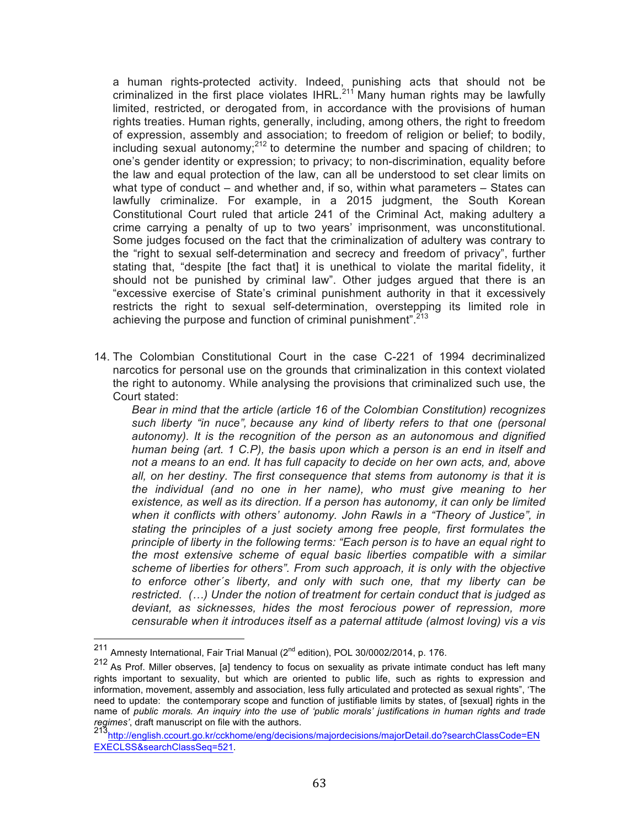a human rights-protected activity. Indeed, punishing acts that should not be criminalized in the first place violates IHRL.<sup>211</sup> Many human rights may be lawfully limited, restricted, or derogated from, in accordance with the provisions of human rights treaties. Human rights, generally, including, among others, the right to freedom of expression, assembly and association; to freedom of religion or belief; to bodily, including sexual autonomy; $^{212}$  to determine the number and spacing of children; to one's gender identity or expression; to privacy; to non-discrimination, equality before the law and equal protection of the law, can all be understood to set clear limits on what type of conduct *–* and whether and, if so, within what parameters *–* States can lawfully criminalize. For example, in a 2015 judgment, the South Korean Constitutional Court ruled that article 241 of the Criminal Act, making adultery a crime carrying a penalty of up to two years' imprisonment, was unconstitutional. Some judges focused on the fact that the criminalization of adultery was contrary to the "right to sexual self-determination and secrecy and freedom of privacy", further stating that, "despite [the fact that] it is unethical to violate the marital fidelity, it should not be punished by criminal law". Other judges argued that there is an "excessive exercise of State's criminal punishment authority in that it excessively restricts the right to sexual self-determination, overstepping its limited role in achieving the purpose and function of criminal punishment".<sup>213</sup>

14. The Colombian Constitutional Court in the case C-221 of 1994 decriminalized narcotics for personal use on the grounds that criminalization in this context violated the right to autonomy. While analysing the provisions that criminalized such use, the Court stated:

*Bear in mind that the article (article 16 of the Colombian Constitution) recognizes such liberty "in nuce", because any kind of liberty refers to that one (personal autonomy). It is the recognition of the person as an autonomous and dignified human being (art. 1 C.P), the basis upon which a person is an end in itself and not a means to an end. It has full capacity to decide on her own acts, and, above all, on her destiny. The first consequence that stems from autonomy is that it is the individual (and no one in her name), who must give meaning to her existence, as well as its direction. If a person has autonomy, it can only be limited when it conflicts with others' autonomy. John Rawls in a "Theory of Justice", in stating the principles of a just society among free people, first formulates the principle of liberty in the following terms: "Each person is to have an equal right to the most extensive scheme of equal basic liberties compatible with a similar scheme of liberties for others". From such approach, it is only with the objective to enforce other´s liberty, and only with such one, that my liberty can be restricted. (…) Under the notion of treatment for certain conduct that is judged as deviant, as sicknesses, hides the most ferocious power of repression, more censurable when it introduces itself as a paternal attitude (almost loving) vis a vis* 

 $211$  Amnesty International, Fair Trial Manual ( $2<sup>nd</sup>$  edition), POL 30/0002/2014, p. 176.

<sup>212</sup> As Prof. Miller observes, [a] tendency to focus on sexuality as private intimate conduct has left many rights important to sexuality, but which are oriented to public life, such as rights to expression and information, movement, assembly and association, less fully articulated and protected as sexual rights", 'The need to update: the contemporary scope and function of justifiable limits by states, of [sexual] rights in the name of *public morals. An inquiry into the use of 'public morals' justifications in human rights and trade regimes'*, draft manuscript on file with the authors.<br>
<sup>213</sup>http://english.ccourt.go.kr/cckhome/eng/decisions/majordecisions/majorDetail.do?searchClassCode=EN

EXECLSS&searchClassSeq=521.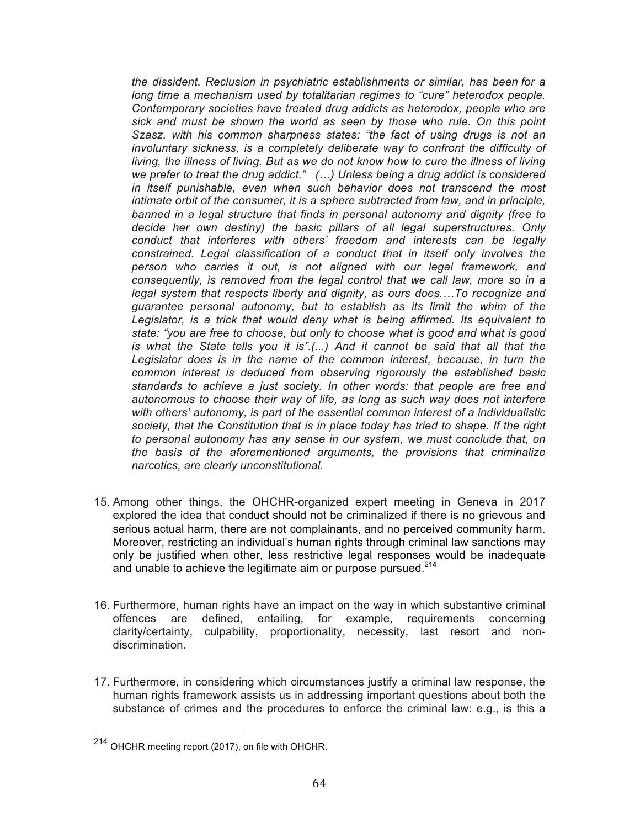*the dissident. Reclusion in psychiatric establishments or similar, has been for a*  long time a mechanism used by totalitarian regimes to "cure" heterodox people. *Contemporary societies have treated drug addicts as heterodox, people who are sick and must be shown the world as seen by those who rule. On this point Szasz, with his common sharpness states: "the fact of using drugs is not an*  involuntary sickness, is a completely deliberate way to confront the difficulty of *living, the illness of living. But as we do not know how to cure the illness of living we prefer to treat the drug addict." (…) Unless being a drug addict is considered in itself punishable, even when such behavior does not transcend the most intimate orbit of the consumer, it is a sphere subtracted from law, and in principle, banned in a legal structure that finds in personal autonomy and dignity (free to decide her own destiny) the basic pillars of all legal superstructures. Only conduct that interferes with others' freedom and interests can be legally constrained. Legal classification of a conduct that in itself only involves the person who carries it out, is not aligned with our legal framework, and consequently, is removed from the legal control that we call law, more so in a legal system that respects liberty and dignity, as ours does.…To recognize and guarantee personal autonomy, but to establish as its limit the whim of the Legislator, is a trick that would deny what is being affirmed. Its equivalent to state: "you are free to choose, but only to choose what is good and what is good is what the State tells you it is".(...) And it cannot be said that all that the Legislator does is in the name of the common interest, because, in turn the common interest is deduced from observing rigorously the established basic standards to achieve a just society. In other words: that people are free and autonomous to choose their way of life, as long as such way does not interfere with others' autonomy, is part of the essential common interest of a individualistic society, that the Constitution that is in place today has tried to shape. If the right to personal autonomy has any sense in our system, we must conclude that, on the basis of the aforementioned arguments, the provisions that criminalize narcotics, are clearly unconstitutional.*

- 15. Among other things, the OHCHR-organized expert meeting in Geneva in 2017 explored the idea that conduct should not be criminalized if there is no grievous and serious actual harm, there are not complainants, and no perceived community harm. Moreover, restricting an individual's human rights through criminal law sanctions may only be justified when other, less restrictive legal responses would be inadequate and unable to achieve the legitimate aim or purpose pursued. $2^{14}$
- 16. Furthermore, human rights have an impact on the way in which substantive criminal offences are defined, entailing, for example, requirements concerning clarity/certainty, culpability, proportionality, necessity, last resort and nondiscrimination.
- 17. Furthermore, in considering which circumstances justify a criminal law response, the human rights framework assists us in addressing important questions about both the substance of crimes and the procedures to enforce the criminal law: e.g., is this a

 <sup>214</sup> OHCHR meeting report (2017), on file with OHCHR.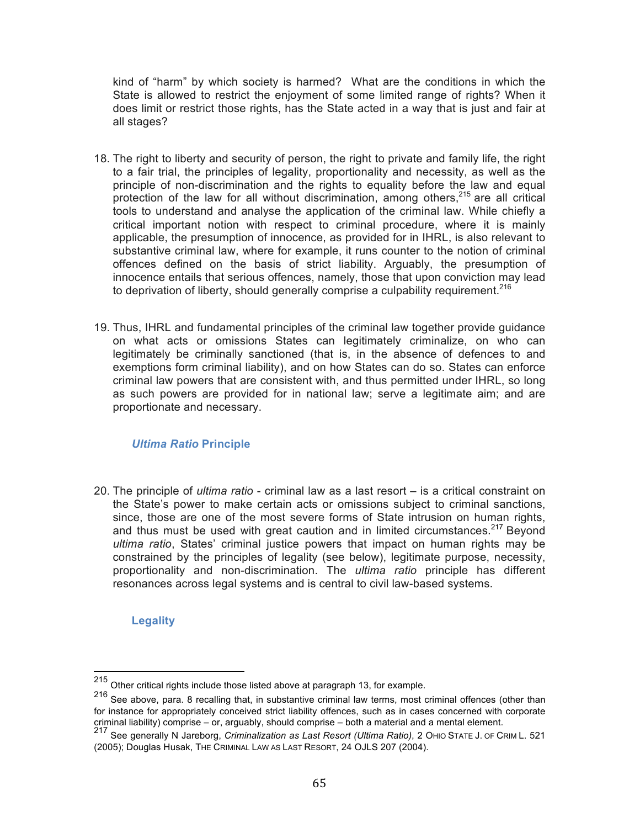kind of "harm" by which society is harmed? What are the conditions in which the State is allowed to restrict the enjoyment of some limited range of rights? When it does limit or restrict those rights, has the State acted in a way that is just and fair at all stages?

- 18. The right to liberty and security of person, the right to private and family life, the right to a fair trial, the principles of legality, proportionality and necessity, as well as the principle of non-discrimination and the rights to equality before the law and equal protection of the law for all without discrimination, among others,  $215$  are all critical tools to understand and analyse the application of the criminal law. While chiefly a critical important notion with respect to criminal procedure, where it is mainly applicable, the presumption of innocence, as provided for in IHRL, is also relevant to substantive criminal law, where for example, it runs counter to the notion of criminal offences defined on the basis of strict liability. Arguably, the presumption of innocence entails that serious offences, namely, those that upon conviction may lead to deprivation of liberty, should generally comprise a culpability requirement.<sup>216</sup>
- 19. Thus, IHRL and fundamental principles of the criminal law together provide guidance on what acts or omissions States can legitimately criminalize, on who can legitimately be criminally sanctioned (that is, in the absence of defences to and exemptions form criminal liability), and on how States can do so. States can enforce criminal law powers that are consistent with, and thus permitted under IHRL, so long as such powers are provided for in national law; serve a legitimate aim; and are proportionate and necessary.

# *Ultima Ratio* **Principle**

20. The principle of *ultima ratio* - criminal law as a last resort – is a critical constraint on the State's power to make certain acts or omissions subject to criminal sanctions, since, those are one of the most severe forms of State intrusion on human rights, and thus must be used with great caution and in limited circumstances.<sup>217</sup> Beyond *ultima ratio*, States' criminal justice powers that impact on human rights may be constrained by the principles of legality (see below), legitimate purpose, necessity, proportionality and non-discrimination. The *ultima ratio* principle has different resonances across legal systems and is central to civil law-based systems.

**Legality**

 <sup>215</sup> Other critical rights include those listed above at paragraph 13, for example.

<sup>216</sup> See above, para. 8 recalling that, in substantive criminal law terms, most criminal offences (other than for instance for appropriately conceived strict liability offences, such as in cases concerned with corporate criminal liability) comprise – or, arguably, should comprise – both a material and a mental element.

<sup>217</sup> See generally N Jareborg, Criminalization as Last Resort (Ultima Ratio), 2 OHIO STATE J. OF CRIM L. 521 (2005); Douglas Husak, THE CRIMINAL LAW AS LAST RESORT, 24 OJLS 207 (2004).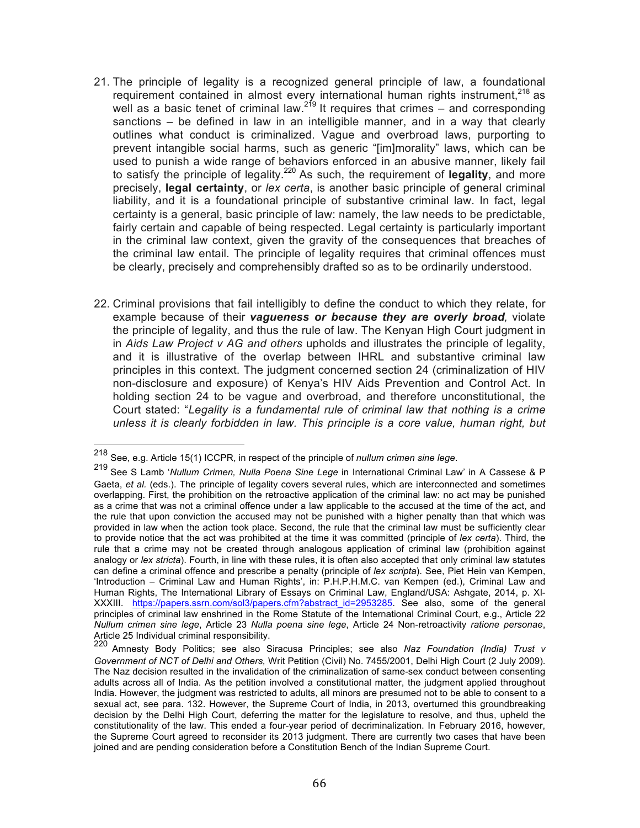- 21. The principle of legality is a recognized general principle of law, a foundational requirement contained in almost every international human rights instrument,<sup>218</sup> as well as a basic tenet of criminal law.<sup>219</sup> It requires that crimes – and corresponding sanctions *–* be defined in law in an intelligible manner, and in a way that clearly outlines what conduct is criminalized. Vague and overbroad laws, purporting to prevent intangible social harms, such as generic "[im]morality" laws, which can be used to punish a wide range of behaviors enforced in an abusive manner, likely fail to satisfy the principle of legality.220 As such, the requirement of **legality**, and more precisely, **legal certainty**, or *lex certa*, is another basic principle of general criminal liability, and it is a foundational principle of substantive criminal law. In fact, legal certainty is a general, basic principle of law: namely, the law needs to be predictable, fairly certain and capable of being respected. Legal certainty is particularly important in the criminal law context, given the gravity of the consequences that breaches of the criminal law entail. The principle of legality requires that criminal offences must be clearly, precisely and comprehensibly drafted so as to be ordinarily understood.
- 22. Criminal provisions that fail intelligibly to define the conduct to which they relate, for example because of their *vagueness or because they are overly broad,* violate the principle of legality, and thus the rule of law. The Kenyan High Court judgment in in *Aids Law Project v AG and others* upholds and illustrates the principle of legality, and it is illustrative of the overlap between IHRL and substantive criminal law principles in this context. The judgment concerned section 24 (criminalization of HIV non-disclosure and exposure) of Kenya's HIV Aids Prevention and Control Act. In holding section 24 to be vague and overbroad, and therefore unconstitutional, the Court stated: "*Legality is a fundamental rule of criminal law that nothing is a crime unless it is clearly forbidden in law. This principle is a core value, human right, but*

 <sup>218</sup> See, e.g. Article 15(1) ICCPR, in respect of the principle of *nullum crimen sine lege*.

<sup>219</sup> See S Lamb '*Nullum Crimen, Nulla Poena Sine Lege* in International Criminal Law' in A Cassese & <sup>P</sup> Gaeta, *et al.* (eds.). The principle of legality covers several rules, which are interconnected and sometimes overlapping. First, the prohibition on the retroactive application of the criminal law: no act may be punished as a crime that was not a criminal offence under a law applicable to the accused at the time of the act, and the rule that upon conviction the accused may not be punished with a higher penalty than that which was provided in law when the action took place. Second, the rule that the criminal law must be sufficiently clear to provide notice that the act was prohibited at the time it was committed (principle of *lex certa*). Third, the rule that a crime may not be created through analogous application of criminal law (prohibition against analogy or *lex stricta*). Fourth, in line with these rules, it is often also accepted that only criminal law statutes can define a criminal offence and prescribe a penalty (principle of *lex scripta*). See, Piet Hein van Kempen, 'Introduction – Criminal Law and Human Rights', in: P.H.P.H.M.C. van Kempen (ed.), Criminal Law and Human Rights, The International Library of Essays on Criminal Law, England/USA: Ashgate, 2014, p. XI-XXXIII. https://papers.ssrn.com/sol3/papers.cfm?abstract\_id=2953285. See also, some of the general principles of criminal law enshrined in the Rome Statute of the International Criminal Court, e.g., Article 22 *Nullum crimen sine lege*, Article 23 *Nulla poena sine lege*, Article 24 Non-retroactivity *ratione personae*, Article 25 Individual criminal responsibility.

<sup>220</sup> Amnesty Body Politics; see also Siracusa Principles; see also *Naz Foundation (India) Trust v Government of NCT of Delhi and Others,* Writ Petition (Civil) No. 7455/2001, Delhi High Court (2 July 2009). The Naz decision resulted in the invalidation of the criminalization of same-sex conduct between consenting adults across all of India. As the petition involved a constitutional matter, the judgment applied throughout India. However, the judgment was restricted to adults, all minors are presumed not to be able to consent to a sexual act, see para. 132. However, the Supreme Court of India, in 2013, overturned this groundbreaking decision by the Delhi High Court, deferring the matter for the legislature to resolve, and thus, upheld the constitutionality of the law. This ended a four-year period of decriminalization. In February 2016, however, the Supreme Court agreed to reconsider its 2013 judgment. There are currently two cases that have been joined and are pending consideration before a Constitution Bench of the Indian Supreme Court.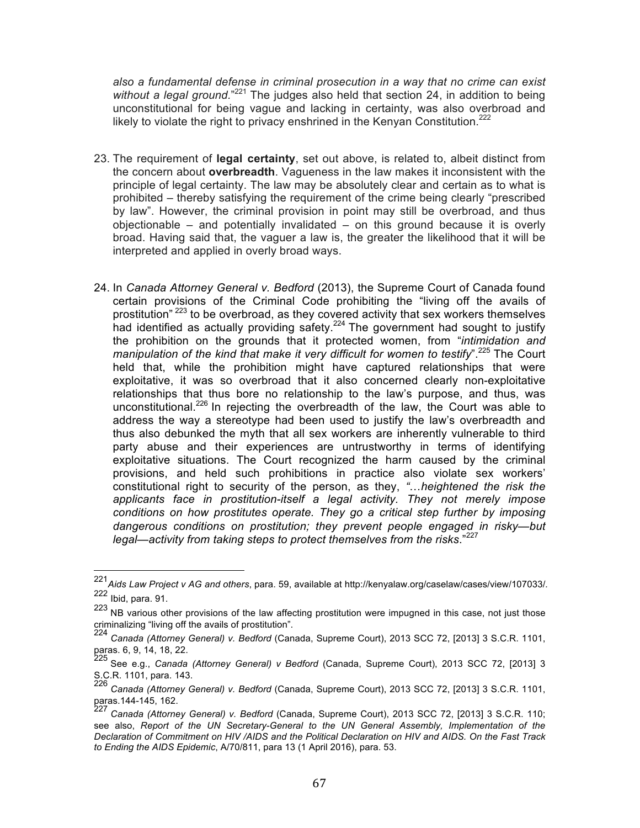*also a fundamental defense in criminal prosecution in a way that no crime can exist*  without a legal ground."<sup>221</sup> The judges also held that section 24, in addition to being unconstitutional for being vague and lacking in certainty, was also overbroad and likely to violate the right to privacy enshrined in the Kenyan Constitution.<sup>222</sup>

- 23. The requirement of **legal certainty**, set out above, is related to, albeit distinct from the concern about **overbreadth**. Vagueness in the law makes it inconsistent with the principle of legal certainty. The law may be absolutely clear and certain as to what is prohibited – thereby satisfying the requirement of the crime being clearly "prescribed by law". However, the criminal provision in point may still be overbroad, and thus objectionable – and potentially invalidated – on this ground because it is overly broad. Having said that, the vaguer a law is, the greater the likelihood that it will be interpreted and applied in overly broad ways.
- 24. In *Canada Attorney General v. Bedford* (2013), the Supreme Court of Canada found certain provisions of the Criminal Code prohibiting the "living off the avails of prostitution"  $223$  to be overbroad, as they covered activity that sex workers themselves had identified as actually providing safety.<sup>224</sup> The government had sought to justify the prohibition on the grounds that it protected women, from "*intimidation and manipulation of the kind that make it very difficult for women to testify*".225 The Court held that, while the prohibition might have captured relationships that were exploitative, it was so overbroad that it also concerned clearly non-exploitative relationships that thus bore no relationship to the law's purpose, and thus, was unconstitutional.<sup>226</sup> In rejecting the overbreadth of the law, the Court was able to address the way a stereotype had been used to justify the law's overbreadth and thus also debunked the myth that all sex workers are inherently vulnerable to third party abuse and their experiences are untrustworthy in terms of identifying exploitative situations. The Court recognized the harm caused by the criminal provisions, and held such prohibitions in practice also violate sex workers' constitutional right to security of the person, as they, *"*…*heightened the risk the applicants face in prostitution-itself a legal activity. They not merely impose conditions on how prostitutes operate. They go a critical step further by imposing dangerous conditions on prostitution; they prevent people engaged in risky—but legal—activity from taking steps to protect themselves from the risks*."<sup>227</sup>

 <sup>221</sup>*Aids Law Project v AG and others*, para. 59, available at http://kenyalaw.org/caselaw/cases/view/107033/*.*  $222$  Ibid, para. 91.

<sup>223</sup> NB various other provisions of the law affecting prostitution were impugned in this case, not just those criminalizing "living off the avails of prostitution".

<sup>224</sup> *Canada (Attorney General) v. Bedford* (Canada, Supreme Court), 2013 SCC 72, [2013] 3 S.C.R. 1101, paras. 6, 9, 14, 18, 22.

<sup>225</sup> See e.g., *Canada (Attorney General) v Bedford* (Canada, Supreme Court), 2013 SCC 72, [2013] 3 S.C.R. 1101, para. 143.

<sup>226</sup> *Canada (Attorney General) v. Bedford* (Canada, Supreme Court), 2013 SCC 72, [2013] 3 S.C.R. 1101, paras.144-145, 162.

<sup>227</sup> *Canada (Attorney General) v. Bedford* (Canada, Supreme Court), 2013 SCC 72, [2013] 3 S.C.R. 110; see also, *Report of the UN Secretary-General to the UN General Assembly, Implementation of the Declaration of Commitment on HIV /AIDS and the Political Declaration on HIV and AIDS. On the Fast Track to Ending the AIDS Epidemic*, A/70/811, para 13 (1 April 2016), para. 53.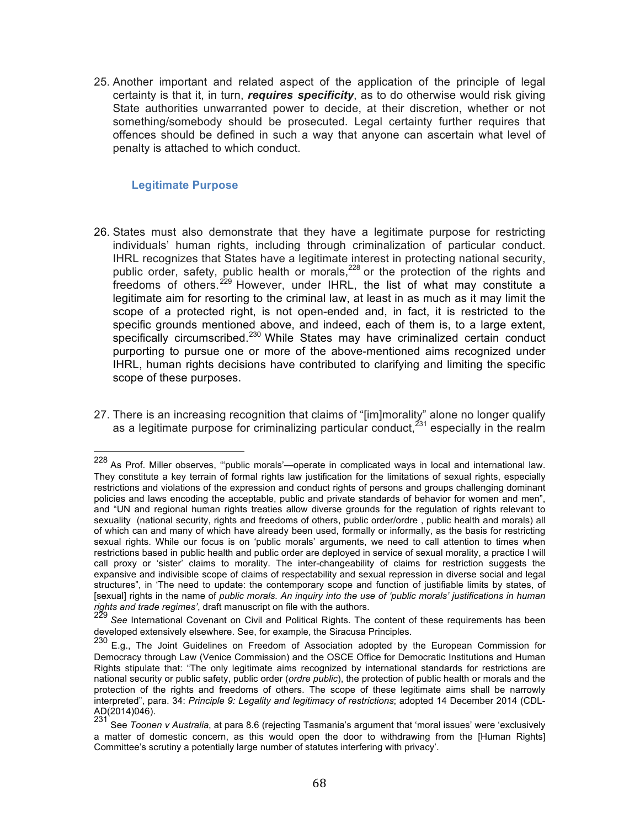25. Another important and related aspect of the application of the principle of legal certainty is that it, in turn, *requires specificity*, as to do otherwise would risk giving State authorities unwarranted power to decide, at their discretion, whether or not something/somebody should be prosecuted. Legal certainty further requires that offences should be defined in such a way that anyone can ascertain what level of penalty is attached to which conduct.

#### **Legitimate Purpose**

- 26. States must also demonstrate that they have a legitimate purpose for restricting individuals' human rights, including through criminalization of particular conduct. IHRL recognizes that States have a legitimate interest in protecting national security, public order, safety, public health or morals,  $228$  or the protection of the rights and freedoms of others.<sup>229</sup> However, under IHRL, the list of what may constitute a legitimate aim for resorting to the criminal law, at least in as much as it may limit the scope of a protected right, is not open-ended and, in fact, it is restricted to the specific grounds mentioned above, and indeed, each of them is, to a large extent, specifically circumscribed.<sup>230</sup> While States may have criminalized certain conduct purporting to pursue one or more of the above-mentioned aims recognized under IHRL, human rights decisions have contributed to clarifying and limiting the specific scope of these purposes.
- 27. There is an increasing recognition that claims of "[im]morality" alone no longer qualify as a legitimate purpose for criminalizing particular conduct,  $231$  especially in the realm

 <sup>228</sup> As Prof. Miller observes, "'public morals'—operate in complicated ways in local and international law. They constitute a key terrain of formal rights law justification for the limitations of sexual rights, especially restrictions and violations of the expression and conduct rights of persons and groups challenging dominant policies and laws encoding the acceptable, public and private standards of behavior for women and men", and "UN and regional human rights treaties allow diverse grounds for the regulation of rights relevant to sexuality (national security, rights and freedoms of others, public order/ordre , public health and morals) all of which can and many of which have already been used, formally or informally, as the basis for restricting sexual rights. While our focus is on 'public morals' arguments, we need to call attention to times when restrictions based in public health and public order are deployed in service of sexual morality, a practice I will call proxy or 'sister' claims to morality. The inter-changeability of claims for restriction suggests the expansive and indivisible scope of claims of respectability and sexual repression in diverse social and legal structures", in 'The need to update: the contemporary scope and function of justifiable limits by states, of [sexual] rights in the name of *public morals. An inquiry into the use of 'public morals' justifications in human rights and trade regimes'*, draft manuscript on file with the authors.<br><sup>229</sup> See International Covenant on C

See International Covenant on Civil and Political Rights. The content of these requirements has been developed extensively elsewhere. See, for example, the Siracusa Principles.

<sup>230</sup> E.g., The Joint Guidelines on Freedom of Association adopted by the European Commission for Democracy through Law (Venice Commission) and the OSCE Office for Democratic Institutions and Human Rights stipulate that: "The only legitimate aims recognized by international standards for restrictions are national security or public safety, public order (*ordre public*), the protection of public health or morals and the protection of the rights and freedoms of others. The scope of these legitimate aims shall be narrowly interpreted", para. 34: *Principle 9: Legality and legitimacy of restrictions*; adopted 14 December 2014 (CDL- $AD(2014)046$ ).<br> $231$  See Teens

See *Toonen v Australia*, at para 8.6 (rejecting Tasmania's argument that 'moral issues' were 'exclusively a matter of domestic concern, as this would open the door to withdrawing from the [Human Rights] Committee's scrutiny a potentially large number of statutes interfering with privacy'.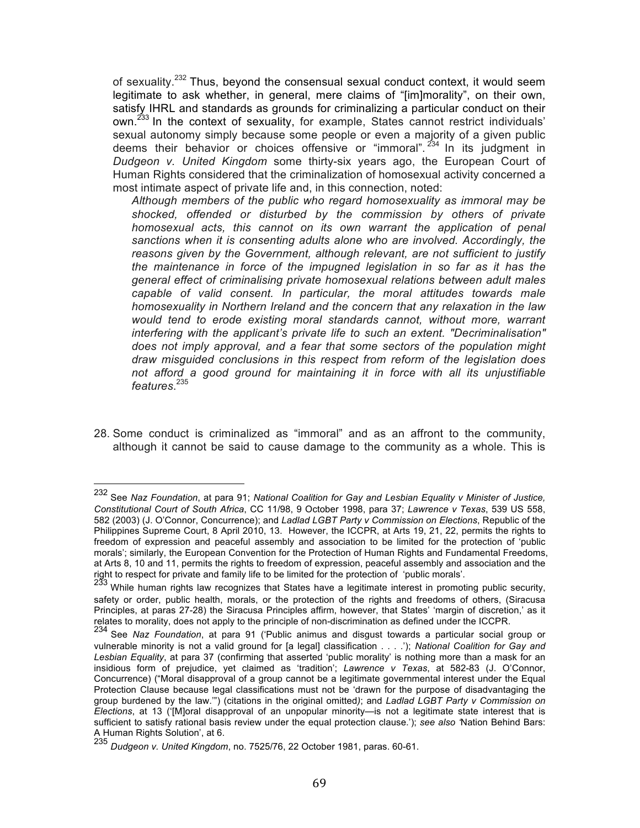of sexuality.<sup>232</sup> Thus, beyond the consensual sexual conduct context, it would seem legitimate to ask whether, in general, mere claims of "[im]morality", on their own, satisfy IHRL and standards as grounds for criminalizing a particular conduct on their own.<sup>233</sup> In the context of sexuality, for example, States cannot restrict individuals' sexual autonomy simply because some people or even a majority of a given public deems their behavior or choices offensive or "immoral".  $234$  In its judgment in *Dudgeon v. United Kingdom* some thirty-six years ago, the European Court of Human Rights considered that the criminalization of homosexual activity concerned a most intimate aspect of private life and, in this connection, noted:

*Although members of the public who regard homosexuality as immoral may be shocked, offended or disturbed by the commission by others of private homosexual acts, this cannot on its own warrant the application of penal sanctions when it is consenting adults alone who are involved. Accordingly, the reasons given by the Government, although relevant, are not sufficient to justify the maintenance in force of the impugned legislation in so far as it has the general effect of criminalising private homosexual relations between adult males capable of valid consent. In particular, the moral attitudes towards male homosexuality in Northern Ireland and the concern that any relaxation in the law would tend to erode existing moral standards cannot, without more, warrant interfering with the applicant's private life to such an extent. "Decriminalisation" does not imply approval, and a fear that some sectors of the population might draw misguided conclusions in this respect from reform of the legislation does not afford a good ground for maintaining it in force with all its unjustifiable features*. 235

28. Some conduct is criminalized as "immoral" and as an affront to the community, although it cannot be said to cause damage to the community as a whole. This is

 <sup>232</sup> See *Naz Foundation*, at para 91; *National Coalition for Gay and Lesbian Equality v Minister of Justice, Constitutional Court of South Africa*, CC 11/98, 9 October 1998, para 37; *Lawrence v Texas*, 539 US 558, 582 (2003) (J. O'Connor, Concurrence); and *Ladlad LGBT Party v Commission on Elections*, Republic of the Philippines Supreme Court, 8 April 2010, 13. However, the ICCPR, at Arts 19, 21, 22, permits the rights to freedom of expression and peaceful assembly and association to be limited for the protection of 'public morals'; similarly, the European Convention for the Protection of Human Rights and Fundamental Freedoms, at Arts 8, 10 and 11, permits the rights to freedom of expression, peaceful assembly and association and the right to respect for private and family life to be limited for the protection of 'public morals'.

<sup>&</sup>lt;sup>233</sup> While human rights law recognizes that States have a legitimate interest in promoting public security, safety or order, public health, morals, or the protection of the rights and freedoms of others, (Siracusa Principles, at paras 27-28) the Siracusa Principles affirm, however, that States' 'margin of discretion,' as it relates to morality, does not apply to the principle of non-discrimination as defined under the ICCPR.

<sup>234</sup> See *Naz Foundation*, at para 91 ('Public animus and disgust towards a particular social group or vulnerable minority is not a valid ground for [a legal] classification . . . .'); *National Coalition for Gay and Lesbian Equality*, at para 37 (confirming that asserted 'public morality' is nothing more than a mask for an insidious form of prejudice, yet claimed as 'tradition'; *Lawrence v Texas*, at 582-83 (J. O'Connor, Concurrence) ("Moral disapproval of a group cannot be a legitimate governmental interest under the Equal Protection Clause because legal classifications must not be 'drawn for the purpose of disadvantaging the group burdened by the law.'") (citations in the original omitted*)*; and *Ladlad LGBT Party v Commission on Elections*, at 13 ('[M]oral disapproval of an unpopular minority—is not a legitimate state interest that is sufficient to satisfy rational basis review under the equal protection clause.'); *see also '*Nation Behind Bars: A Human Rights Solution', at 6.

<sup>235</sup> *Dudgeon v. United Kingdom*, no. 7525/76, 22 October 1981, paras. 60-61.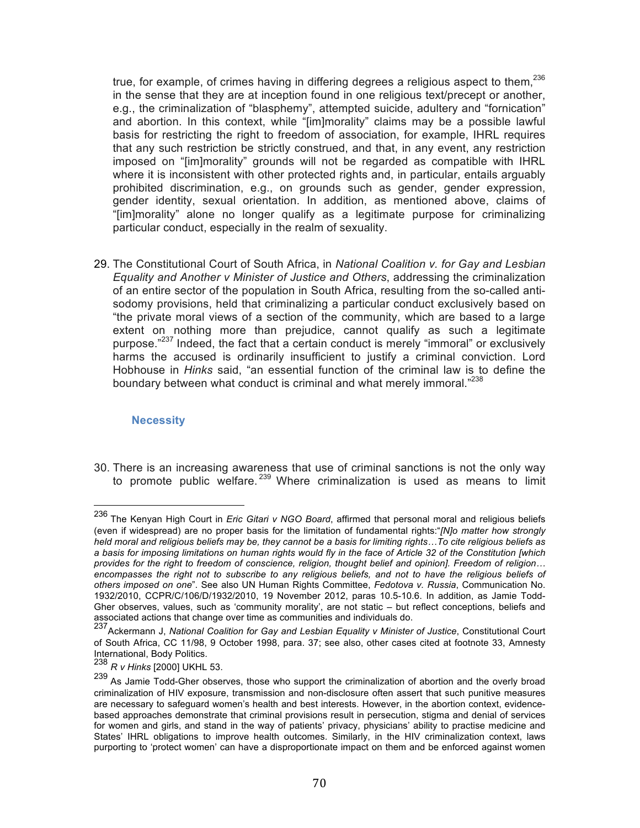true, for example, of crimes having in differing degrees a religious aspect to them, $^{236}$ in the sense that they are at inception found in one religious text/precept or another, e.g., the criminalization of "blasphemy", attempted suicide, adultery and "fornication" and abortion. In this context, while "[im]morality" claims may be a possible lawful basis for restricting the right to freedom of association, for example, IHRL requires that any such restriction be strictly construed, and that, in any event, any restriction imposed on "[im]morality" grounds will not be regarded as compatible with IHRL where it is inconsistent with other protected rights and, in particular, entails arguably prohibited discrimination, e.g., on grounds such as gender, gender expression, gender identity, sexual orientation. In addition, as mentioned above, claims of "[im]morality" alone no longer qualify as a legitimate purpose for criminalizing particular conduct, especially in the realm of sexuality.

29. The Constitutional Court of South Africa, in *National Coalition v. for Gay and Lesbian Equality and Another v Minister of Justice and Others*, addressing the criminalization of an entire sector of the population in South Africa, resulting from the so-called antisodomy provisions, held that criminalizing a particular conduct exclusively based on "the private moral views of a section of the community, which are based to a large extent on nothing more than prejudice, cannot qualify as such a legitimate purpose."<sup>237</sup> Indeed, the fact that a certain conduct is merely "immoral" or exclusively harms the accused is ordinarily insufficient to justify a criminal conviction. Lord Hobhouse in *Hinks* said, "an essential function of the criminal law is to define the boundary between what conduct is criminal and what merely immoral."<sup>238</sup>

#### **Necessity**

30. There is an increasing awareness that use of criminal sanctions is not the only way to promote public welfare.  $239$  Where criminalization is used as means to limit

 <sup>236</sup> The Kenyan High Court in *Eric Gitari v NGO Board*, affirmed that personal moral and religious beliefs (even if widespread) are no proper basis for the limitation of fundamental rights:"*[N]o matter how strongly held moral and religious beliefs may be, they cannot be a basis for limiting rights…To cite religious beliefs as*  a basis for imposing limitations on human rights would fly in the face of Article 32 of the Constitution [which *provides for the right to freedom of conscience, religion, thought belief and opinion]. Freedom of religion… encompasses the right not to subscribe to any religious beliefs, and not to have the religious beliefs of others imposed on one*". See also UN Human Rights Committee, *Fedotova v. Russia*, Communication No. 1932/2010, CCPR/C/106/D/1932/2010, 19 November 2012, paras 10.5-10.6. In addition, as Jamie Todd-Gher observes, values, such as 'community morality', are not static – but reflect conceptions, beliefs and associated actions that change over time as communities and individuals do.

<sup>237</sup>Ackermann J, *National Coalition for Gay and Lesbian Equality v Minister of Justice*, Constitutional Court of South Africa, CC 11/98, 9 October 1998, para. 37; see also, other cases cited at footnote 33, Amnesty International, Body Politics.

<sup>238</sup> *R v Hinks* [2000] UKHL 53.

<sup>239</sup> As Jamie Todd-Gher observes, those who support the criminalization of abortion and the overly broad criminalization of HIV exposure, transmission and non-disclosure often assert that such punitive measures are necessary to safeguard women's health and best interests. However, in the abortion context, evidencebased approaches demonstrate that criminal provisions result in persecution, stigma and denial of services for women and girls, and stand in the way of patients' privacy, physicians' ability to practise medicine and States' IHRL obligations to improve health outcomes. Similarly, in the HIV criminalization context, laws purporting to 'protect women' can have a disproportionate impact on them and be enforced against women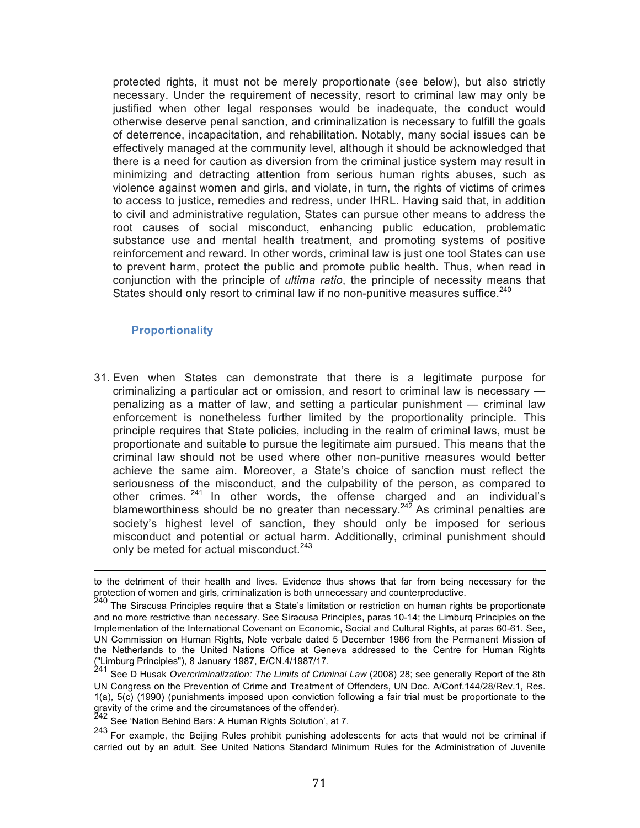protected rights, it must not be merely proportionate (see below), but also strictly necessary. Under the requirement of necessity, resort to criminal law may only be justified when other legal responses would be inadequate, the conduct would otherwise deserve penal sanction, and criminalization is necessary to fulfill the goals of deterrence, incapacitation, and rehabilitation. Notably, many social issues can be effectively managed at the community level, although it should be acknowledged that there is a need for caution as diversion from the criminal justice system may result in minimizing and detracting attention from serious human rights abuses, such as violence against women and girls, and violate, in turn, the rights of victims of crimes to access to justice, remedies and redress, under IHRL. Having said that, in addition to civil and administrative regulation, States can pursue other means to address the root causes of social misconduct, enhancing public education, problematic substance use and mental health treatment, and promoting systems of positive reinforcement and reward. In other words, criminal law is just one tool States can use to prevent harm, protect the public and promote public health. Thus, when read in conjunction with the principle of *ultima ratio*, the principle of necessity means that States should only resort to criminal law if no non-punitive measures suffice.<sup>240</sup>

#### **Proportionality**

31. Even when States can demonstrate that there is a legitimate purpose for criminalizing a particular act or omission, and resort to criminal law is necessary penalizing as a matter of law, and setting a particular punishment — criminal law enforcement is nonetheless further limited by the proportionality principle. This principle requires that State policies, including in the realm of criminal laws, must be proportionate and suitable to pursue the legitimate aim pursued. This means that the criminal law should not be used where other non-punitive measures would better achieve the same aim. Moreover, a State's choice of sanction must reflect the seriousness of the misconduct, and the culpability of the person, as compared to other crimes. <sup>241</sup> In other words, the offense charged and an individual's blameworthiness should be no greater than necessary.<sup>242</sup> As criminal penalties are society's highest level of sanction, they should only be imposed for serious misconduct and potential or actual harm. Additionally, criminal punishment should only be meted for actual misconduct.<sup>243</sup>

<sup>242</sup> See 'Nation Behind Bars: A Human Rights Solution', at 7.

<sup>&</sup>lt;u> 1989 - Andrea Santa Andrea Andrea Andrea Andrea Andrea Andrea Andrea Andrea Andrea Andrea Andrea Andrea Andr</u> to the detriment of their health and lives. Evidence thus shows that far from being necessary for the protection of women and girls, criminalization is both unnecessary and counterproductive.

<sup>&</sup>lt;sup>240</sup> The Siracusa Principles require that a State's limitation or restriction on human rights be proportionate and no more restrictive than necessary. See Siracusa Principles, paras 10-14; the Limburq Principles on the Implementation of the International Covenant on Economic, Social and Cultural Rights, at paras 60-61. See, UN Commission on Human Rights, Note verbale dated 5 December 1986 from the Permanent Mission of the Netherlands to the United Nations Office at Geneva addressed to the Centre for Human Rights ("Limburg Principles"), 8 January 1987, E/CN.4/1987/17.

<sup>241</sup> See D Husak *Overcriminalization: The Limits of Criminal Law* (2008) 28; see generally Report of the 8th UN Congress on the Prevention of Crime and Treatment of Offenders, UN Doc. A/Conf.144/28/Rev.1, Res. 1(a), 5(c) (1990) (punishments imposed upon conviction following a fair trial must be proportionate to the gravity of the crime and the circumstances of the offender).

<sup>243</sup> For example, the Beijing Rules prohibit punishing adolescents for acts that would not be criminal if carried out by an adult. See United Nations Standard Minimum Rules for the Administration of Juvenile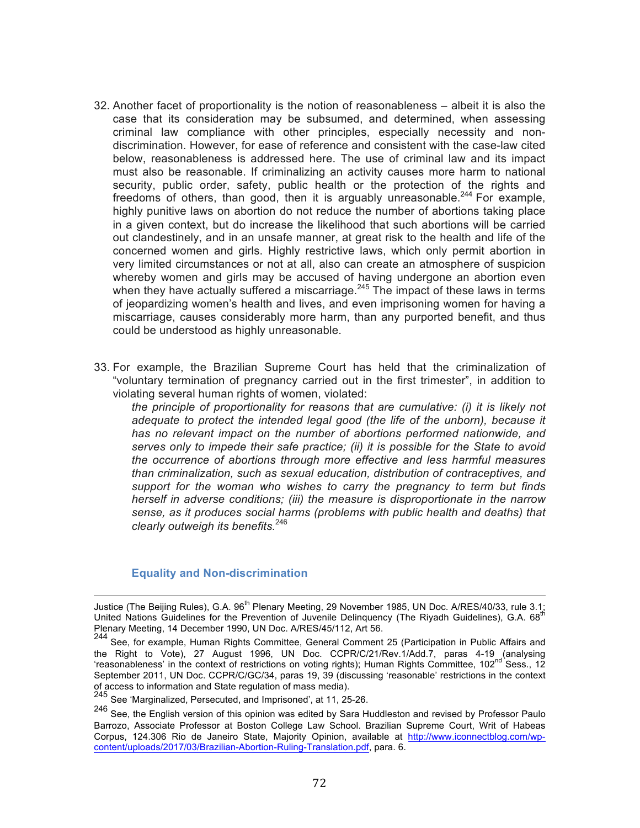- 32. Another facet of proportionality is the notion of reasonableness albeit it is also the case that its consideration may be subsumed, and determined, when assessing criminal law compliance with other principles, especially necessity and nondiscrimination. However, for ease of reference and consistent with the case-law cited below, reasonableness is addressed here. The use of criminal law and its impact must also be reasonable. If criminalizing an activity causes more harm to national security, public order, safety, public health or the protection of the rights and freedoms of others, than good, then it is arguably unreasonable.<sup>244</sup> For example, highly punitive laws on abortion do not reduce the number of abortions taking place in a given context, but do increase the likelihood that such abortions will be carried out clandestinely, and in an unsafe manner, at great risk to the health and life of the concerned women and girls. Highly restrictive laws, which only permit abortion in very limited circumstances or not at all, also can create an atmosphere of suspicion whereby women and girls may be accused of having undergone an abortion even when they have actually suffered a miscarriage. $245$  The impact of these laws in terms of jeopardizing women's health and lives, and even imprisoning women for having a miscarriage, causes considerably more harm, than any purported benefit, and thus could be understood as highly unreasonable.
- 33. For example, the Brazilian Supreme Court has held that the criminalization of "voluntary termination of pregnancy carried out in the first trimester", in addition to violating several human rights of women, violated:

*the principle of proportionality for reasons that are cumulative: (i) it is likely not adequate to protect the intended legal good (the life of the unborn), because it*  has no relevant impact on the number of abortions performed nationwide, and *serves only to impede their safe practice; (ii) it is possible for the State to avoid the occurrence of abortions through more effective and less harmful measures than criminalization, such as sexual education, distribution of contraceptives, and support for the woman who wishes to carry the pregnancy to term but finds herself in adverse conditions; (iii) the measure is disproportionate in the narrow sense, as it produces social harms (problems with public health and deaths) that clearly outweigh its benefits.*<sup>246</sup>

#### **Equality and Non-discrimination**

<u> 1989 - Andrea Santa Andrea Andrea Andrea Andrea Andrea Andrea Andrea Andrea Andrea Andrea Andrea Andrea Andr</u>

Justice (The Beijing Rules), G.A. 96<sup>th</sup> Plenary Meeting, 29 November 1985, UN Doc. A/RES/40/33, rule 3.1; United Nations Guidelines for the Prevention of Juvenile Delinquency (The Riyadh Guidelines), G.A. 68<sup>th</sup> Plenary Meeting, 14 December 1990, UN Doc. A/RES/45/112, Art 56.

<sup>244</sup> See, for example, Human Rights Committee, General Comment 25 (Participation in Public Affairs and the Right to Vote), 27 August 1996, UN Doc. CCPR/C/21/Rev.1/Add.7, paras 4-19 (analysing 'reasonableness' in the context of restrictions on voting rights); Human Rights Committee, 102<sup>nd</sup> Sess., 12 September 2011, UN Doc. CCPR/C/GC/34, paras 19, 39 (discussing 'reasonable' restrictions in the context of access to information and State regulation of mass media).

 $245$  See 'Marginalized, Persecuted, and Imprisoned', at 11, 25-26.

<sup>246</sup> See, the English version of this opinion was edited by Sara Huddleston and revised by Professor Paulo Barrozo, Associate Professor at Boston College Law School. Brazilian Supreme Court, Writ of Habeas Corpus, 124.306 Rio de Janeiro State, Majority Opinion, available at http://www.iconnectblog.com/wpcontent/uploads/2017/03/Brazilian-Abortion-Ruling-Translation.pdf, para. 6.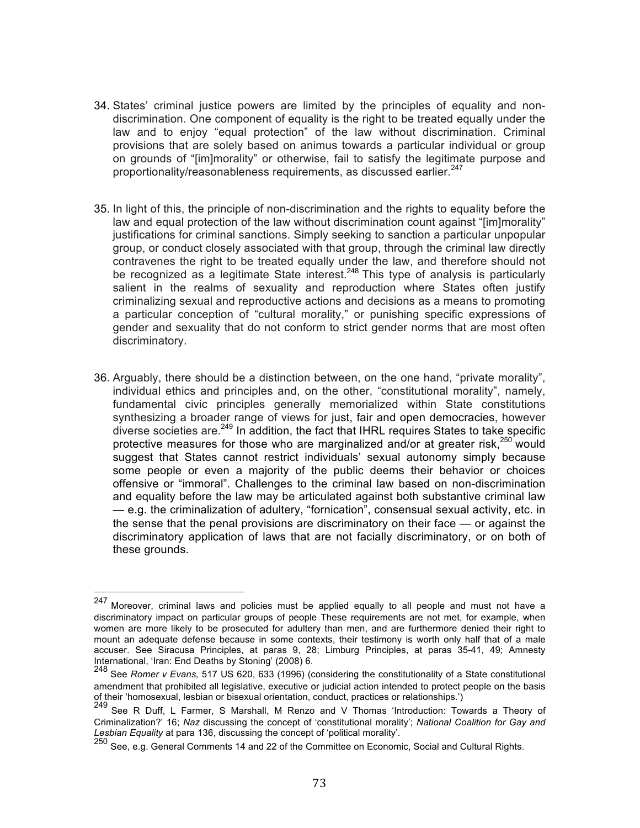- 34. States' criminal justice powers are limited by the principles of equality and nondiscrimination. One component of equality is the right to be treated equally under the law and to enjoy "equal protection" of the law without discrimination. Criminal provisions that are solely based on animus towards a particular individual or group on grounds of "[im]morality" or otherwise, fail to satisfy the legitimate purpose and proportionality/reasonableness requirements, as discussed earlier.<sup>247</sup>
- 35. In light of this, the principle of non-discrimination and the rights to equality before the law and equal protection of the law without discrimination count against "[im]morality" justifications for criminal sanctions. Simply seeking to sanction a particular unpopular group, or conduct closely associated with that group, through the criminal law directly contravenes the right to be treated equally under the law, and therefore should not be recognized as a legitimate State interest.<sup>248</sup> This type of analysis is particularly salient in the realms of sexuality and reproduction where States often justify criminalizing sexual and reproductive actions and decisions as a means to promoting a particular conception of "cultural morality," or punishing specific expressions of gender and sexuality that do not conform to strict gender norms that are most often discriminatory.
- 36. Arguably, there should be a distinction between, on the one hand, "private morality", individual ethics and principles and, on the other, "constitutional morality", namely, fundamental civic principles generally memorialized within State constitutions synthesizing a broader range of views for just, fair and open democracies, however diverse societies are.<sup>249</sup> In addition, the fact that IHRL requires States to take specific protective measures for those who are marginalized and/or at greater risk, $250$  would suggest that States cannot restrict individuals' sexual autonomy simply because some people or even a majority of the public deems their behavior or choices offensive or "immoral". Challenges to the criminal law based on non-discrimination and equality before the law may be articulated against both substantive criminal law — e.g. the criminalization of adultery, "fornication", consensual sexual activity, etc. in the sense that the penal provisions are discriminatory on their face — or against the discriminatory application of laws that are not facially discriminatory, or on both of these grounds.

<sup>247</sup> Moreover, criminal laws and policies must be applied equally to all people and must not have a discriminatory impact on particular groups of people These requirements are not met, for example, when women are more likely to be prosecuted for adultery than men, and are furthermore denied their right to mount an adequate defense because in some contexts, their testimony is worth only half that of a male accuser. See Siracusa Principles, at paras 9, 28; Limburg Principles, at paras 35-41, 49; Amnesty<br>International, Iran: End Deaths by Stoning (2008) 6.

<sup>&</sup>lt;sup>248</sup> See *Romer v Evans.* 517 US 620, 633 (1996) (considering the constitutionality of a State constitutional amendment that prohibited all legislative, executive or judicial action intended to protect people on the basis of their 'homosexual, lesbian or bisexual orientation, conduct, practices or relationships.')

<sup>249</sup> See R Duff, L Farmer, S Marshall, M Renzo and V Thomas 'Introduction: Towards a Theory of Criminalization?' 16; *Naz* discussing the concept of 'constitutional morality'; *National Coalition for Gay and Lesbian Equality* at para 136, discussing the concept of 'political morality'.

<sup>250</sup> See, e.g. General Comments 14 and 22 of the Committee on Economic, Social and Cultural Rights.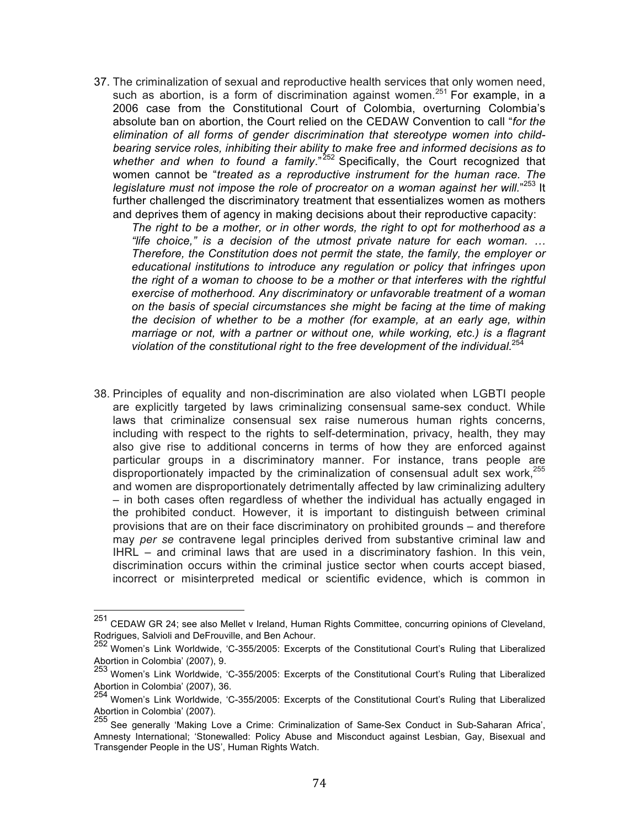37. The criminalization of sexual and reproductive health services that only women need, such as abortion, is a form of discrimination against women.<sup>251</sup> For example, in a 2006 case from the Constitutional Court of Colombia, overturning Colombia's absolute ban on abortion, the Court relied on the CEDAW Convention to call "*for the elimination of all forms of gender discrimination that stereotype women into childbearing service roles, inhibiting their ability to make free and informed decisions as to*  whether and when to found a family."<sup>252</sup> Specifically, the Court recognized that women cannot be "*treated as a reproductive instrument for the human race. The*  legislature must not impose the role of procreator on a woman against her will."<sup>253</sup> It further challenged the discriminatory treatment that essentializes women as mothers and deprives them of agency in making decisions about their reproductive capacity:

*The right to be a mother, or in other words, the right to opt for motherhood as a "life choice," is a decision of the utmost private nature for each woman. … Therefore, the Constitution does not permit the state, the family, the employer or educational institutions to introduce any regulation or policy that infringes upon the right of a woman to choose to be a mother or that interferes with the rightful exercise of motherhood. Any discriminatory or unfavorable treatment of a woman on the basis of special circumstances she might be facing at the time of making the decision of whether to be a mother (for example, at an early age, within marriage or not, with a partner or without one, while working, etc.) is a flagrant violation of the constitutional right to the free development of the individual.*<sup>254</sup>

38. Principles of equality and non-discrimination are also violated when LGBTI people are explicitly targeted by laws criminalizing consensual same-sex conduct. While laws that criminalize consensual sex raise numerous human rights concerns, including with respect to the rights to self-determination, privacy, health, they may also give rise to additional concerns in terms of how they are enforced against particular groups in a discriminatory manner. For instance, trans people are disproportionately impacted by the criminalization of consensual adult sex work, $255$ and women are disproportionately detrimentally affected by law criminalizing adultery – in both cases often regardless of whether the individual has actually engaged in the prohibited conduct. However, it is important to distinguish between criminal provisions that are on their face discriminatory on prohibited grounds – and therefore may *per se* contravene legal principles derived from substantive criminal law and IHRL – and criminal laws that are used in a discriminatory fashion. In this vein, discrimination occurs within the criminal justice sector when courts accept biased, incorrect or misinterpreted medical or scientific evidence, which is common in

<sup>251</sup> CEDAW GR 24; see also Mellet v Ireland, Human Rights Committee, concurring opinions of Cleveland, Rodrigues, Salvioli and DeFrouville, and Ben Achour.

<sup>252</sup> Women's Link Worldwide, 'C-355/2005: Excerpts of the Constitutional Court's Ruling that Liberalized Abortion in Colombia' (2007), 9.

<sup>253</sup> Women's Link Worldwide, 'C-355/2005: Excerpts of the Constitutional Court's Ruling that Liberalized

Abortion in Colombia' (2007), 36.<br><sup>254</sup> Women's Link Worldwide, 'C-355/2005: Excerpts of the Constitutional Court's Ruling that Liberalized Abortion in Colombia' (2007).<br>Abortion in Colombia' (2007).<br><sup>255</sup> See generally 'Making Love a Crime: Criminalization of Same-Sex Conduct in Sub-Saharan Africa',

Amnesty International; 'Stonewalled: Policy Abuse and Misconduct against Lesbian, Gay, Bisexual and Transgender People in the US', Human Rights Watch.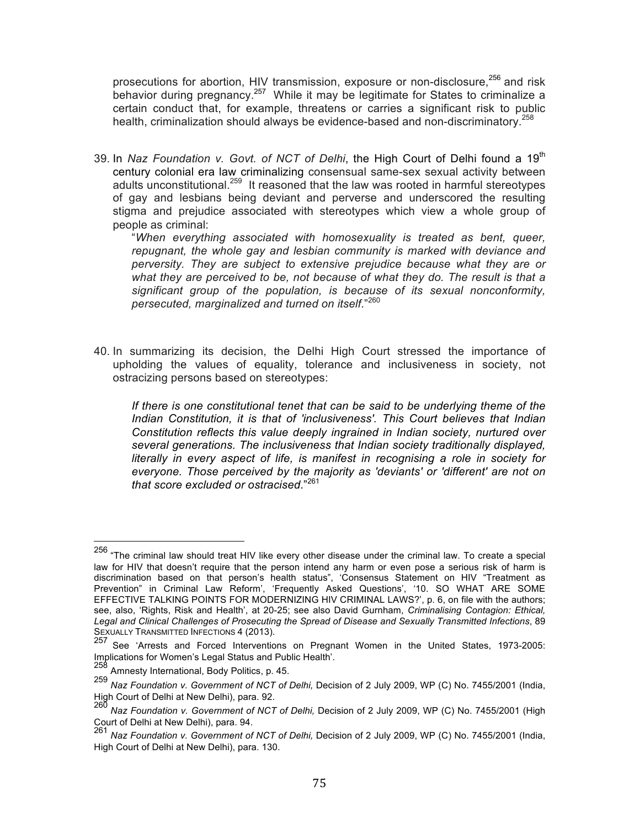prosecutions for abortion, HIV transmission, exposure or non-disclosure,<sup>256</sup> and risk behavior during pregnancy.<sup>257</sup> While it may be legitimate for States to criminalize a certain conduct that, for example, threatens or carries a significant risk to public health, criminalization should always be evidence-based and non-discriminatory.<sup>258</sup>

39. In *Naz Foundation v. Govt. of NCT of Delhi*, the High Court of Delhi found a 19<sup>th</sup> century colonial era law criminalizing consensual same-sex sexual activity between adults unconstitutional.<sup>259</sup> It reasoned that the law was rooted in harmful stereotypes of gay and lesbians being deviant and perverse and underscored the resulting stigma and prejudice associated with stereotypes which view a whole group of people as criminal:

"*When everything associated with homosexuality is treated as bent, queer, repugnant, the whole gay and lesbian community is marked with deviance and perversity. They are subject to extensive prejudice because what they are or what they are perceived to be, not because of what they do. The result is that a significant group of the population, is because of its sexual nonconformity, persecuted, marginalized and turned on itself*."<sup>260</sup>

40. In summarizing its decision, the Delhi High Court stressed the importance of upholding the values of equality, tolerance and inclusiveness in society, not ostracizing persons based on stereotypes:

*If there is one constitutional tenet that can be said to be underlying theme of the Indian Constitution, it is that of 'inclusiveness'. This Court believes that Indian Constitution reflects this value deeply ingrained in Indian society, nurtured over several generations. The inclusiveness that Indian society traditionally displayed, literally in every aspect of life, is manifest in recognising a role in society for everyone. Those perceived by the majority as 'deviants' or 'different' are not on that score excluded or ostracised*."<sup>261</sup>

<sup>&</sup>lt;sup>256</sup> "The criminal law should treat HIV like every other disease under the criminal law. To create a special law for HIV that doesn't require that the person intend any harm or even pose a serious risk of harm is discrimination based on that person's health status", 'Consensus Statement on HIV "Treatment as Prevention" in Criminal Law Reform', 'Frequently Asked Questions', '10. SO WHAT ARE SOME EFFECTIVE TALKING POINTS FOR MODERNIZING HIV CRIMINAL LAWS?', p. 6, on file with the authors; see, also, 'Rights, Risk and Health', at 20-25; see also David Gurnham, *Criminalising Contagion: Ethical, Legal and Clinical Challenges of Prosecuting the Spread of Disease and Sexually Transmitted Infections, 89*<br>
SEXUALLY TRANSMITTED INFECTIONS 4 (2013).<br>
257 See : Arreste, and Essaed Intersections are Deserved William and

See 'Arrests and Forced Interventions on Pregnant Women in the United States, 1973-2005: Implications for Women's Legal Status and Public Health'.<br>258 Assessment by the Company of Table

Amnesty International, Body Politics, p. 45.

<sup>259</sup> *Naz Foundation v. Government of NCT of Delhi,* Decision of 2 July 2009, WP (C) No. 7455/2001 (India, High Court of Delhi at New Delhi), para. 92.

<sup>260</sup> *Naz Foundation v. Government of NCT of Delhi,* Decision of 2 July 2009, WP (C) No. 7455/2001 (High Court of Delhi at New Delhi), para. 94.

<sup>261</sup> *Naz Foundation v. Government of NCT of Delhi,* Decision of 2 July 2009, WP (C) No. 7455/2001 (India, High Court of Delhi at New Delhi), para. 130.